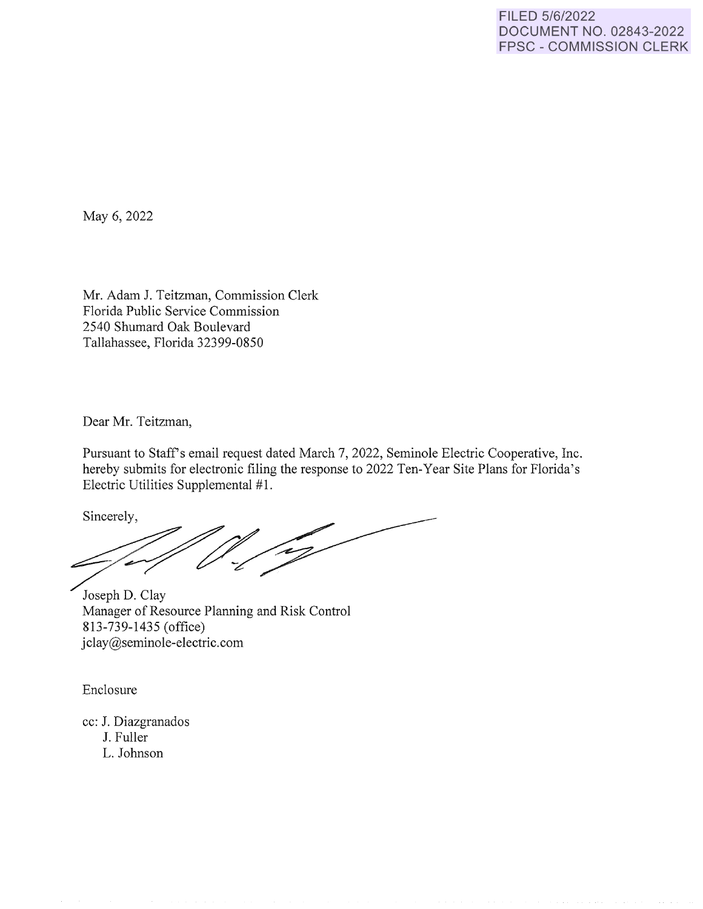May 6, 2022

Mr. Adam J. Teitzman, Commission Clerk Florida Public Service Commission 2540 Shumard Oak Boulevard Tallahassee, Florida 32399-0850

Dear Mr. Teitzman,

Pursuant to Staff's email request dated March 7, 2022, Seminole Electric Cooperative, Inc. hereby submits for electronic filing the response to 2022 Ten-Year Site Plans for Florida's Electric Utilities Supplemental #1.

Sincerely,

'e J

Joseph D. Clay Manager of Resource Planning and Risk Control 813-739-1435 ( office) jclay@seminole-electric.com

Enclosure

cc: J. Diazgranados J. Fuller L. Johnson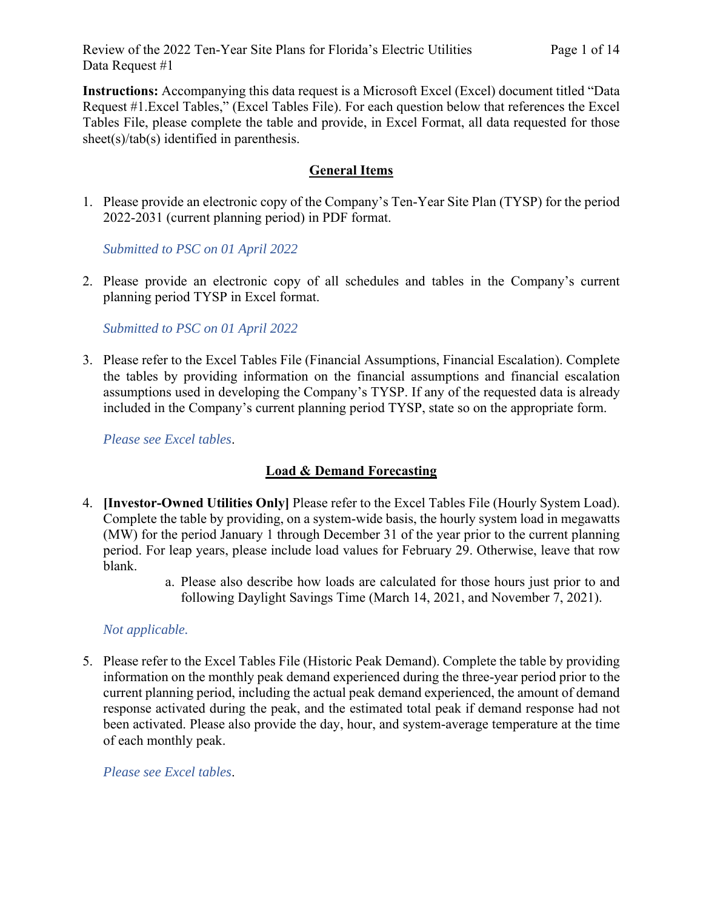**Instructions:** Accompanying this data request is a Microsoft Excel (Excel) document titled "Data Request #1.Excel Tables," (Excel Tables File). For each question below that references the Excel Tables File, please complete the table and provide, in Excel Format, all data requested for those sheet(s)/tab(s) identified in parenthesis.

# **General Items**

1. Please provide an electronic copy of the Company's Ten-Year Site Plan (TYSP) for the period 2022-2031 (current planning period) in PDF format.

*Submitted to PSC on 01 April 2022* 

2. Please provide an electronic copy of all schedules and tables in the Company's current planning period TYSP in Excel format.

*Submitted to PSC on 01 April 2022*

3. Please refer to the Excel Tables File (Financial Assumptions, Financial Escalation). Complete the tables by providing information on the financial assumptions and financial escalation assumptions used in developing the Company's TYSP. If any of the requested data is already included in the Company's current planning period TYSP, state so on the appropriate form.

*Please see Excel tables*.

# **Load & Demand Forecasting**

- 4. **[Investor-Owned Utilities Only]** Please refer to the Excel Tables File (Hourly System Load). Complete the table by providing, on a system-wide basis, the hourly system load in megawatts (MW) for the period January 1 through December 31 of the year prior to the current planning period. For leap years, please include load values for February 29. Otherwise, leave that row blank.
	- a. Please also describe how loads are calculated for those hours just prior to and following Daylight Savings Time (March 14, 2021, and November 7, 2021).

# *Not applicable.*

5. Please refer to the Excel Tables File (Historic Peak Demand). Complete the table by providing information on the monthly peak demand experienced during the three-year period prior to the current planning period, including the actual peak demand experienced, the amount of demand response activated during the peak, and the estimated total peak if demand response had not been activated. Please also provide the day, hour, and system-average temperature at the time of each monthly peak.

*Please see Excel tables*.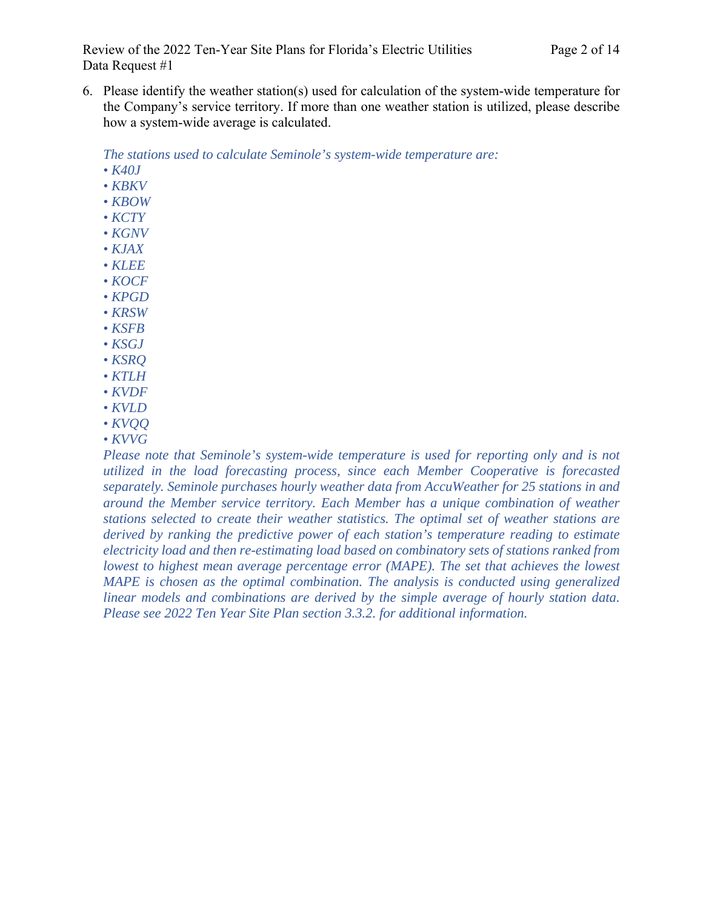Review of the 2022 Ten-Year Site Plans for Florida's Electric Utilities Page 2 of 14 Data Request #1

6. Please identify the weather station(s) used for calculation of the system-wide temperature for the Company's service territory. If more than one weather station is utilized, please describe how a system-wide average is calculated.

*The stations used to calculate Seminole's system-wide temperature are:*

- *K40J*
- *KBKV*
- *KBOW*
- *KCTY*
- *KGNV*
- *KJAX*
- *KLEE*
- *KOCF*
- *KPGD*
- *KRSW*
- *KSFB*
- *KSGJ*
- *KSRQ*
- *KTLH*
- *KVDF*
- *KVLD*
- *KVQQ*
- *KVVG*

*Please note that Seminole's system-wide temperature is used for reporting only and is not utilized in the load forecasting process, since each Member Cooperative is forecasted separately. Seminole purchases hourly weather data from AccuWeather for 25 stations in and around the Member service territory. Each Member has a unique combination of weather stations selected to create their weather statistics. The optimal set of weather stations are derived by ranking the predictive power of each station's temperature reading to estimate electricity load and then re-estimating load based on combinatory sets of stations ranked from lowest to highest mean average percentage error (MAPE). The set that achieves the lowest MAPE is chosen as the optimal combination. The analysis is conducted using generalized linear models and combinations are derived by the simple average of hourly station data. Please see 2022 Ten Year Site Plan section 3.3.2. for additional information.*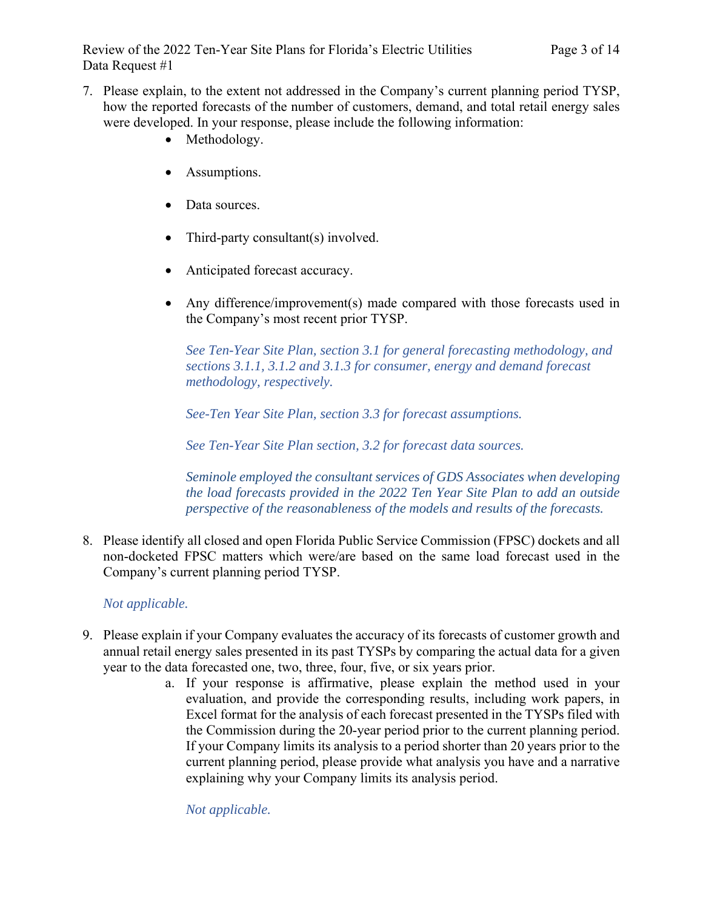- 7. Please explain, to the extent not addressed in the Company's current planning period TYSP, how the reported forecasts of the number of customers, demand, and total retail energy sales were developed. In your response, please include the following information:
	- Methodology.
	- Assumptions.
	- Data sources.
	- Third-party consultant(s) involved.
	- Anticipated forecast accuracy.
	- Any difference/improvement(s) made compared with those forecasts used in the Company's most recent prior TYSP.

*See Ten-Year Site Plan, section 3.1 for general forecasting methodology, and sections 3.1.1, 3.1.2 and 3.1.3 for consumer, energy and demand forecast methodology, respectively.* 

*See-Ten Year Site Plan, section 3.3 for forecast assumptions.* 

*See Ten-Year Site Plan section, 3.2 for forecast data sources.* 

*Seminole employed the consultant services of GDS Associates when developing the load forecasts provided in the 2022 Ten Year Site Plan to add an outside perspective of the reasonableness of the models and results of the forecasts.* 

8. Please identify all closed and open Florida Public Service Commission (FPSC) dockets and all non-docketed FPSC matters which were/are based on the same load forecast used in the Company's current planning period TYSP.

# *Not applicable.*

- 9. Please explain if your Company evaluates the accuracy of its forecasts of customer growth and annual retail energy sales presented in its past TYSPs by comparing the actual data for a given year to the data forecasted one, two, three, four, five, or six years prior.
	- a. If your response is affirmative, please explain the method used in your evaluation, and provide the corresponding results, including work papers, in Excel format for the analysis of each forecast presented in the TYSPs filed with the Commission during the 20-year period prior to the current planning period. If your Company limits its analysis to a period shorter than 20 years prior to the current planning period, please provide what analysis you have and a narrative explaining why your Company limits its analysis period.

*Not applicable.*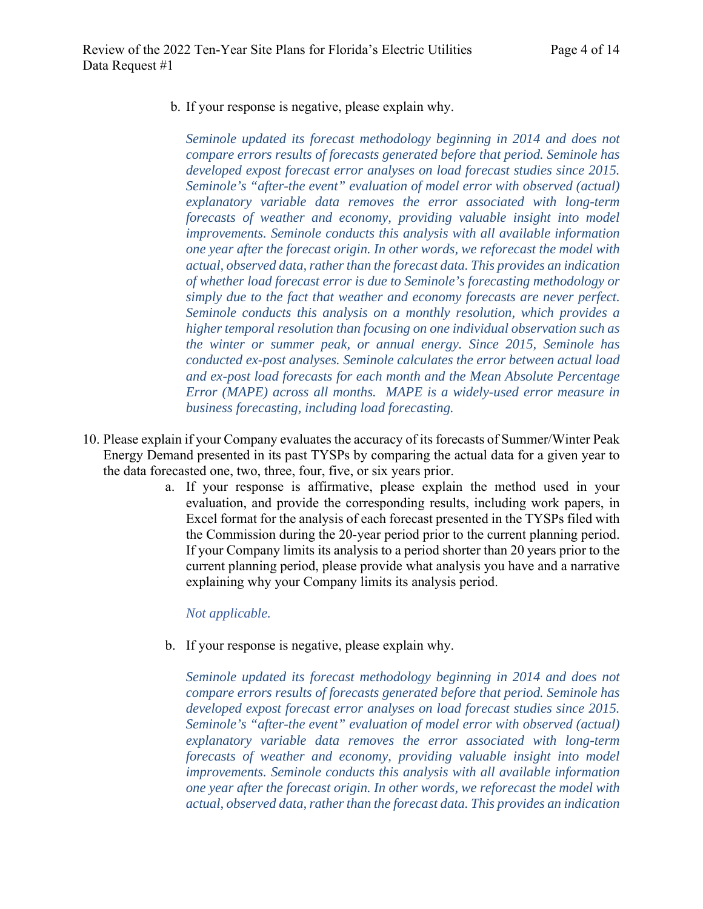b. If your response is negative, please explain why.

*Seminole updated its forecast methodology beginning in 2014 and does not compare errors results of forecasts generated before that period. Seminole has developed expost forecast error analyses on load forecast studies since 2015. Seminole's "after-the event" evaluation of model error with observed (actual) explanatory variable data removes the error associated with long-term forecasts of weather and economy, providing valuable insight into model improvements. Seminole conducts this analysis with all available information one year after the forecast origin. In other words, we reforecast the model with actual, observed data, rather than the forecast data. This provides an indication of whether load forecast error is due to Seminole's forecasting methodology or simply due to the fact that weather and economy forecasts are never perfect. Seminole conducts this analysis on a monthly resolution, which provides a higher temporal resolution than focusing on one individual observation such as the winter or summer peak, or annual energy. Since 2015, Seminole has conducted ex-post analyses. Seminole calculates the error between actual load and ex-post load forecasts for each month and the Mean Absolute Percentage Error (MAPE) across all months. MAPE is a widely-used error measure in business forecasting, including load forecasting.*

- 10. Please explain if your Company evaluates the accuracy of its forecasts of Summer/Winter Peak Energy Demand presented in its past TYSPs by comparing the actual data for a given year to the data forecasted one, two, three, four, five, or six years prior.
	- a. If your response is affirmative, please explain the method used in your evaluation, and provide the corresponding results, including work papers, in Excel format for the analysis of each forecast presented in the TYSPs filed with the Commission during the 20-year period prior to the current planning period. If your Company limits its analysis to a period shorter than 20 years prior to the current planning period, please provide what analysis you have and a narrative explaining why your Company limits its analysis period.

*Not applicable.*

b. If your response is negative, please explain why.

*Seminole updated its forecast methodology beginning in 2014 and does not compare errors results of forecasts generated before that period. Seminole has developed expost forecast error analyses on load forecast studies since 2015. Seminole's "after-the event" evaluation of model error with observed (actual) explanatory variable data removes the error associated with long-term forecasts of weather and economy, providing valuable insight into model improvements. Seminole conducts this analysis with all available information one year after the forecast origin. In other words, we reforecast the model with actual, observed data, rather than the forecast data. This provides an indication*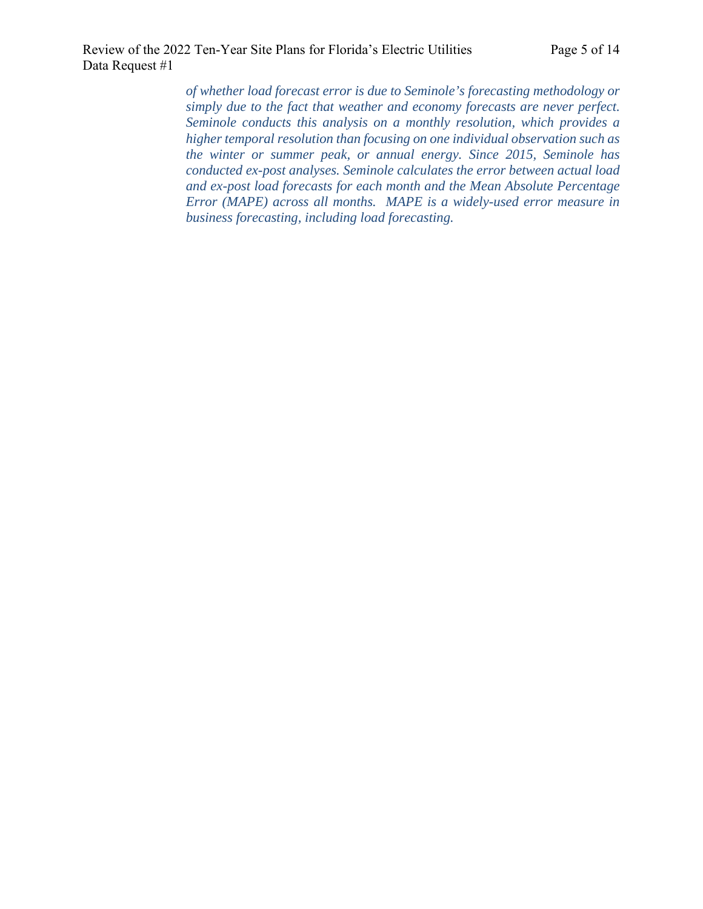*of whether load forecast error is due to Seminole's forecasting methodology or simply due to the fact that weather and economy forecasts are never perfect. Seminole conducts this analysis on a monthly resolution, which provides a higher temporal resolution than focusing on one individual observation such as the winter or summer peak, or annual energy. Since 2015, Seminole has conducted ex-post analyses. Seminole calculates the error between actual load and ex-post load forecasts for each month and the Mean Absolute Percentage Error (MAPE) across all months. MAPE is a widely-used error measure in business forecasting, including load forecasting.*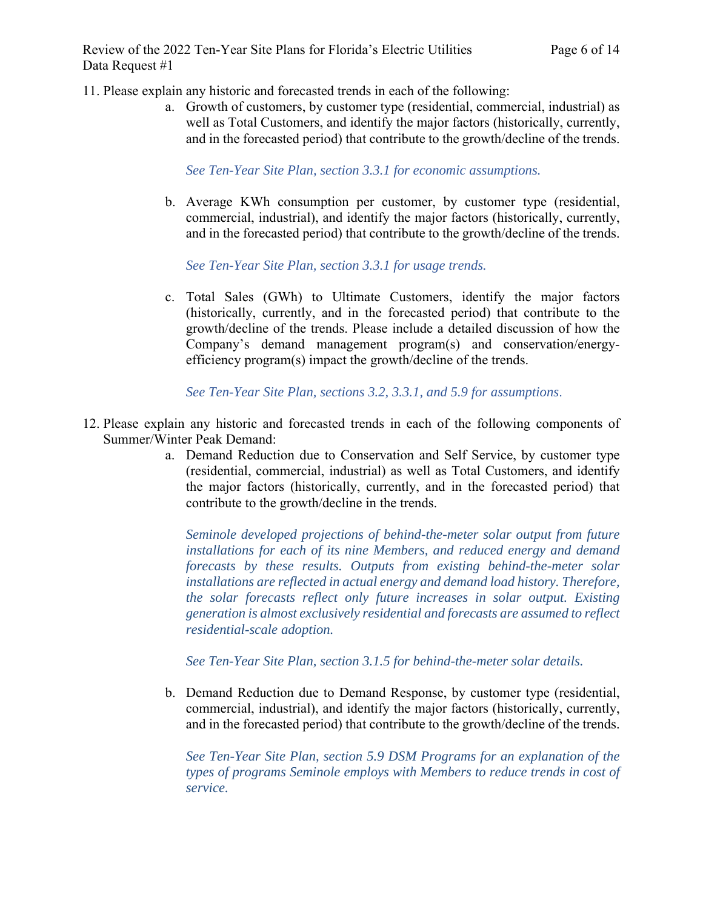Review of the 2022 Ten-Year Site Plans for Florida's Electric Utilities Page 6 of 14 Data Request #1

11. Please explain any historic and forecasted trends in each of the following:

a. Growth of customers, by customer type (residential, commercial, industrial) as well as Total Customers, and identify the major factors (historically, currently, and in the forecasted period) that contribute to the growth/decline of the trends.

*See Ten-Year Site Plan, section 3.3.1 for economic assumptions.*

b. Average KWh consumption per customer, by customer type (residential, commercial, industrial), and identify the major factors (historically, currently, and in the forecasted period) that contribute to the growth/decline of the trends.

*See Ten-Year Site Plan, section 3.3.1 for usage trends.*

c. Total Sales (GWh) to Ultimate Customers, identify the major factors (historically, currently, and in the forecasted period) that contribute to the growth/decline of the trends. Please include a detailed discussion of how the Company's demand management program(s) and conservation/energyefficiency program(s) impact the growth/decline of the trends.

*See Ten-Year Site Plan, sections 3.2, 3.3.1, and 5.9 for assumptions*.

- 12. Please explain any historic and forecasted trends in each of the following components of Summer/Winter Peak Demand:
	- a. Demand Reduction due to Conservation and Self Service, by customer type (residential, commercial, industrial) as well as Total Customers, and identify the major factors (historically, currently, and in the forecasted period) that contribute to the growth/decline in the trends.

*Seminole developed projections of behind-the-meter solar output from future installations for each of its nine Members, and reduced energy and demand forecasts by these results. Outputs from existing behind-the-meter solar installations are reflected in actual energy and demand load history. Therefore, the solar forecasts reflect only future increases in solar output. Existing generation is almost exclusively residential and forecasts are assumed to reflect residential-scale adoption.* 

*See Ten-Year Site Plan, section 3.1.5 for behind-the-meter solar details.*

b. Demand Reduction due to Demand Response, by customer type (residential, commercial, industrial), and identify the major factors (historically, currently, and in the forecasted period) that contribute to the growth/decline of the trends.

*See Ten-Year Site Plan, section 5.9 DSM Programs for an explanation of the types of programs Seminole employs with Members to reduce trends in cost of service.*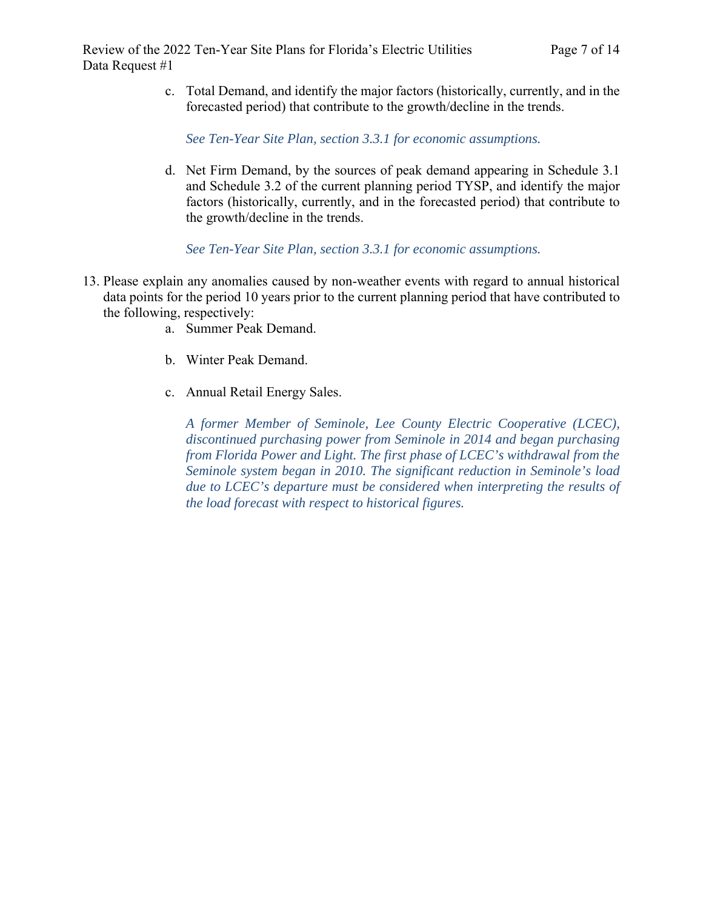c. Total Demand, and identify the major factors (historically, currently, and in the forecasted period) that contribute to the growth/decline in the trends.

*See Ten-Year Site Plan, section 3.3.1 for economic assumptions.*

d. Net Firm Demand, by the sources of peak demand appearing in Schedule 3.1 and Schedule 3.2 of the current planning period TYSP, and identify the major factors (historically, currently, and in the forecasted period) that contribute to the growth/decline in the trends.

*See Ten-Year Site Plan, section 3.3.1 for economic assumptions.*

- 13. Please explain any anomalies caused by non-weather events with regard to annual historical data points for the period 10 years prior to the current planning period that have contributed to the following, respectively:
	- a. Summer Peak Demand.
	- b. Winter Peak Demand.
	- c. Annual Retail Energy Sales.

*A former Member of Seminole, Lee County Electric Cooperative (LCEC), discontinued purchasing power from Seminole in 2014 and began purchasing from Florida Power and Light. The first phase of LCEC's withdrawal from the Seminole system began in 2010. The significant reduction in Seminole's load due to LCEC's departure must be considered when interpreting the results of the load forecast with respect to historical figures.*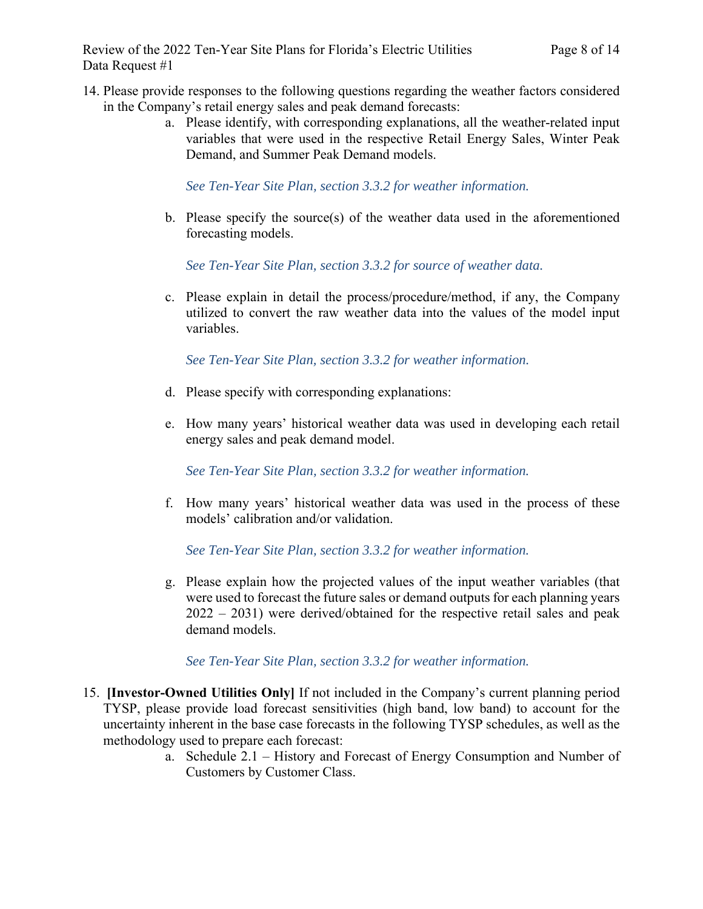- 14. Please provide responses to the following questions regarding the weather factors considered in the Company's retail energy sales and peak demand forecasts:
	- a. Please identify, with corresponding explanations, all the weather-related input variables that were used in the respective Retail Energy Sales, Winter Peak Demand, and Summer Peak Demand models.

*See Ten-Year Site Plan, section 3.3.2 for weather information.*

b. Please specify the source(s) of the weather data used in the aforementioned forecasting models.

*See Ten-Year Site Plan, section 3.3.2 for source of weather data.* 

c. Please explain in detail the process/procedure/method, if any, the Company utilized to convert the raw weather data into the values of the model input variables.

*See Ten-Year Site Plan, section 3.3.2 for weather information.* 

- d. Please specify with corresponding explanations:
- e. How many years' historical weather data was used in developing each retail energy sales and peak demand model.

*See Ten-Year Site Plan, section 3.3.2 for weather information.*

f. How many years' historical weather data was used in the process of these models' calibration and/or validation.

*See Ten-Year Site Plan, section 3.3.2 for weather information.*

g. Please explain how the projected values of the input weather variables (that were used to forecast the future sales or demand outputs for each planning years 2022 – 2031) were derived/obtained for the respective retail sales and peak demand models.

*See Ten-Year Site Plan, section 3.3.2 for weather information.*

- 15. **[Investor-Owned Utilities Only]** If not included in the Company's current planning period TYSP, please provide load forecast sensitivities (high band, low band) to account for the uncertainty inherent in the base case forecasts in the following TYSP schedules, as well as the methodology used to prepare each forecast:
	- a. Schedule 2.1 History and Forecast of Energy Consumption and Number of Customers by Customer Class.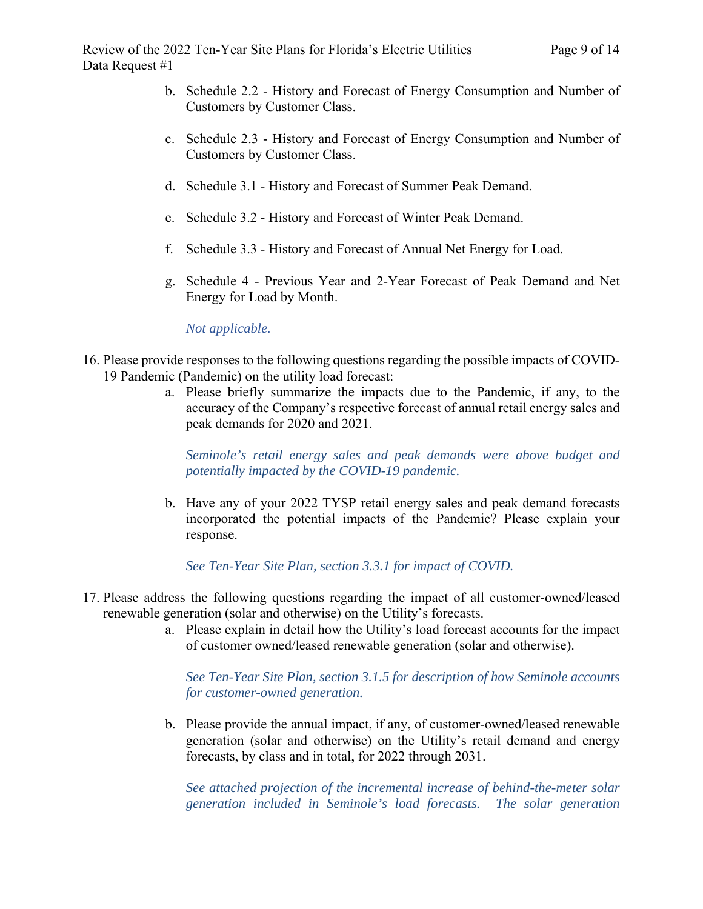- b. Schedule 2.2 History and Forecast of Energy Consumption and Number of Customers by Customer Class.
- c. Schedule 2.3 History and Forecast of Energy Consumption and Number of Customers by Customer Class.
- d. Schedule 3.1 History and Forecast of Summer Peak Demand.
- e. Schedule 3.2 History and Forecast of Winter Peak Demand.
- f. Schedule 3.3 History and Forecast of Annual Net Energy for Load.
- g. Schedule 4 Previous Year and 2-Year Forecast of Peak Demand and Net Energy for Load by Month.

*Not applicable.*

- 16. Please provide responses to the following questions regarding the possible impacts of COVID-19 Pandemic (Pandemic) on the utility load forecast:
	- a. Please briefly summarize the impacts due to the Pandemic, if any, to the accuracy of the Company's respective forecast of annual retail energy sales and peak demands for 2020 and 2021.

*Seminole's retail energy sales and peak demands were above budget and potentially impacted by the COVID-19 pandemic.* 

b. Have any of your 2022 TYSP retail energy sales and peak demand forecasts incorporated the potential impacts of the Pandemic? Please explain your response.

*See Ten-Year Site Plan, section 3.3.1 for impact of COVID.*

- 17. Please address the following questions regarding the impact of all customer-owned/leased renewable generation (solar and otherwise) on the Utility's forecasts.
	- a. Please explain in detail how the Utility's load forecast accounts for the impact of customer owned/leased renewable generation (solar and otherwise).

*See Ten-Year Site Plan, section 3.1.5 for description of how Seminole accounts for customer-owned generation.*

b. Please provide the annual impact, if any, of customer-owned/leased renewable generation (solar and otherwise) on the Utility's retail demand and energy forecasts, by class and in total, for 2022 through 2031.

*See attached projection of the incremental increase of behind-the-meter solar generation included in Seminole's load forecasts. The solar generation*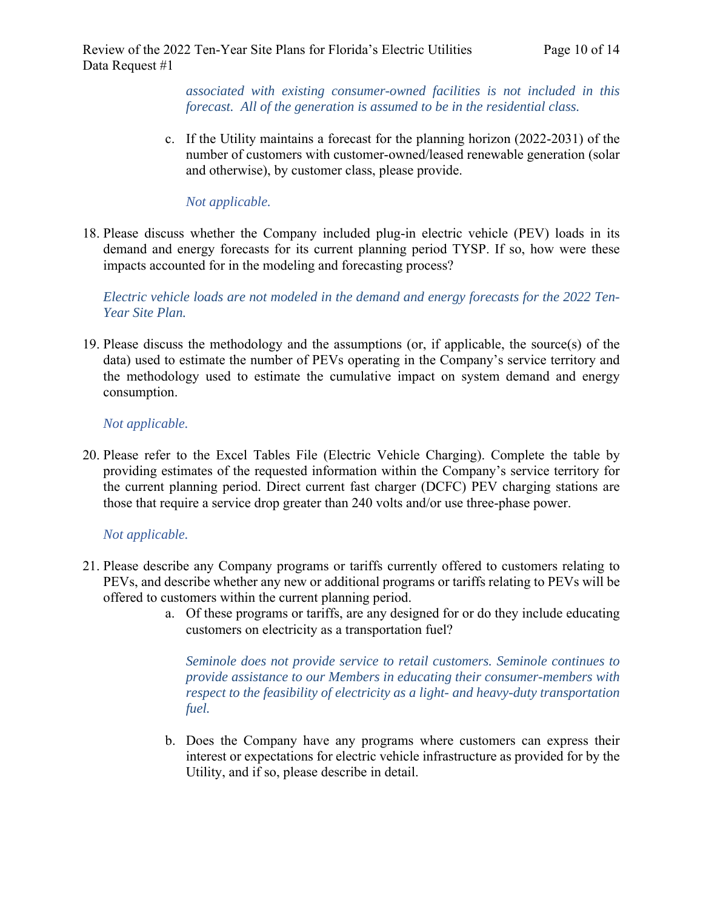*associated with existing consumer-owned facilities is not included in this forecast. All of the generation is assumed to be in the residential class.* 

c. If the Utility maintains a forecast for the planning horizon (2022-2031) of the number of customers with customer-owned/leased renewable generation (solar and otherwise), by customer class, please provide.

# *Not applicable.*

18. Please discuss whether the Company included plug-in electric vehicle (PEV) loads in its demand and energy forecasts for its current planning period TYSP. If so, how were these impacts accounted for in the modeling and forecasting process?

*Electric vehicle loads are not modeled in the demand and energy forecasts for the 2022 Ten-Year Site Plan.* 

19. Please discuss the methodology and the assumptions (or, if applicable, the source(s) of the data) used to estimate the number of PEVs operating in the Company's service territory and the methodology used to estimate the cumulative impact on system demand and energy consumption.

# *Not applicable.*

20. Please refer to the Excel Tables File (Electric Vehicle Charging). Complete the table by providing estimates of the requested information within the Company's service territory for the current planning period. Direct current fast charger (DCFC) PEV charging stations are those that require a service drop greater than 240 volts and/or use three-phase power.

# *Not applicable.*

- 21. Please describe any Company programs or tariffs currently offered to customers relating to PEVs, and describe whether any new or additional programs or tariffs relating to PEVs will be offered to customers within the current planning period.
	- a. Of these programs or tariffs, are any designed for or do they include educating customers on electricity as a transportation fuel?

*Seminole does not provide service to retail customers. Seminole continues to provide assistance to our Members in educating their consumer-members with respect to the feasibility of electricity as a light- and heavy-duty transportation fuel.* 

b. Does the Company have any programs where customers can express their interest or expectations for electric vehicle infrastructure as provided for by the Utility, and if so, please describe in detail.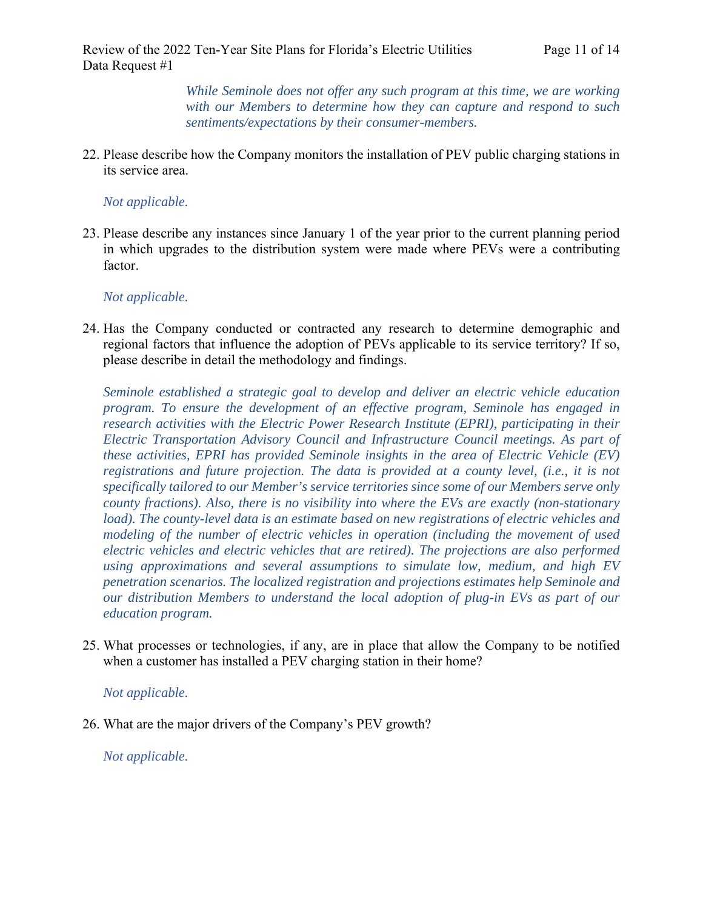*While Seminole does not offer any such program at this time, we are working with our Members to determine how they can capture and respond to such sentiments/expectations by their consumer-members.*

22. Please describe how the Company monitors the installation of PEV public charging stations in its service area.

### *Not applicable.*

23. Please describe any instances since January 1 of the year prior to the current planning period in which upgrades to the distribution system were made where PEVs were a contributing factor.

# *Not applicable.*

24. Has the Company conducted or contracted any research to determine demographic and regional factors that influence the adoption of PEVs applicable to its service territory? If so, please describe in detail the methodology and findings.

*Seminole established a strategic goal to develop and deliver an electric vehicle education program. To ensure the development of an effective program, Seminole has engaged in research activities with the Electric Power Research Institute (EPRI), participating in their Electric Transportation Advisory Council and Infrastructure Council meetings. As part of these activities, EPRI has provided Seminole insights in the area of Electric Vehicle (EV) registrations and future projection. The data is provided at a county level, (i.e., it is not specifically tailored to our Member's service territories since some of our Members serve only county fractions). Also, there is no visibility into where the EVs are exactly (non-stationary*  load). The county-level data is an estimate based on new registrations of electric vehicles and *modeling of the number of electric vehicles in operation (including the movement of used electric vehicles and electric vehicles that are retired). The projections are also performed using approximations and several assumptions to simulate low, medium, and high EV penetration scenarios. The localized registration and projections estimates help Seminole and our distribution Members to understand the local adoption of plug-in EVs as part of our education program.* 

25. What processes or technologies, if any, are in place that allow the Company to be notified when a customer has installed a PEV charging station in their home?

#### *Not applicable.*

26. What are the major drivers of the Company's PEV growth?

*Not applicable.*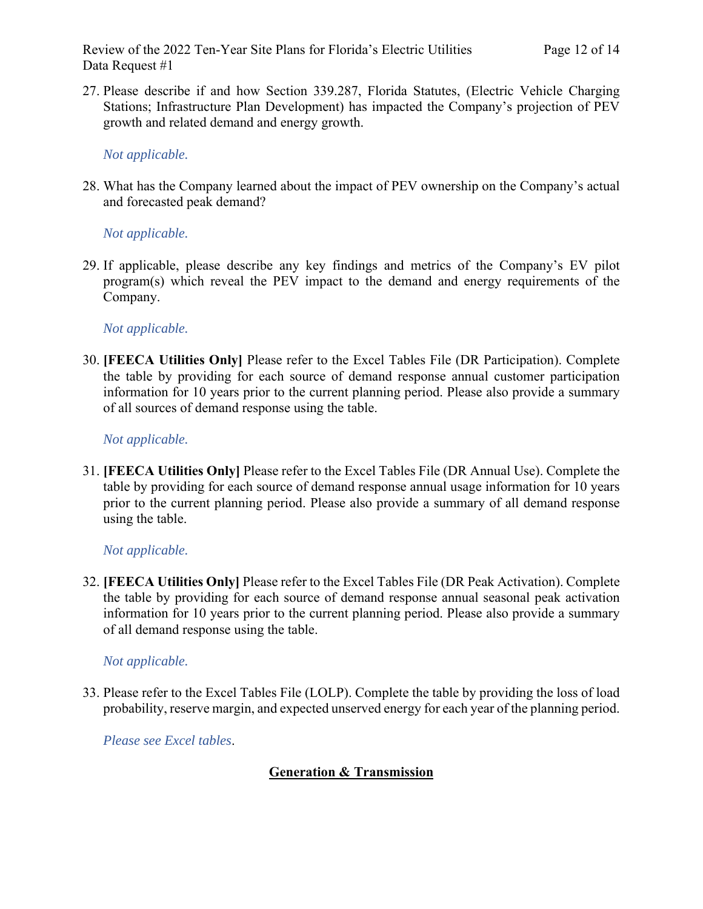Review of the 2022 Ten-Year Site Plans for Florida's Electric Utilities Page 12 of 14 Data Request #1

27. Please describe if and how Section 339.287, Florida Statutes, (Electric Vehicle Charging Stations; Infrastructure Plan Development) has impacted the Company's projection of PEV growth and related demand and energy growth.

*Not applicable.*

28. What has the Company learned about the impact of PEV ownership on the Company's actual and forecasted peak demand?

### *Not applicable.*

29. If applicable, please describe any key findings and metrics of the Company's EV pilot program(s) which reveal the PEV impact to the demand and energy requirements of the Company.

### *Not applicable.*

30. **[FEECA Utilities Only]** Please refer to the Excel Tables File (DR Participation). Complete the table by providing for each source of demand response annual customer participation information for 10 years prior to the current planning period. Please also provide a summary of all sources of demand response using the table.

### *Not applicable.*

31. **[FEECA Utilities Only]** Please refer to the Excel Tables File (DR Annual Use). Complete the table by providing for each source of demand response annual usage information for 10 years prior to the current planning period. Please also provide a summary of all demand response using the table.

# *Not applicable.*

32. **[FEECA Utilities Only]** Please refer to the Excel Tables File (DR Peak Activation). Complete the table by providing for each source of demand response annual seasonal peak activation information for 10 years prior to the current planning period. Please also provide a summary of all demand response using the table.

#### *Not applicable.*

33. Please refer to the Excel Tables File (LOLP). Complete the table by providing the loss of load probability, reserve margin, and expected unserved energy for each year of the planning period.

*Please see Excel tables*.

# **Generation & Transmission**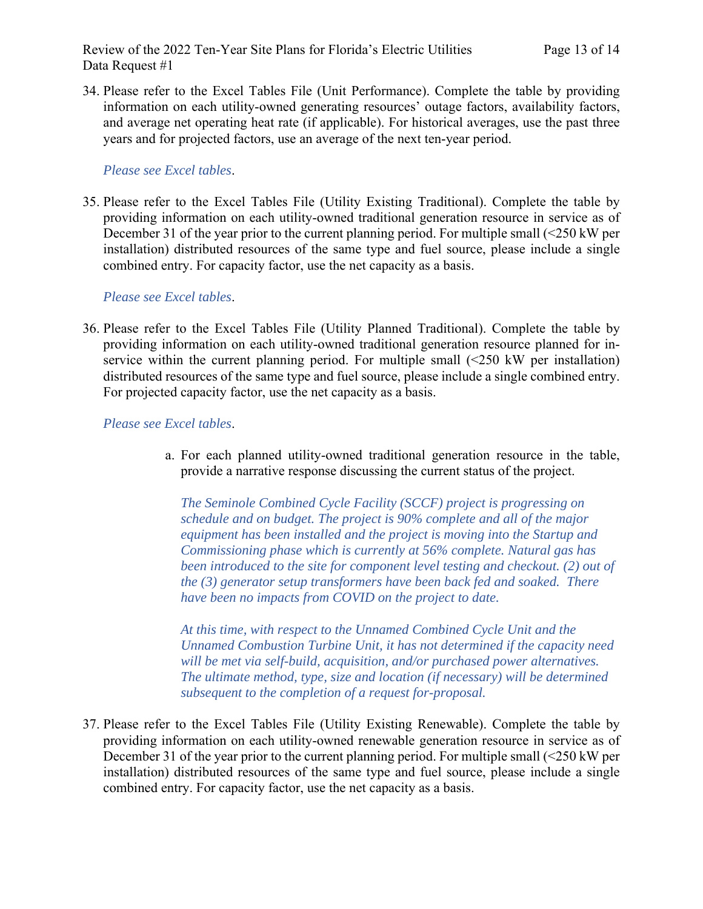Review of the 2022 Ten-Year Site Plans for Florida's Electric Utilities Page 13 of 14 Data Request #1

34. Please refer to the Excel Tables File (Unit Performance). Complete the table by providing information on each utility-owned generating resources' outage factors, availability factors, and average net operating heat rate (if applicable). For historical averages, use the past three years and for projected factors, use an average of the next ten-year period.

#### *Please see Excel tables*.

35. Please refer to the Excel Tables File (Utility Existing Traditional). Complete the table by providing information on each utility-owned traditional generation resource in service as of December 31 of the year prior to the current planning period. For multiple small (<250 kW per installation) distributed resources of the same type and fuel source, please include a single combined entry. For capacity factor, use the net capacity as a basis.

### *Please see Excel tables*.

36. Please refer to the Excel Tables File (Utility Planned Traditional). Complete the table by providing information on each utility-owned traditional generation resource planned for inservice within the current planning period. For multiple small  $(\leq 250 \text{ kW})$  per installation) distributed resources of the same type and fuel source, please include a single combined entry. For projected capacity factor, use the net capacity as a basis.

#### *Please see Excel tables*.

a. For each planned utility-owned traditional generation resource in the table, provide a narrative response discussing the current status of the project.

*The Seminole Combined Cycle Facility (SCCF) project is progressing on schedule and on budget. The project is 90% complete and all of the major equipment has been installed and the project is moving into the Startup and Commissioning phase which is currently at 56% complete. Natural gas has been introduced to the site for component level testing and checkout. (2) out of the (3) generator setup transformers have been back fed and soaked. There have been no impacts from COVID on the project to date.* 

*At this time, with respect to the Unnamed Combined Cycle Unit and the Unnamed Combustion Turbine Unit, it has not determined if the capacity need will be met via self-build, acquisition, and/or purchased power alternatives. The ultimate method, type, size and location (if necessary) will be determined subsequent to the completion of a request for-proposal.* 

37. Please refer to the Excel Tables File (Utility Existing Renewable). Complete the table by providing information on each utility-owned renewable generation resource in service as of December 31 of the year prior to the current planning period. For multiple small (<250 kW per installation) distributed resources of the same type and fuel source, please include a single combined entry. For capacity factor, use the net capacity as a basis.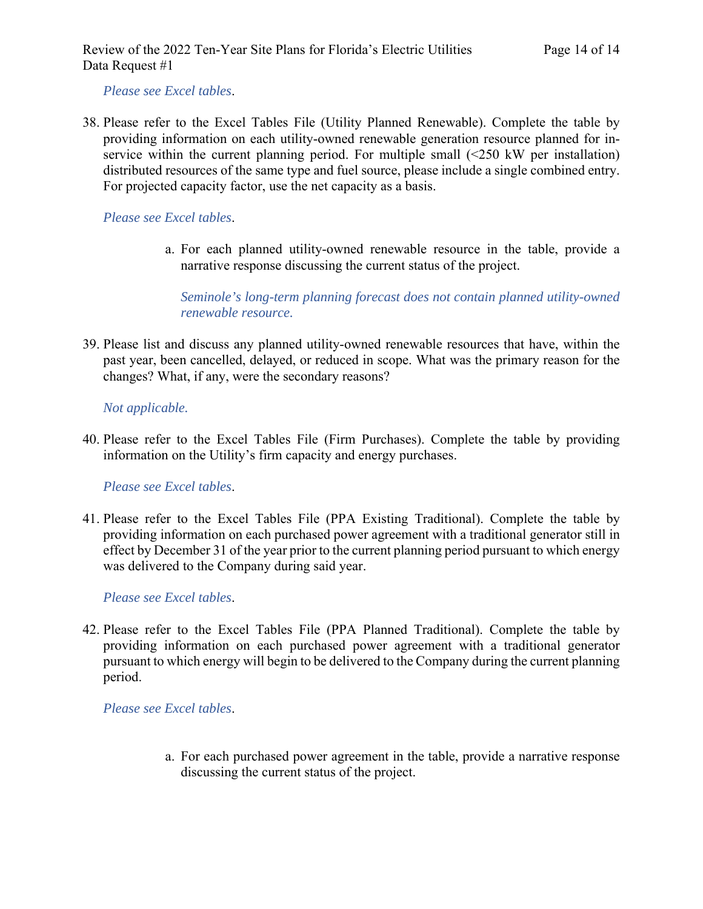*Please see Excel tables*.

38. Please refer to the Excel Tables File (Utility Planned Renewable). Complete the table by providing information on each utility-owned renewable generation resource planned for inservice within the current planning period. For multiple small (<250 kW per installation) distributed resources of the same type and fuel source, please include a single combined entry. For projected capacity factor, use the net capacity as a basis.

#### *Please see Excel tables*.

a. For each planned utility-owned renewable resource in the table, provide a narrative response discussing the current status of the project.

*Seminole's long-term planning forecast does not contain planned utility-owned renewable resource.*

39. Please list and discuss any planned utility-owned renewable resources that have, within the past year, been cancelled, delayed, or reduced in scope. What was the primary reason for the changes? What, if any, were the secondary reasons?

#### *Not applicable.*

40. Please refer to the Excel Tables File (Firm Purchases). Complete the table by providing information on the Utility's firm capacity and energy purchases.

*Please see Excel tables*.

41. Please refer to the Excel Tables File (PPA Existing Traditional). Complete the table by providing information on each purchased power agreement with a traditional generator still in effect by December 31 of the year prior to the current planning period pursuant to which energy was delivered to the Company during said year.

#### *Please see Excel tables*.

42. Please refer to the Excel Tables File (PPA Planned Traditional). Complete the table by providing information on each purchased power agreement with a traditional generator pursuant to which energy will begin to be delivered to the Company during the current planning period.

*Please see Excel tables*.

a. For each purchased power agreement in the table, provide a narrative response discussing the current status of the project.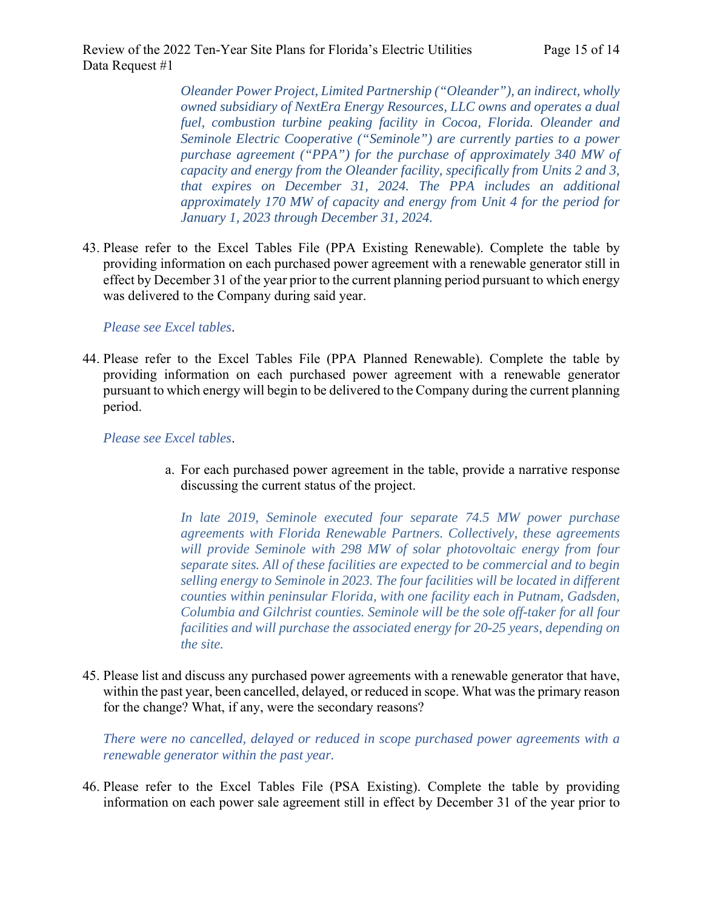*Oleander Power Project, Limited Partnership ("Oleander"), an indirect, wholly owned subsidiary of NextEra Energy Resources, LLC owns and operates a dual fuel, combustion turbine peaking facility in Cocoa, Florida. Oleander and Seminole Electric Cooperative ("Seminole") are currently parties to a power purchase agreement ("PPA") for the purchase of approximately 340 MW of capacity and energy from the Oleander facility, specifically from Units 2 and 3, that expires on December 31, 2024. The PPA includes an additional approximately 170 MW of capacity and energy from Unit 4 for the period for January 1, 2023 through December 31, 2024.* 

43. Please refer to the Excel Tables File (PPA Existing Renewable). Complete the table by providing information on each purchased power agreement with a renewable generator still in effect by December 31 of the year prior to the current planning period pursuant to which energy was delivered to the Company during said year.

*Please see Excel tables*.

44. Please refer to the Excel Tables File (PPA Planned Renewable). Complete the table by providing information on each purchased power agreement with a renewable generator pursuant to which energy will begin to be delivered to the Company during the current planning period.

*Please see Excel tables*.

a. For each purchased power agreement in the table, provide a narrative response discussing the current status of the project.

*In late 2019, Seminole executed four separate 74.5 MW power purchase agreements with Florida Renewable Partners. Collectively, these agreements will provide Seminole with 298 MW of solar photovoltaic energy from four separate sites. All of these facilities are expected to be commercial and to begin selling energy to Seminole in 2023. The four facilities will be located in different counties within peninsular Florida, with one facility each in Putnam, Gadsden, Columbia and Gilchrist counties. Seminole will be the sole off-taker for all four facilities and will purchase the associated energy for 20-25 years, depending on the site.*

45. Please list and discuss any purchased power agreements with a renewable generator that have, within the past year, been cancelled, delayed, or reduced in scope. What was the primary reason for the change? What, if any, were the secondary reasons?

*There were no cancelled, delayed or reduced in scope purchased power agreements with a renewable generator within the past year.*

46. Please refer to the Excel Tables File (PSA Existing). Complete the table by providing information on each power sale agreement still in effect by December 31 of the year prior to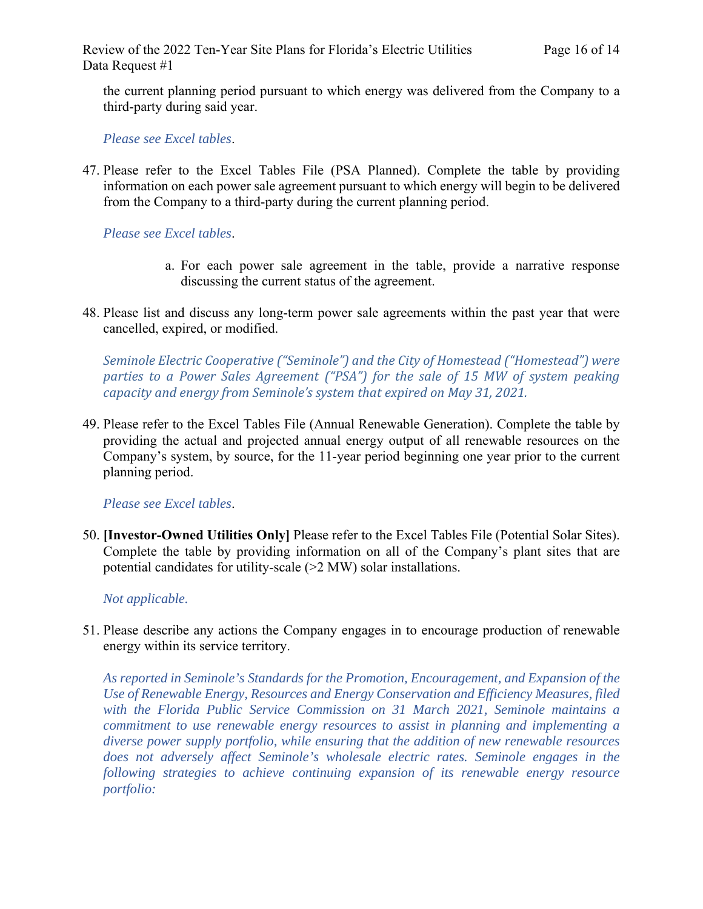the current planning period pursuant to which energy was delivered from the Company to a third-party during said year.

*Please see Excel tables*.

47. Please refer to the Excel Tables File (PSA Planned). Complete the table by providing information on each power sale agreement pursuant to which energy will begin to be delivered from the Company to a third-party during the current planning period.

#### *Please see Excel tables*.

- a. For each power sale agreement in the table, provide a narrative response discussing the current status of the agreement.
- 48. Please list and discuss any long-term power sale agreements within the past year that were cancelled, expired, or modified.

*Seminole Electric Cooperative ("Seminole") and the City of Homestead ("Homestead") were parties to a Power Sales Agreement ("PSA") for the sale of 15 MW of system peaking capacity and energy from Seminole's system that expired on May 31, 2021.*

49. Please refer to the Excel Tables File (Annual Renewable Generation). Complete the table by providing the actual and projected annual energy output of all renewable resources on the Company's system, by source, for the 11-year period beginning one year prior to the current planning period.

#### *Please see Excel tables*.

50. **[Investor-Owned Utilities Only]** Please refer to the Excel Tables File (Potential Solar Sites). Complete the table by providing information on all of the Company's plant sites that are potential candidates for utility-scale (>2 MW) solar installations.

#### *Not applicable.*

51. Please describe any actions the Company engages in to encourage production of renewable energy within its service territory.

*As reported in Seminole's Standards for the Promotion, Encouragement, and Expansion of the Use of Renewable Energy, Resources and Energy Conservation and Efficiency Measures, filed with the Florida Public Service Commission on 31 March 2021, Seminole maintains a commitment to use renewable energy resources to assist in planning and implementing a diverse power supply portfolio, while ensuring that the addition of new renewable resources does not adversely affect Seminole's wholesale electric rates. Seminole engages in the following strategies to achieve continuing expansion of its renewable energy resource portfolio:*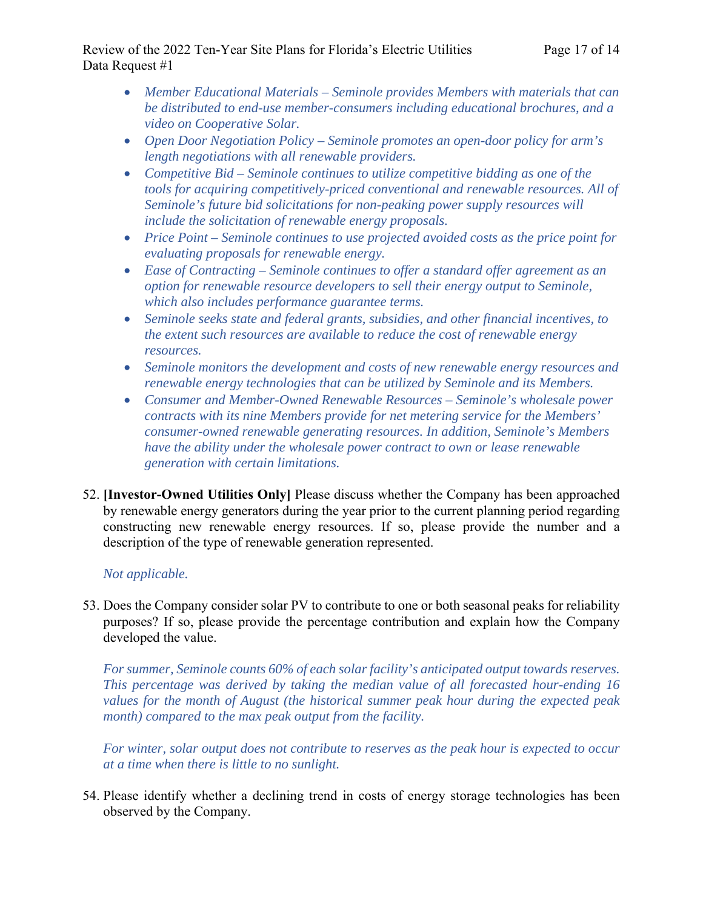# Review of the 2022 Ten-Year Site Plans for Florida's Electric Utilities Page 17 of 14 Data Request #1

- *Member Educational Materials Seminole provides Members with materials that can be distributed to end-use member-consumers including educational brochures, and a video on Cooperative Solar.*
- *Open Door Negotiation Policy Seminole promotes an open-door policy for arm's length negotiations with all renewable providers.*
- *Competitive Bid Seminole continues to utilize competitive bidding as one of the tools for acquiring competitively-priced conventional and renewable resources. All of Seminole's future bid solicitations for non-peaking power supply resources will include the solicitation of renewable energy proposals.*
- *Price Point Seminole continues to use projected avoided costs as the price point for evaluating proposals for renewable energy.*
- *Ease of Contracting Seminole continues to offer a standard offer agreement as an option for renewable resource developers to sell their energy output to Seminole, which also includes performance guarantee terms.*
- *Seminole seeks state and federal grants, subsidies, and other financial incentives, to the extent such resources are available to reduce the cost of renewable energy resources.*
- *Seminole monitors the development and costs of new renewable energy resources and renewable energy technologies that can be utilized by Seminole and its Members.*
- *Consumer and Member-Owned Renewable Resources Seminole's wholesale power contracts with its nine Members provide for net metering service for the Members' consumer-owned renewable generating resources. In addition, Seminole's Members have the ability under the wholesale power contract to own or lease renewable generation with certain limitations.*
- 52. **[Investor-Owned Utilities Only]** Please discuss whether the Company has been approached by renewable energy generators during the year prior to the current planning period regarding constructing new renewable energy resources. If so, please provide the number and a description of the type of renewable generation represented.

# *Not applicable.*

53. Does the Company consider solar PV to contribute to one or both seasonal peaks for reliability purposes? If so, please provide the percentage contribution and explain how the Company developed the value.

*For summer, Seminole counts 60% of each solar facility's anticipated output towards reserves. This percentage was derived by taking the median value of all forecasted hour-ending 16 values for the month of August (the historical summer peak hour during the expected peak month) compared to the max peak output from the facility.* 

*For winter, solar output does not contribute to reserves as the peak hour is expected to occur at a time when there is little to no sunlight.* 

54. Please identify whether a declining trend in costs of energy storage technologies has been observed by the Company.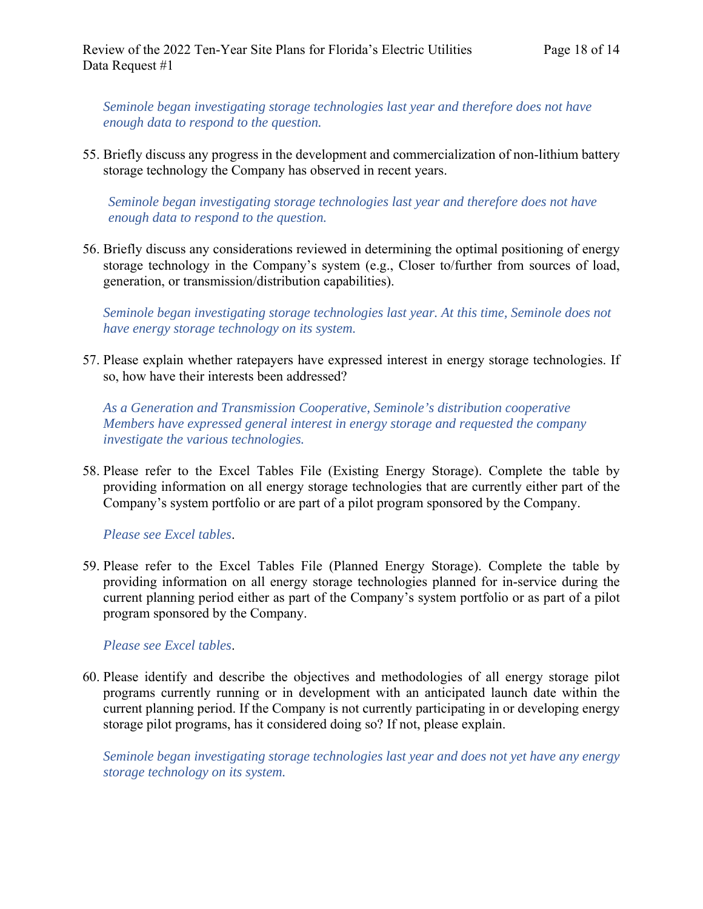*Seminole began investigating storage technologies last year and therefore does not have enough data to respond to the question.*

55. Briefly discuss any progress in the development and commercialization of non-lithium battery storage technology the Company has observed in recent years.

*Seminole began investigating storage technologies last year and therefore does not have enough data to respond to the question.* 

56. Briefly discuss any considerations reviewed in determining the optimal positioning of energy storage technology in the Company's system (e.g., Closer to/further from sources of load, generation, or transmission/distribution capabilities).

*Seminole began investigating storage technologies last year. At this time, Seminole does not have energy storage technology on its system.* 

57. Please explain whether ratepayers have expressed interest in energy storage technologies. If so, how have their interests been addressed?

*As a Generation and Transmission Cooperative, Seminole's distribution cooperative Members have expressed general interest in energy storage and requested the company investigate the various technologies.* 

58. Please refer to the Excel Tables File (Existing Energy Storage). Complete the table by providing information on all energy storage technologies that are currently either part of the Company's system portfolio or are part of a pilot program sponsored by the Company.

*Please see Excel tables*.

59. Please refer to the Excel Tables File (Planned Energy Storage). Complete the table by providing information on all energy storage technologies planned for in-service during the current planning period either as part of the Company's system portfolio or as part of a pilot program sponsored by the Company.

*Please see Excel tables*.

60. Please identify and describe the objectives and methodologies of all energy storage pilot programs currently running or in development with an anticipated launch date within the current planning period. If the Company is not currently participating in or developing energy storage pilot programs, has it considered doing so? If not, please explain.

*Seminole began investigating storage technologies last year and does not yet have any energy storage technology on its system.*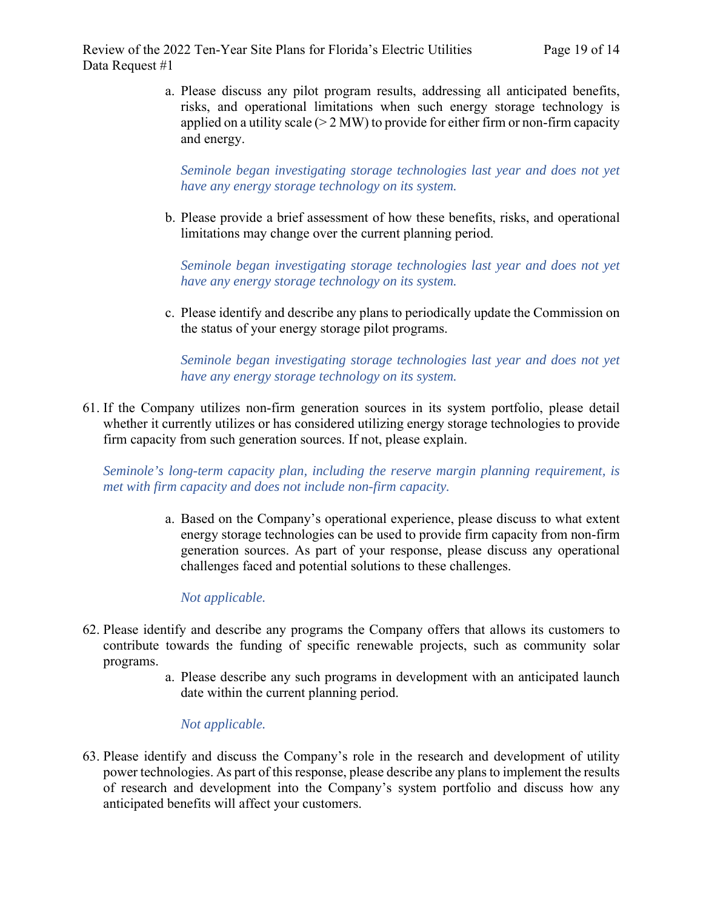Review of the 2022 Ten-Year Site Plans for Florida's Electric Utilities Page 19 of 14 Data Request #1

a. Please discuss any pilot program results, addressing all anticipated benefits, risks, and operational limitations when such energy storage technology is applied on a utility scale  $(> 2 MW)$  to provide for either firm or non-firm capacity and energy.

*Seminole began investigating storage technologies last year and does not yet have any energy storage technology on its system.* 

b. Please provide a brief assessment of how these benefits, risks, and operational limitations may change over the current planning period.

*Seminole began investigating storage technologies last year and does not yet have any energy storage technology on its system.* 

c. Please identify and describe any plans to periodically update the Commission on the status of your energy storage pilot programs.

*Seminole began investigating storage technologies last year and does not yet have any energy storage technology on its system.* 

61. If the Company utilizes non-firm generation sources in its system portfolio, please detail whether it currently utilizes or has considered utilizing energy storage technologies to provide firm capacity from such generation sources. If not, please explain.

*Seminole's long-term capacity plan, including the reserve margin planning requirement, is met with firm capacity and does not include non-firm capacity.* 

> a. Based on the Company's operational experience, please discuss to what extent energy storage technologies can be used to provide firm capacity from non-firm generation sources. As part of your response, please discuss any operational challenges faced and potential solutions to these challenges.

# *Not applicable.*

- 62. Please identify and describe any programs the Company offers that allows its customers to contribute towards the funding of specific renewable projects, such as community solar programs.
	- a. Please describe any such programs in development with an anticipated launch date within the current planning period.

# *Not applicable.*

63. Please identify and discuss the Company's role in the research and development of utility power technologies. As part of this response, please describe any plans to implement the results of research and development into the Company's system portfolio and discuss how any anticipated benefits will affect your customers.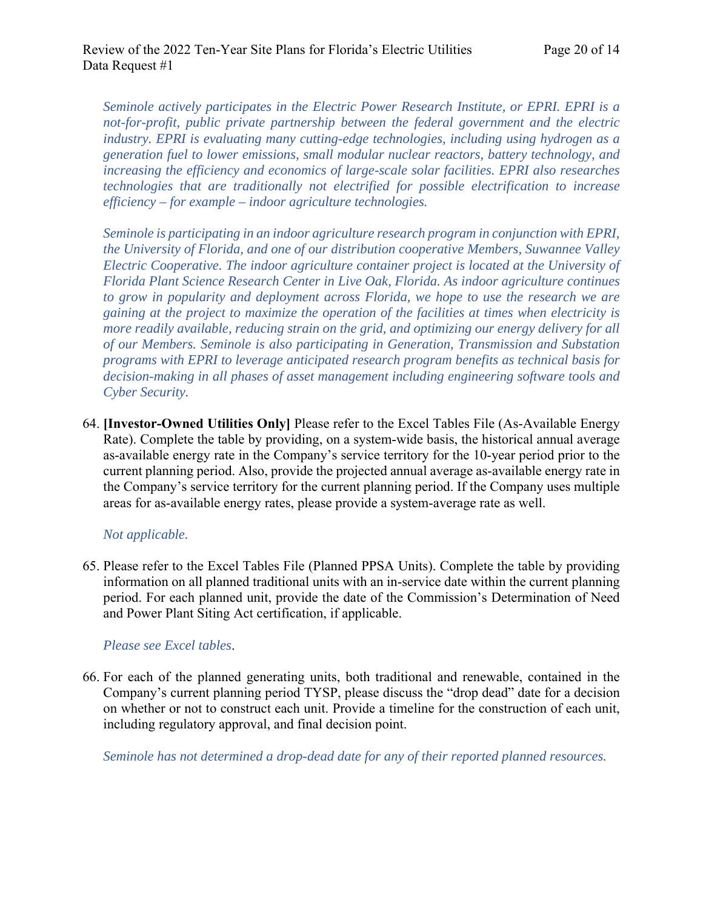*Seminole actively participates in the Electric Power Research Institute, or EPRI. EPRI is a not-for-profit, public private partnership between the federal government and the electric industry. EPRI is evaluating many cutting-edge technologies, including using hydrogen as a generation fuel to lower emissions, small modular nuclear reactors, battery technology, and increasing the efficiency and economics of large-scale solar facilities. EPRI also researches technologies that are traditionally not electrified for possible electrification to increase efficiency – for example – indoor agriculture technologies.* 

*Seminole is participating in an indoor agriculture research program in conjunction with EPRI, the University of Florida, and one of our distribution cooperative Members, Suwannee Valley Electric Cooperative. The indoor agriculture container project is located at the University of Florida Plant Science Research Center in Live Oak, Florida. As indoor agriculture continues to grow in popularity and deployment across Florida, we hope to use the research we are gaining at the project to maximize the operation of the facilities at times when electricity is more readily available, reducing strain on the grid, and optimizing our energy delivery for all of our Members. Seminole is also participating in Generation, Transmission and Substation programs with EPRI to leverage anticipated research program benefits as technical basis for decision-making in all phases of asset management including engineering software tools and Cyber Security.* 

64. **[Investor-Owned Utilities Only]** Please refer to the Excel Tables File (As-Available Energy Rate). Complete the table by providing, on a system-wide basis, the historical annual average as-available energy rate in the Company's service territory for the 10-year period prior to the current planning period. Also, provide the projected annual average as-available energy rate in the Company's service territory for the current planning period. If the Company uses multiple areas for as-available energy rates, please provide a system-average rate as well.

#### *Not applicable.*

65. Please refer to the Excel Tables File (Planned PPSA Units). Complete the table by providing information on all planned traditional units with an in-service date within the current planning period. For each planned unit, provide the date of the Commission's Determination of Need and Power Plant Siting Act certification, if applicable.

#### *Please see Excel tables*.

66. For each of the planned generating units, both traditional and renewable, contained in the Company's current planning period TYSP, please discuss the "drop dead" date for a decision on whether or not to construct each unit. Provide a timeline for the construction of each unit, including regulatory approval, and final decision point.

*Seminole has not determined a drop-dead date for any of their reported planned resources.*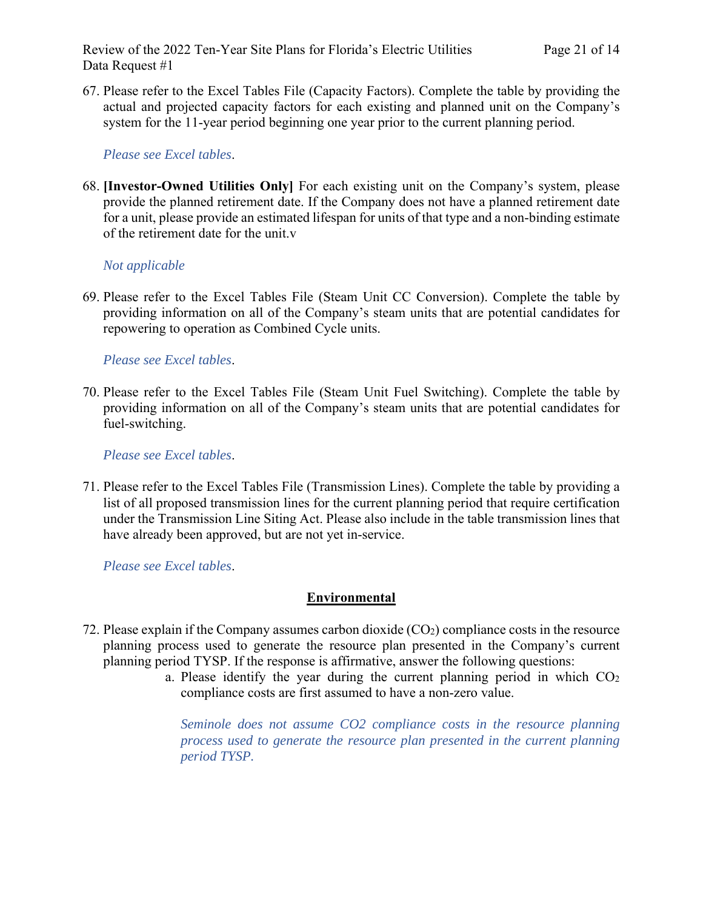Review of the 2022 Ten-Year Site Plans for Florida's Electric Utilities Page 21 of 14 Data Request #1

67. Please refer to the Excel Tables File (Capacity Factors). Complete the table by providing the actual and projected capacity factors for each existing and planned unit on the Company's system for the 11-year period beginning one year prior to the current planning period.

#### *Please see Excel tables*.

68. **[Investor-Owned Utilities Only]** For each existing unit on the Company's system, please provide the planned retirement date. If the Company does not have a planned retirement date for a unit, please provide an estimated lifespan for units of that type and a non-binding estimate of the retirement date for the unit.v

### *Not applicable*

69. Please refer to the Excel Tables File (Steam Unit CC Conversion). Complete the table by providing information on all of the Company's steam units that are potential candidates for repowering to operation as Combined Cycle units.

#### *Please see Excel tables*.

70. Please refer to the Excel Tables File (Steam Unit Fuel Switching). Complete the table by providing information on all of the Company's steam units that are potential candidates for fuel-switching.

*Please see Excel tables*.

71. Please refer to the Excel Tables File (Transmission Lines). Complete the table by providing a list of all proposed transmission lines for the current planning period that require certification under the Transmission Line Siting Act. Please also include in the table transmission lines that have already been approved, but are not yet in-service.

*Please see Excel tables*.

#### **Environmental**

- 72. Please explain if the Company assumes carbon dioxide  $(CO<sub>2</sub>)$  compliance costs in the resource planning process used to generate the resource plan presented in the Company's current planning period TYSP. If the response is affirmative, answer the following questions:
	- a. Please identify the year during the current planning period in which  $CO<sub>2</sub>$ compliance costs are first assumed to have a non-zero value.

*Seminole does not assume CO2 compliance costs in the resource planning process used to generate the resource plan presented in the current planning period TYSP.*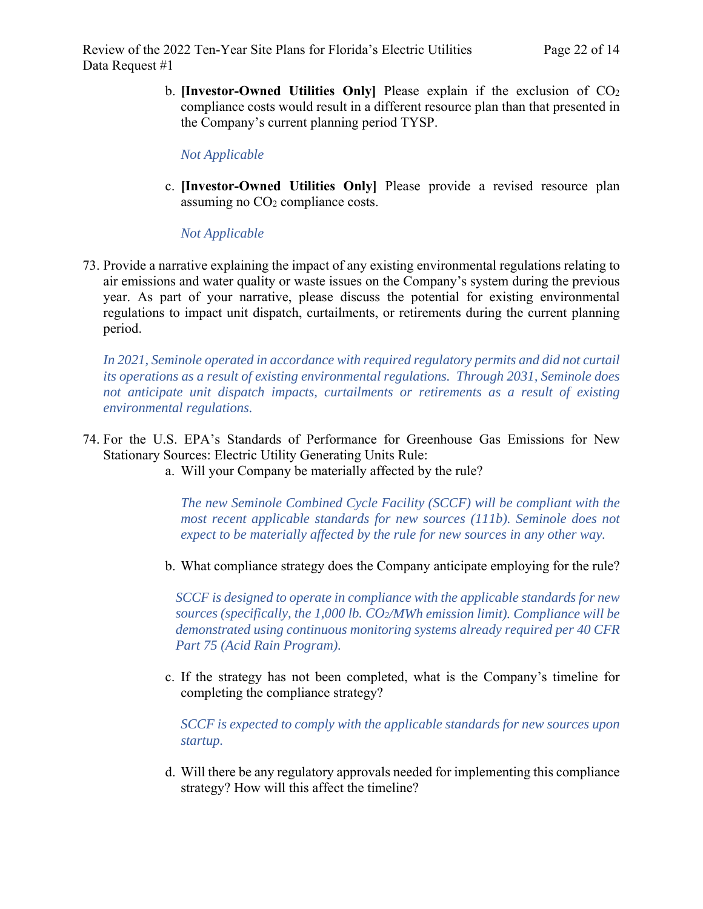b. **[Investor-Owned Utilities Only]** Please explain if the exclusion of CO2 compliance costs would result in a different resource plan than that presented in the Company's current planning period TYSP.

*Not Applicable* 

c. **[Investor-Owned Utilities Only]** Please provide a revised resource plan assuming no CO2 compliance costs.

*Not Applicable* 

73. Provide a narrative explaining the impact of any existing environmental regulations relating to air emissions and water quality or waste issues on the Company's system during the previous year. As part of your narrative, please discuss the potential for existing environmental regulations to impact unit dispatch, curtailments, or retirements during the current planning period.

In 2021, Seminole operated in accordance with required regulatory permits and did not curtail *its operations as a result of existing environmental regulations. Through 2031, Seminole does not anticipate unit dispatch impacts, curtailments or retirements as a result of existing environmental regulations.*

- 74. For the U.S. EPA's Standards of Performance for Greenhouse Gas Emissions for New Stationary Sources: Electric Utility Generating Units Rule:
	- a. Will your Company be materially affected by the rule?

*The new Seminole Combined Cycle Facility (SCCF) will be compliant with the most recent applicable standards for new sources (111b). Seminole does not expect to be materially affected by the rule for new sources in any other way.*

b. What compliance strategy does the Company anticipate employing for the rule?

*SCCF is designed to operate in compliance with the applicable standards for new sources (specifically, the 1,000 lb. CO2/MWh emission limit). Compliance will be demonstrated using continuous monitoring systems already required per 40 CFR Part 75 (Acid Rain Program).*

c. If the strategy has not been completed, what is the Company's timeline for completing the compliance strategy?

*SCCF is expected to comply with the applicable standards for new sources upon startup.*

d. Will there be any regulatory approvals needed for implementing this compliance strategy? How will this affect the timeline?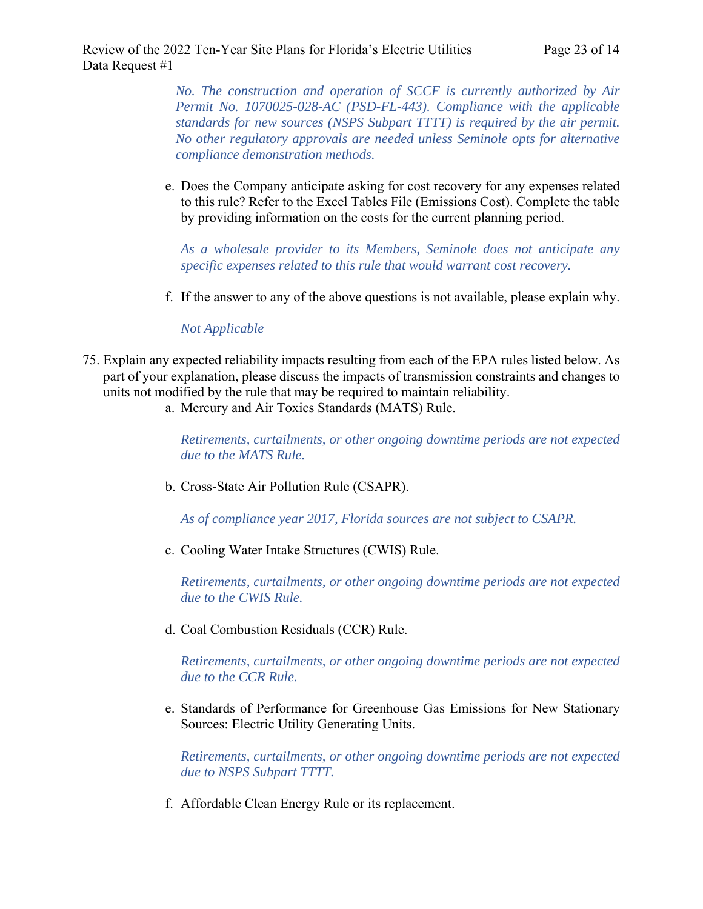*No. The construction and operation of SCCF is currently authorized by Air Permit No. 1070025-028-AC (PSD-FL-443). Compliance with the applicable standards for new sources (NSPS Subpart TTTT) is required by the air permit. No other regulatory approvals are needed unless Seminole opts for alternative compliance demonstration methods.* 

e. Does the Company anticipate asking for cost recovery for any expenses related to this rule? Refer to the Excel Tables File (Emissions Cost). Complete the table by providing information on the costs for the current planning period.

*As a wholesale provider to its Members, Seminole does not anticipate any specific expenses related to this rule that would warrant cost recovery.* 

f. If the answer to any of the above questions is not available, please explain why.

#### *Not Applicable*

- 75. Explain any expected reliability impacts resulting from each of the EPA rules listed below. As part of your explanation, please discuss the impacts of transmission constraints and changes to units not modified by the rule that may be required to maintain reliability.
	- a. Mercury and Air Toxics Standards (MATS) Rule.

*Retirements, curtailments, or other ongoing downtime periods are not expected due to the MATS Rule.* 

b. Cross-State Air Pollution Rule (CSAPR).

*As of compliance year 2017, Florida sources are not subject to CSAPR.*

c. Cooling Water Intake Structures (CWIS) Rule.

*Retirements, curtailments, or other ongoing downtime periods are not expected due to the CWIS Rule.*

d. Coal Combustion Residuals (CCR) Rule.

*Retirements, curtailments, or other ongoing downtime periods are not expected due to the CCR Rule.*

e. Standards of Performance for Greenhouse Gas Emissions for New Stationary Sources: Electric Utility Generating Units.

*Retirements, curtailments, or other ongoing downtime periods are not expected due to NSPS Subpart TTTT.*

f. Affordable Clean Energy Rule or its replacement.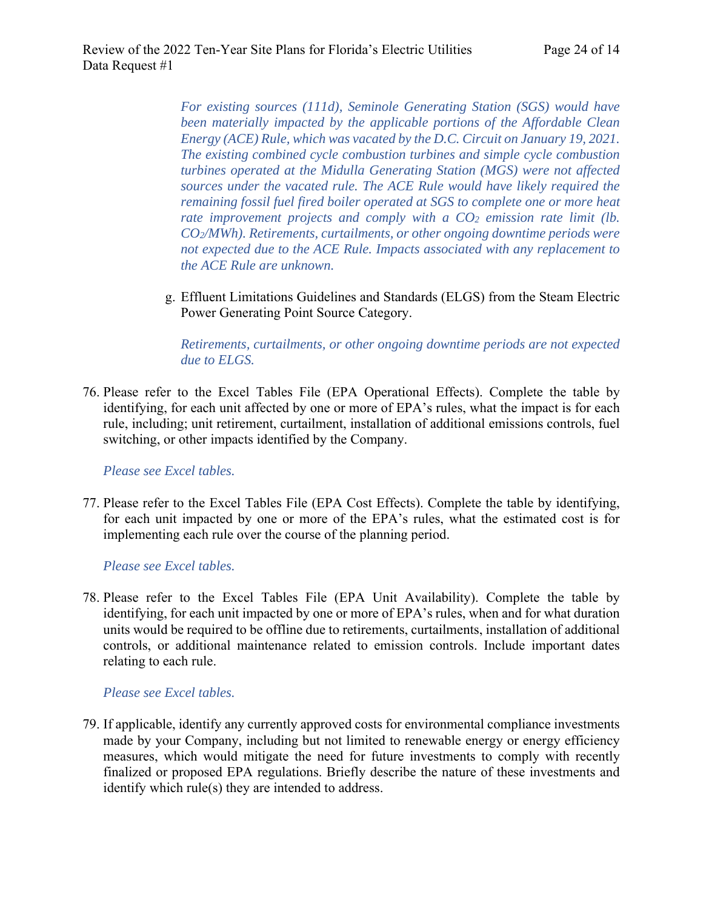*For existing sources (111d), Seminole Generating Station (SGS) would have been materially impacted by the applicable portions of the Affordable Clean Energy (ACE) Rule, which was vacated by the D.C. Circuit on January 19, 2021. The existing combined cycle combustion turbines and simple cycle combustion turbines operated at the Midulla Generating Station (MGS) were not affected sources under the vacated rule. The ACE Rule would have likely required the remaining fossil fuel fired boiler operated at SGS to complete one or more heat rate improvement projects and comply with a CO<sub>2</sub> emission rate limit (lb. CO2/MWh). Retirements, curtailments, or other ongoing downtime periods were not expected due to the ACE Rule. Impacts associated with any replacement to the ACE Rule are unknown.*

g. Effluent Limitations Guidelines and Standards (ELGS) from the Steam Electric Power Generating Point Source Category.

*Retirements, curtailments, or other ongoing downtime periods are not expected due to ELGS.*

76. Please refer to the Excel Tables File (EPA Operational Effects). Complete the table by identifying, for each unit affected by one or more of EPA's rules, what the impact is for each rule, including; unit retirement, curtailment, installation of additional emissions controls, fuel switching, or other impacts identified by the Company.

*Please see Excel tables.*

77. Please refer to the Excel Tables File (EPA Cost Effects). Complete the table by identifying, for each unit impacted by one or more of the EPA's rules, what the estimated cost is for implementing each rule over the course of the planning period.

*Please see Excel tables.*

78. Please refer to the Excel Tables File (EPA Unit Availability). Complete the table by identifying, for each unit impacted by one or more of EPA's rules, when and for what duration units would be required to be offline due to retirements, curtailments, installation of additional controls, or additional maintenance related to emission controls. Include important dates relating to each rule.

#### *Please see Excel tables.*

79. If applicable, identify any currently approved costs for environmental compliance investments made by your Company, including but not limited to renewable energy or energy efficiency measures, which would mitigate the need for future investments to comply with recently finalized or proposed EPA regulations. Briefly describe the nature of these investments and identify which rule(s) they are intended to address.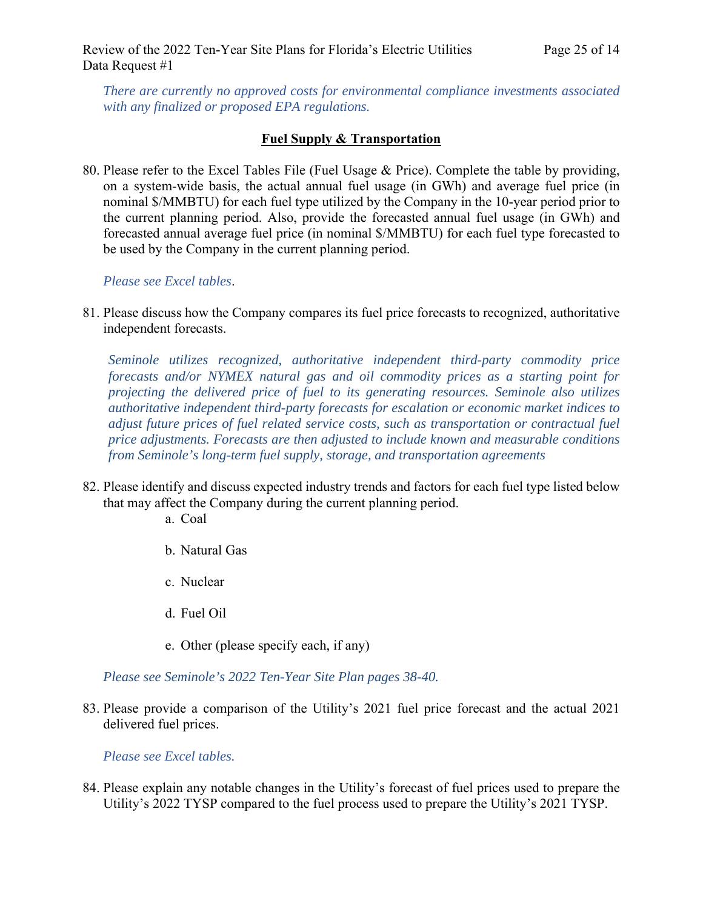*There are currently no approved costs for environmental compliance investments associated with any finalized or proposed EPA regulations.*

# **Fuel Supply & Transportation**

80. Please refer to the Excel Tables File (Fuel Usage & Price). Complete the table by providing, on a system-wide basis, the actual annual fuel usage (in GWh) and average fuel price (in nominal \$/MMBTU) for each fuel type utilized by the Company in the 10-year period prior to the current planning period. Also, provide the forecasted annual fuel usage (in GWh) and forecasted annual average fuel price (in nominal \$/MMBTU) for each fuel type forecasted to be used by the Company in the current planning period.

*Please see Excel tables*.

81. Please discuss how the Company compares its fuel price forecasts to recognized, authoritative independent forecasts.

*Seminole utilizes recognized, authoritative independent third-party commodity price forecasts and/or NYMEX natural gas and oil commodity prices as a starting point for projecting the delivered price of fuel to its generating resources. Seminole also utilizes authoritative independent third-party forecasts for escalation or economic market indices to adjust future prices of fuel related service costs, such as transportation or contractual fuel price adjustments. Forecasts are then adjusted to include known and measurable conditions from Seminole's long-term fuel supply, storage, and transportation agreements*

- 82. Please identify and discuss expected industry trends and factors for each fuel type listed below that may affect the Company during the current planning period.
	- a. Coal
	- b. Natural Gas
	- c. Nuclear
	- d. Fuel Oil
	- e. Other (please specify each, if any)

*Please see Seminole's 2022 Ten-Year Site Plan pages 38-40.* 

83. Please provide a comparison of the Utility's 2021 fuel price forecast and the actual 2021 delivered fuel prices.

*Please see Excel tables.*

84. Please explain any notable changes in the Utility's forecast of fuel prices used to prepare the Utility's 2022 TYSP compared to the fuel process used to prepare the Utility's 2021 TYSP.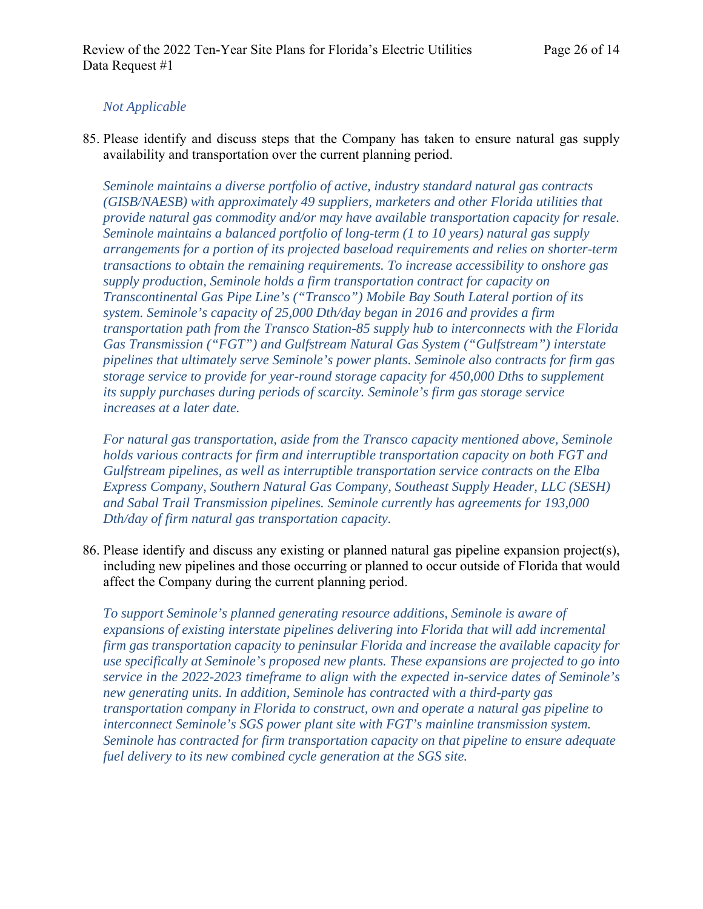# *Not Applicable*

85. Please identify and discuss steps that the Company has taken to ensure natural gas supply availability and transportation over the current planning period.

*Seminole maintains a diverse portfolio of active, industry standard natural gas contracts (GISB/NAESB) with approximately 49 suppliers, marketers and other Florida utilities that provide natural gas commodity and/or may have available transportation capacity for resale. Seminole maintains a balanced portfolio of long-term (1 to 10 years) natural gas supply arrangements for a portion of its projected baseload requirements and relies on shorter-term transactions to obtain the remaining requirements. To increase accessibility to onshore gas supply production, Seminole holds a firm transportation contract for capacity on Transcontinental Gas Pipe Line's ("Transco") Mobile Bay South Lateral portion of its system. Seminole's capacity of 25,000 Dth/day began in 2016 and provides a firm transportation path from the Transco Station-85 supply hub to interconnects with the Florida Gas Transmission ("FGT") and Gulfstream Natural Gas System ("Gulfstream") interstate pipelines that ultimately serve Seminole's power plants. Seminole also contracts for firm gas storage service to provide for year-round storage capacity for 450,000 Dths to supplement its supply purchases during periods of scarcity. Seminole's firm gas storage service increases at a later date.* 

*For natural gas transportation, aside from the Transco capacity mentioned above, Seminole holds various contracts for firm and interruptible transportation capacity on both FGT and Gulfstream pipelines, as well as interruptible transportation service contracts on the Elba Express Company, Southern Natural Gas Company, Southeast Supply Header, LLC (SESH) and Sabal Trail Transmission pipelines. Seminole currently has agreements for 193,000 Dth/day of firm natural gas transportation capacity.* 

86. Please identify and discuss any existing or planned natural gas pipeline expansion project(s), including new pipelines and those occurring or planned to occur outside of Florida that would affect the Company during the current planning period.

*To support Seminole's planned generating resource additions, Seminole is aware of expansions of existing interstate pipelines delivering into Florida that will add incremental firm gas transportation capacity to peninsular Florida and increase the available capacity for use specifically at Seminole's proposed new plants. These expansions are projected to go into service in the 2022-2023 timeframe to align with the expected in-service dates of Seminole's new generating units. In addition, Seminole has contracted with a third-party gas transportation company in Florida to construct, own and operate a natural gas pipeline to interconnect Seminole's SGS power plant site with FGT's mainline transmission system. Seminole has contracted for firm transportation capacity on that pipeline to ensure adequate fuel delivery to its new combined cycle generation at the SGS site.*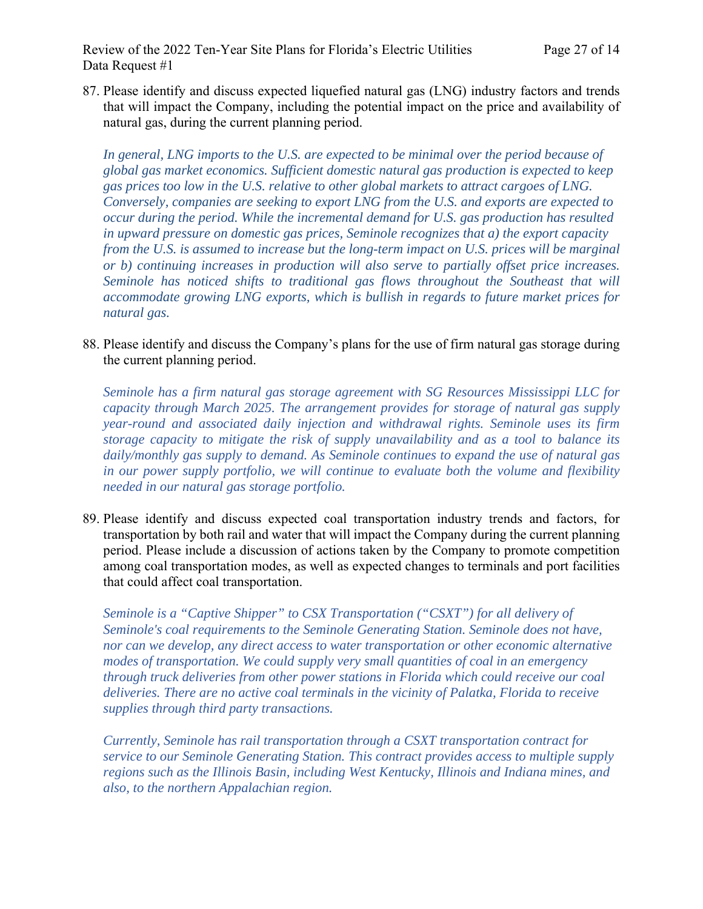87. Please identify and discuss expected liquefied natural gas (LNG) industry factors and trends that will impact the Company, including the potential impact on the price and availability of natural gas, during the current planning period.

In general, LNG imports to the U.S. are expected to be minimal over the period because of *global gas market economics. Sufficient domestic natural gas production is expected to keep gas prices too low in the U.S. relative to other global markets to attract cargoes of LNG. Conversely, companies are seeking to export LNG from the U.S. and exports are expected to occur during the period. While the incremental demand for U.S. gas production has resulted in upward pressure on domestic gas prices, Seminole recognizes that a) the export capacity from the U.S. is assumed to increase but the long-term impact on U.S. prices will be marginal or b) continuing increases in production will also serve to partially offset price increases. Seminole has noticed shifts to traditional gas flows throughout the Southeast that will accommodate growing LNG exports, which is bullish in regards to future market prices for natural gas.* 

88. Please identify and discuss the Company's plans for the use of firm natural gas storage during the current planning period.

*Seminole has a firm natural gas storage agreement with SG Resources Mississippi LLC for capacity through March 2025. The arrangement provides for storage of natural gas supply year-round and associated daily injection and withdrawal rights. Seminole uses its firm storage capacity to mitigate the risk of supply unavailability and as a tool to balance its daily/monthly gas supply to demand. As Seminole continues to expand the use of natural gas in our power supply portfolio, we will continue to evaluate both the volume and flexibility needed in our natural gas storage portfolio.* 

89. Please identify and discuss expected coal transportation industry trends and factors, for transportation by both rail and water that will impact the Company during the current planning period. Please include a discussion of actions taken by the Company to promote competition among coal transportation modes, as well as expected changes to terminals and port facilities that could affect coal transportation.

*Seminole is a "Captive Shipper" to CSX Transportation ("CSXT") for all delivery of Seminole's coal requirements to the Seminole Generating Station. Seminole does not have, nor can we develop, any direct access to water transportation or other economic alternative modes of transportation. We could supply very small quantities of coal in an emergency through truck deliveries from other power stations in Florida which could receive our coal deliveries. There are no active coal terminals in the vicinity of Palatka, Florida to receive supplies through third party transactions.* 

 *Currently, Seminole has rail transportation through a CSXT transportation contract for service to our Seminole Generating Station. This contract provides access to multiple supply regions such as the Illinois Basin, including West Kentucky, Illinois and Indiana mines, and also, to the northern Appalachian region.*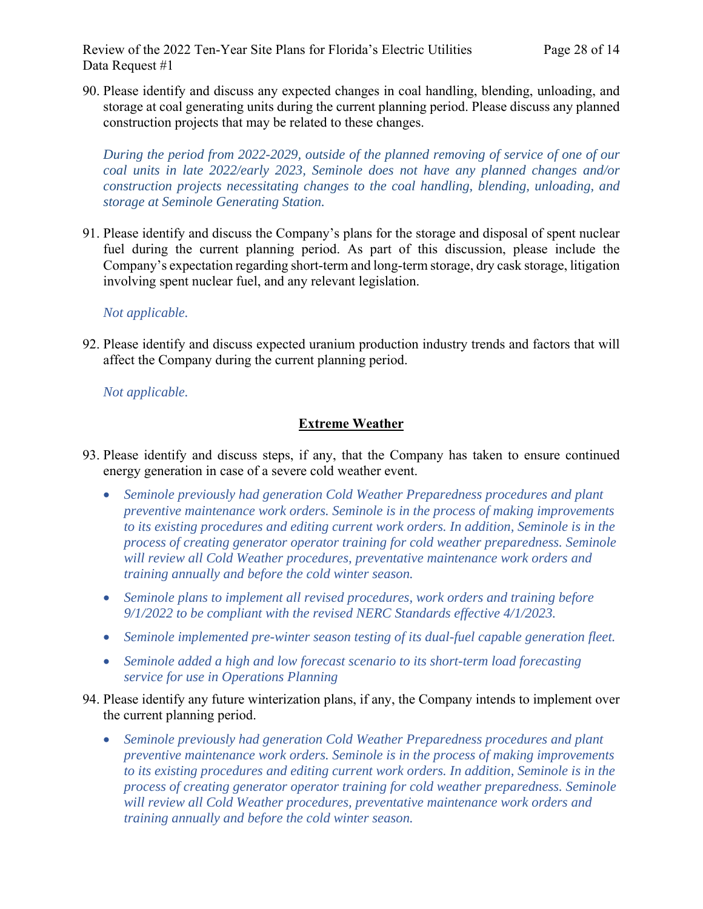Review of the 2022 Ten-Year Site Plans for Florida's Electric Utilities Page 28 of 14 Data Request #1

90. Please identify and discuss any expected changes in coal handling, blending, unloading, and storage at coal generating units during the current planning period. Please discuss any planned construction projects that may be related to these changes.

*During the period from 2022-2029, outside of the planned removing of service of one of our coal units in late 2022/early 2023, Seminole does not have any planned changes and/or construction projects necessitating changes to the coal handling, blending, unloading, and storage at Seminole Generating Station.* 

91. Please identify and discuss the Company's plans for the storage and disposal of spent nuclear fuel during the current planning period. As part of this discussion, please include the Company's expectation regarding short-term and long-term storage, dry cask storage, litigation involving spent nuclear fuel, and any relevant legislation.

### *Not applicable.*

92. Please identify and discuss expected uranium production industry trends and factors that will affect the Company during the current planning period.

*Not applicable.*

### **Extreme Weather**

- 93. Please identify and discuss steps, if any, that the Company has taken to ensure continued energy generation in case of a severe cold weather event.
	- *Seminole previously had generation Cold Weather Preparedness procedures and plant preventive maintenance work orders. Seminole is in the process of making improvements to its existing procedures and editing current work orders. In addition, Seminole is in the process of creating generator operator training for cold weather preparedness. Seminole will review all Cold Weather procedures, preventative maintenance work orders and training annually and before the cold winter season.*
	- *Seminole plans to implement all revised procedures, work orders and training before 9/1/2022 to be compliant with the revised NERC Standards effective 4/1/2023.*
	- *Seminole implemented pre-winter season testing of its dual-fuel capable generation fleet.*
	- *Seminole added a high and low forecast scenario to its short-term load forecasting service for use in Operations Planning*
- 94. Please identify any future winterization plans, if any, the Company intends to implement over the current planning period.
	- *Seminole previously had generation Cold Weather Preparedness procedures and plant preventive maintenance work orders. Seminole is in the process of making improvements to its existing procedures and editing current work orders. In addition, Seminole is in the process of creating generator operator training for cold weather preparedness. Seminole will review all Cold Weather procedures, preventative maintenance work orders and training annually and before the cold winter season.*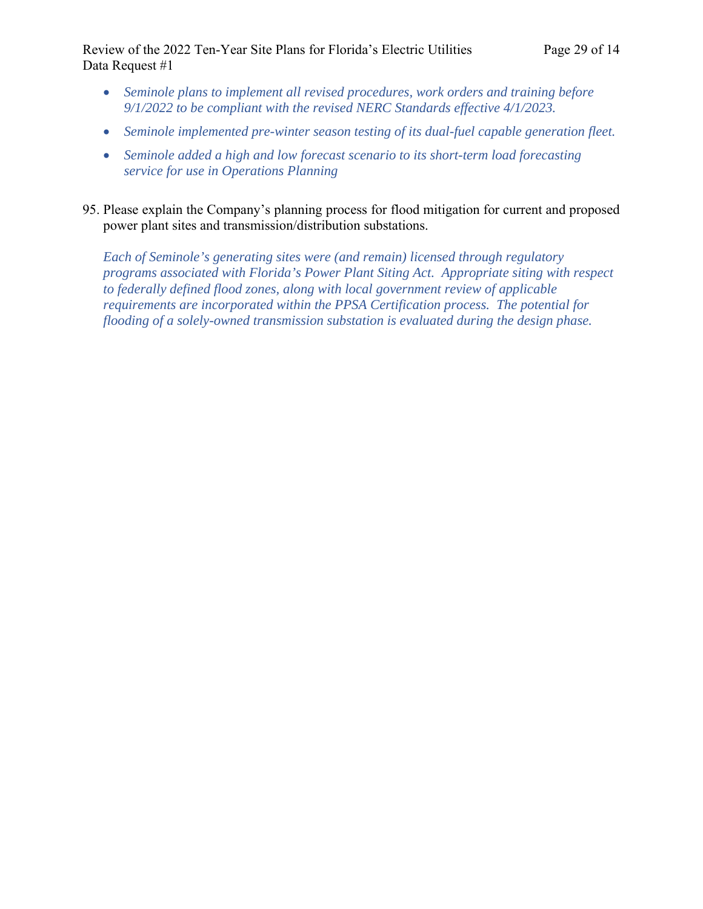Review of the 2022 Ten-Year Site Plans for Florida's Electric Utilities Page 29 of 14 Data Request #1

- *Seminole plans to implement all revised procedures, work orders and training before 9/1/2022 to be compliant with the revised NERC Standards effective 4/1/2023.*
- *Seminole implemented pre-winter season testing of its dual-fuel capable generation fleet.*
- *Seminole added a high and low forecast scenario to its short-term load forecasting service for use in Operations Planning*
- 95. Please explain the Company's planning process for flood mitigation for current and proposed power plant sites and transmission/distribution substations.

*Each of Seminole's generating sites were (and remain) licensed through regulatory programs associated with Florida's Power Plant Siting Act. Appropriate siting with respect to federally defined flood zones, along with local government review of applicable requirements are incorporated within the PPSA Certification process. The potential for flooding of a solely-owned transmission substation is evaluated during the design phase.*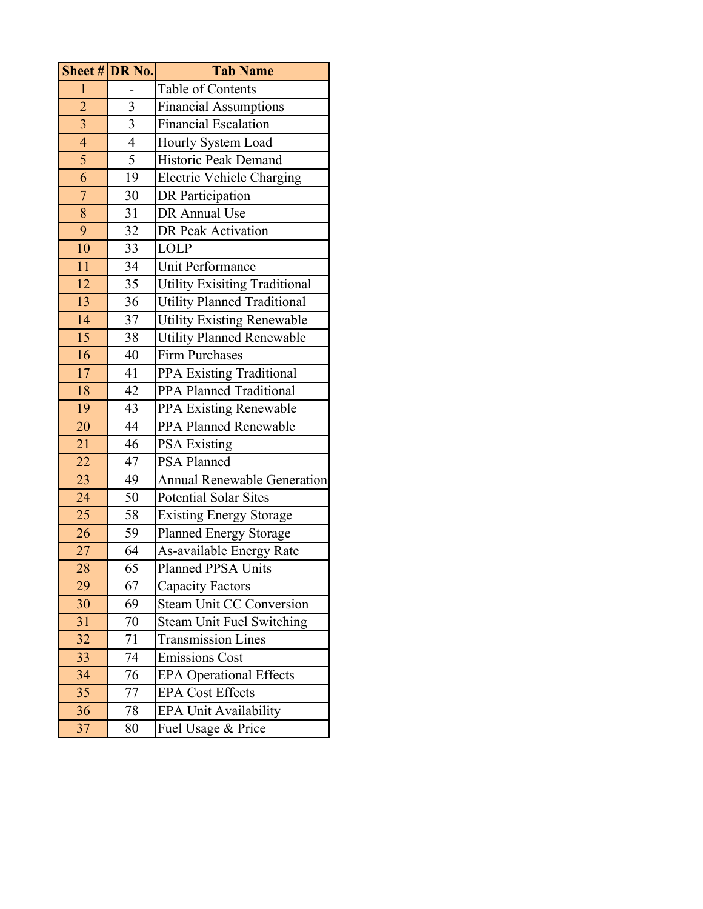| Sheet # DR No.  |                          | <b>Tab Name</b>                      |
|-----------------|--------------------------|--------------------------------------|
| $\mathbf{1}$    |                          | Table of Contents                    |
| $\overline{2}$  | 3                        | <b>Financial Assumptions</b>         |
| $\overline{3}$  | 3                        | <b>Financial Escalation</b>          |
| $\overline{4}$  | $\overline{\mathcal{A}}$ | Hourly System Load                   |
| $\overline{5}$  | $\overline{5}$           | Historic Peak Demand                 |
| 6               | 19                       | <b>Electric Vehicle Charging</b>     |
| $\overline{7}$  | 30                       | <b>DR</b> Participation              |
| 8               | 31                       | DR Annual Use                        |
| 9               | 32                       | DR Peak Activation                   |
| 10              | 33                       | <b>LOLP</b>                          |
| 11              | 34                       | Unit Performance                     |
| 12              | 35                       | <b>Utility Exisiting Traditional</b> |
| 13              | 36                       | <b>Utility Planned Traditional</b>   |
| 14              | 37                       | <b>Utility Existing Renewable</b>    |
| $\overline{15}$ | 38                       | Utility Planned Renewable            |
| 16              | 40                       | <b>Firm Purchases</b>                |
| 17              | 41                       | <b>PPA Existing Traditional</b>      |
| 18              | 42                       | <b>PPA Planned Traditional</b>       |
| 19              | 43                       | PPA Existing Renewable               |
| 20              | 44                       | PPA Planned Renewable                |
| 21              | 46                       | <b>PSA Existing</b>                  |
| 22              | 47                       | <b>PSA Planned</b>                   |
| 23              | 49                       | <b>Annual Renewable Generation</b>   |
| 24              | 50                       | <b>Potential Solar Sites</b>         |
| 25              | 58                       | <b>Existing Energy Storage</b>       |
| 26              | 59                       | Planned Energy Storage               |
| 27              | 64                       | As-available Energy Rate             |
| 28              | 65                       | Planned PPSA Units                   |
| 29              | 67                       | <b>Capacity Factors</b>              |
| 30              | 69                       | <b>Steam Unit CC Conversion</b>      |
| 31              | 70                       | <b>Steam Unit Fuel Switching</b>     |
| 32              | 71                       | <b>Transmission Lines</b>            |
| 33              | 74                       | <b>Emissions Cost</b>                |
| 34              | 76                       | <b>EPA Operational Effects</b>       |
| 35              | 77                       | <b>EPA Cost Effects</b>              |
| 36              | 78                       | <b>EPA Unit Availability</b>         |
| 37              | 80                       | Fuel Usage & Price                   |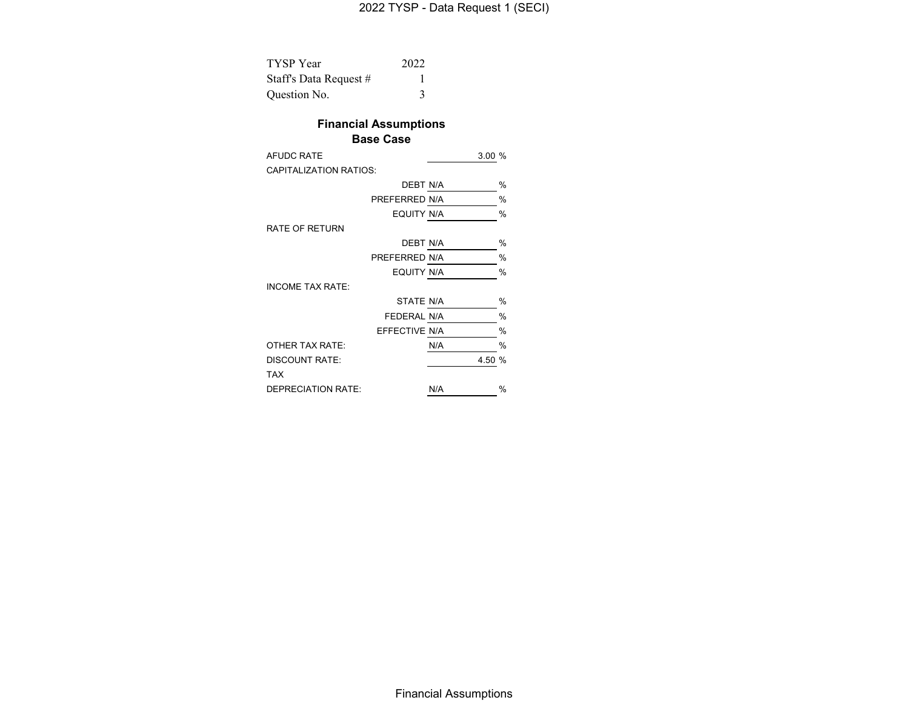| <b>TYSP</b> Year       | 2022 |
|------------------------|------|
| Staff's Data Request # |      |
| Question No.           |      |

# **Financial Assumptions**

#### **Base Case**

| <b>AFUDC RATE</b>             |               | 3.00%  |      |
|-------------------------------|---------------|--------|------|
| <b>CAPITALIZATION RATIOS:</b> |               |        |      |
|                               | DEBT N/A      |        | %    |
|                               | PREFERRED N/A |        | $\%$ |
|                               | EQUITY N/A    |        | $\%$ |
| <b>RATE OF RETURN</b>         |               |        |      |
|                               | DEBT N/A      |        | %    |
|                               | PREFERRED N/A |        | $\%$ |
|                               | EQUITY N/A    |        | $\%$ |
| <b>INCOME TAX RATE:</b>       |               |        |      |
|                               | STATE N/A     |        | %    |
|                               | FEDERAL N/A   |        | $\%$ |
|                               | EFFECTIVE N/A |        | %    |
| OTHER TAX RATE:               |               | N/A    | $\%$ |
| <b>DISCOUNT RATE:</b>         |               | 4.50 % |      |
| <b>TAX</b>                    |               |        |      |
| <b>DEPRECIATION RATE:</b>     |               | N/A    | $\%$ |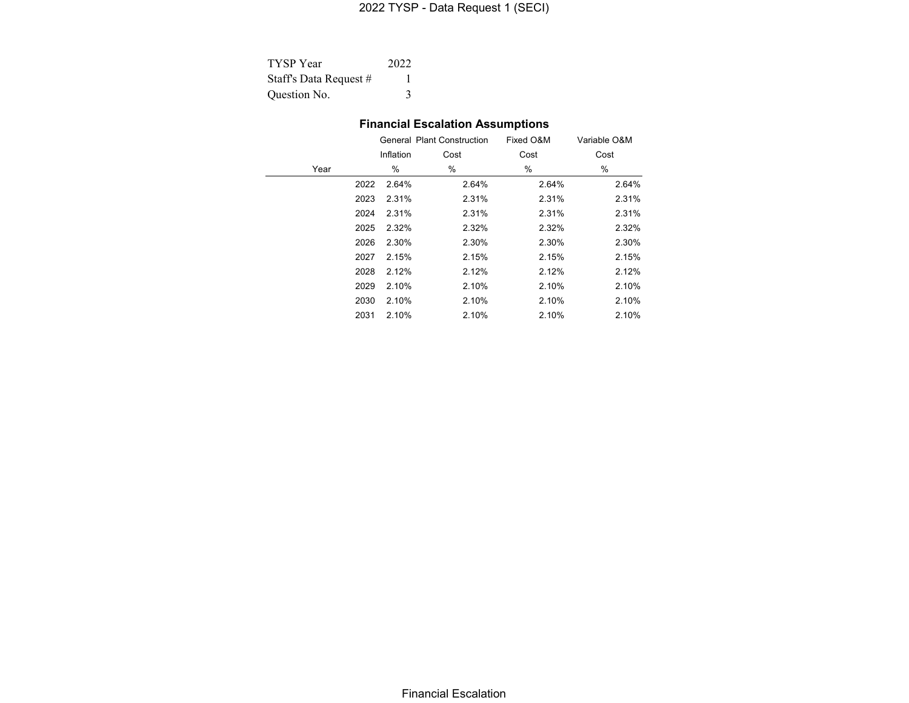# 2022 TYSP - Data Request 1 (SECI)

| <b>TYSP</b> Year       | 2022 |
|------------------------|------|
| Staff's Data Request # |      |
| Question No.           |      |

<u>—</u>

# **Financial Escalation Assumptions**

|               |       | Fixed O&M                         | Variable O&M |
|---------------|-------|-----------------------------------|--------------|
| Inflation     | Cost  | Cost                              | Cost         |
| %             | %     | %                                 | %            |
| 2.64%         | 2.64% | 2.64%                             | 2.64%        |
| 2023<br>2.31% | 2.31% | 2.31%                             | 2.31%        |
| 2.31%<br>2024 | 2.31% | 2.31%                             | 2.31%        |
| 2.32%<br>2025 | 2.32% | 2.32%                             | 2.32%        |
| 2.30%         | 2.30% | 2.30%                             | 2.30%        |
| 2.15%         | 2.15% | 2.15%                             | 2.15%        |
| 2028<br>2.12% | 2.12% | 2.12%                             | 2.12%        |
| 2.10%         | 2.10% | 2.10%                             | 2.10%        |
| 2.10%         | 2.10% | 2.10%                             | 2.10%        |
| 2.10%         | 2.10% | 2.10%                             | 2.10%        |
|               |       | <b>General Plant Construction</b> |              |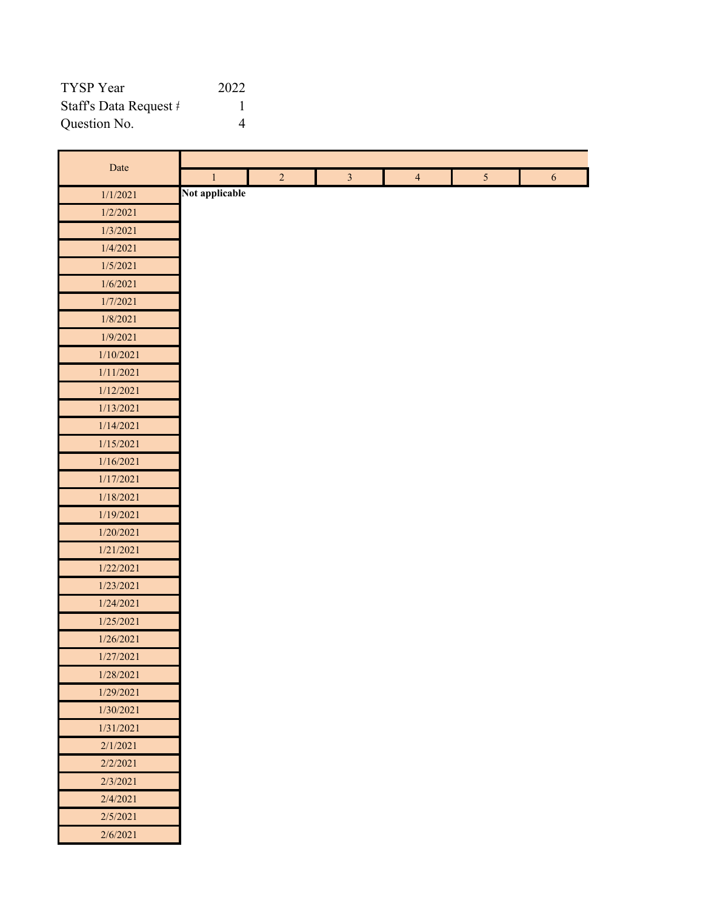| TYSP Year                       | 2022 |
|---------------------------------|------|
| Staff's Data Request $\ddagger$ |      |
| Question No.                    |      |

п

| Date      |                |                |                |                |                |            |
|-----------|----------------|----------------|----------------|----------------|----------------|------------|
|           | $\,1$          | $\overline{2}$ | $\overline{3}$ | $\overline{4}$ | 5 <sup>5</sup> | $\sqrt{6}$ |
| 1/1/2021  | Not applicable |                |                |                |                |            |
| 1/2/2021  |                |                |                |                |                |            |
| 1/3/2021  |                |                |                |                |                |            |
| 1/4/2021  |                |                |                |                |                |            |
| 1/5/2021  |                |                |                |                |                |            |
| 1/6/2021  |                |                |                |                |                |            |
| 1/7/2021  |                |                |                |                |                |            |
| 1/8/2021  |                |                |                |                |                |            |
| 1/9/2021  |                |                |                |                |                |            |
| 1/10/2021 |                |                |                |                |                |            |
| 1/11/2021 |                |                |                |                |                |            |
| 1/12/2021 |                |                |                |                |                |            |
| 1/13/2021 |                |                |                |                |                |            |
| 1/14/2021 |                |                |                |                |                |            |
| 1/15/2021 |                |                |                |                |                |            |
| 1/16/2021 |                |                |                |                |                |            |
| 1/17/2021 |                |                |                |                |                |            |
| 1/18/2021 |                |                |                |                |                |            |
| 1/19/2021 |                |                |                |                |                |            |
| 1/20/2021 |                |                |                |                |                |            |
| 1/21/2021 |                |                |                |                |                |            |
| 1/22/2021 |                |                |                |                |                |            |
| 1/23/2021 |                |                |                |                |                |            |
| 1/24/2021 |                |                |                |                |                |            |
| 1/25/2021 |                |                |                |                |                |            |
| 1/26/2021 |                |                |                |                |                |            |
| 1/27/2021 |                |                |                |                |                |            |
| 1/28/2021 |                |                |                |                |                |            |
| 1/29/2021 |                |                |                |                |                |            |
| 1/30/2021 |                |                |                |                |                |            |
| 1/31/2021 |                |                |                |                |                |            |
| 2/1/2021  |                |                |                |                |                |            |
| 2/2/2021  |                |                |                |                |                |            |
| 2/3/2021  |                |                |                |                |                |            |
| 2/4/2021  |                |                |                |                |                |            |
| 2/5/2021  |                |                |                |                |                |            |
| 2/6/2021  |                |                |                |                |                |            |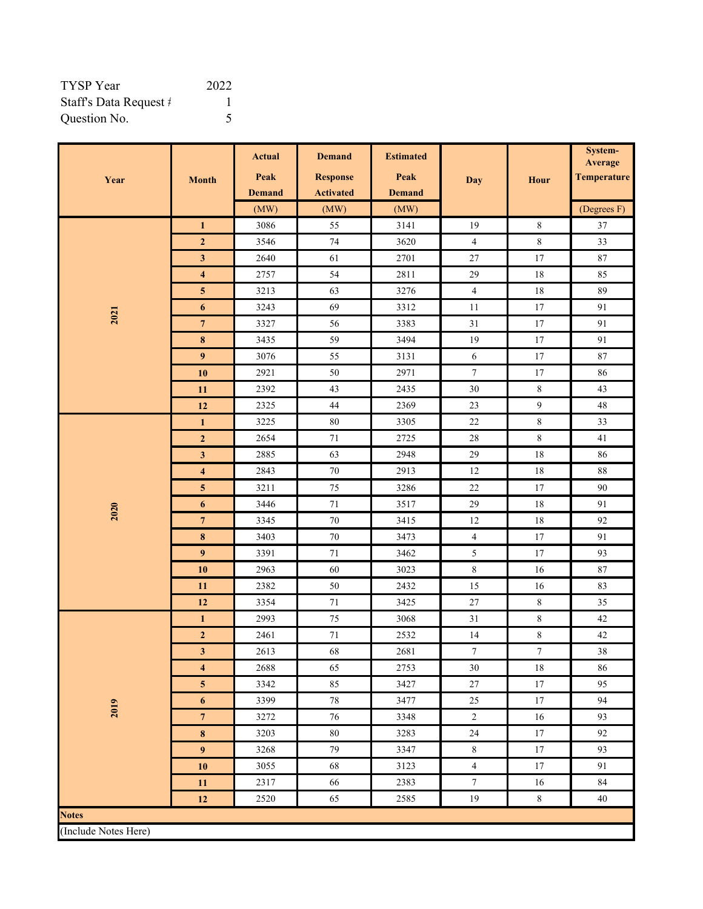| TYSP Year              | 2022 |
|------------------------|------|
| Staff's Data Request # |      |
| Question No.           |      |

|                      |                         | <b>Actual</b> | <b>Demand</b>    | <b>Estimated</b> |                  |                  | System-<br>Average |
|----------------------|-------------------------|---------------|------------------|------------------|------------------|------------------|--------------------|
| Year                 |                         | Peak          | <b>Response</b>  | Peak             | <b>Day</b>       | Hour             | <b>Temperature</b> |
|                      | <b>Month</b>            | <b>Demand</b> | <b>Activated</b> | <b>Demand</b>    |                  |                  |                    |
|                      |                         | (MW)          | (MW)             | (MW)             |                  |                  | (Degrees F)        |
|                      | $\mathbf{1}$            | 3086          | 55               | 3141             | 19               | $\,8\,$          | $37\,$             |
|                      | $\mathbf 2$             | 3546          | $74\,$           | 3620             | $\overline{4}$   | $\,8\,$          | 33                 |
|                      | $\mathbf{3}$            | 2640          | 61               | 2701             | $27\,$           | $17\,$           | $87\,$             |
|                      | $\overline{\mathbf{4}}$ | 2757          | 54               | 2811             | 29               | $18\,$           | 85                 |
|                      | $\overline{\mathbf{5}}$ | 3213          | 63               | 3276             | $\overline{4}$   | $18\,$           | 89                 |
|                      | $\boldsymbol{6}$        | 3243          | 69               | 3312             | $11\,$           | 17               | 91                 |
| 2021                 | $\overline{7}$          | 3327          | 56               | 3383             | $31\,$           | $17\,$           | 91                 |
|                      | $\pmb{8}$               | 3435          | 59               | 3494             | 19               | 17               | 91                 |
|                      | 9                       | 3076          | 55               | 3131             | $\sqrt{6}$       | $17\,$           | $87\,$             |
|                      | ${\bf 10}$              | 2921          | 50               | 2971             | $\boldsymbol{7}$ | 17               | 86                 |
|                      | 11                      | 2392          | 43               | 2435             | $30\,$           | $\,8\,$          | 43                 |
|                      | 12                      | 2325          | $44\,$           | 2369             | 23               | $\overline{9}$   | $48\,$             |
|                      | $\mathbf{1}$            | 3225          | $80\,$           | 3305             | $22\,$           | $\,8\,$          | 33                 |
|                      | $\overline{2}$          | 2654          | $71\,$           | 2725             | $28\,$           | $\,8\,$          | 41                 |
|                      | $\mathbf{3}$            | 2885          | 63               | 2948             | 29               | $18\,$           | 86                 |
|                      | $\overline{\mathbf{4}}$ | 2843          | $70\,$           | 2913             | $12\,$           | 18               | $88\,$             |
|                      | $\overline{\mathbf{5}}$ | 3211          | $75\,$           | 3286             | $22\,$           | $17\,$           | $90\,$             |
| 2020                 | $\boldsymbol{6}$        | 3446          | $71\,$           | 3517             | 29               | $18\,$           | 91                 |
|                      | $7\phantom{.0}$         | 3345          | 70               | 3415             | 12               | $18\,$           | 92                 |
|                      | $\pmb{8}$               | 3403          | $70\,$           | 3473             | $\overline{4}$   | 17               | 91                 |
|                      | $\overline{9}$          | 3391          | $71\,$           | 3462             | $\sqrt{5}$       | 17               | 93                 |
|                      | 10                      | 2963          | 60               | 3023             | $\,8\,$          | 16               | $87\,$             |
|                      | 11                      | 2382          | $50\,$           | 2432             | 15               | 16               | 83                 |
|                      | 12                      | 3354          | $71\,$           | 3425             | $27\,$           | $\,8\,$          | 35                 |
|                      | $\mathbf{1}$            | 2993          | 75               | 3068             | 31               | 8                | $42\,$             |
|                      | $\mathbf 2$             | 2461          | $71\,$           | 2532             | $14\,$           | $\,8\,$          | $42\,$             |
|                      | $\mathbf{3}$            | 2613          | 68               | 2681             | $\boldsymbol{7}$ | $\boldsymbol{7}$ | $38\,$             |
|                      | $\overline{\mathbf{4}}$ | 2688          | 65               | 2753             | 30               | $18\,$           | 86                 |
|                      | ${\bf 5}$               | 3342          | 85               | 3427             | $27\,$           | $17\,$           | 95                 |
| 2019                 | $\boldsymbol{6}$        | 3399          | $78\,$           | 3477             | 25               | $17\,$           | 94                 |
|                      | $\overline{7}$          | 3272          | $76\,$           | 3348             | $\overline{c}$   | 16               | 93                 |
|                      | $\pmb{8}$               | 3203          | $80\,$           | 3283             | $24\,$           | $17\,$           | 92                 |
|                      | $\boldsymbol{9}$        | 3268          | 79               | 3347             | $\,$ 8 $\,$      | $17\,$           | 93                 |
|                      | ${\bf 10}$              | 3055          | 68               | 3123             | $\overline{4}$   | $17\,$           | 91                 |
|                      | 11                      | 2317          | 66               | 2383             | $\boldsymbol{7}$ | 16               | 84                 |
|                      | $12$                    | 2520          | 65               | 2585             | 19               | $\,8\,$          | 40                 |
| <b>Notes</b>         |                         |               |                  |                  |                  |                  |                    |
| (Include Notes Here) |                         |               |                  |                  |                  |                  |                    |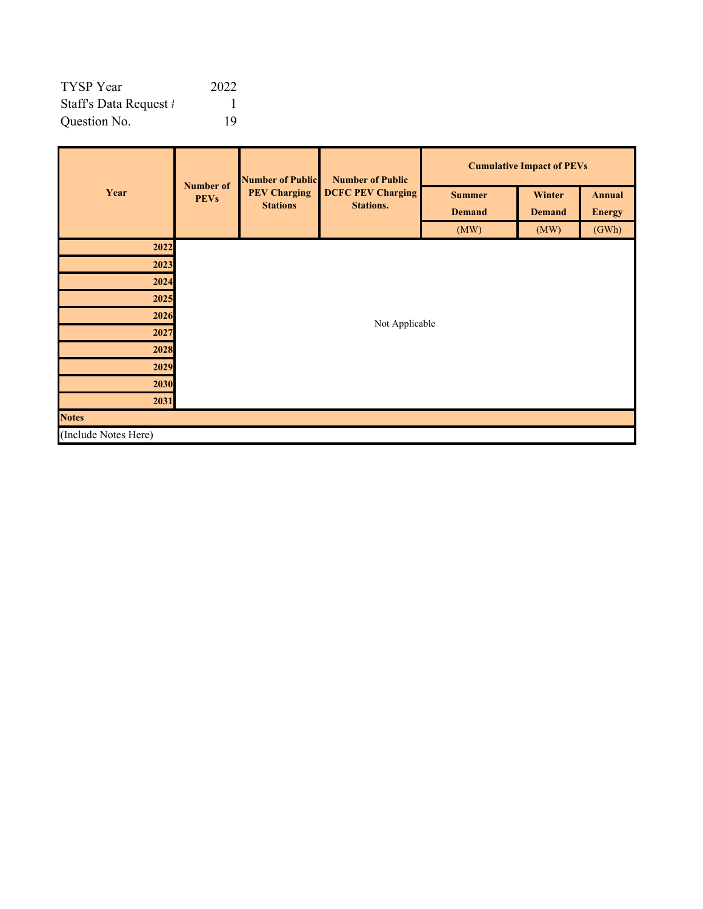| <b>TYSP</b> Year       | 2022 |
|------------------------|------|
| Staff's Data Request # |      |
| Question No.           | 19   |

|                      | <b>Number of</b> | <b>Number of Public</b> | <b>Number of Public</b><br><b>DCFC PEV Charging</b><br><b>PEV Charging</b><br><b>Stations.</b> | <b>Cumulative Impact of PEVs</b> |               |               |  |
|----------------------|------------------|-------------------------|------------------------------------------------------------------------------------------------|----------------------------------|---------------|---------------|--|
| Year                 | <b>PEVs</b>      | <b>Stations</b>         |                                                                                                | <b>Summer</b>                    | Winter        | <b>Annual</b> |  |
|                      |                  |                         |                                                                                                | <b>Demand</b>                    | <b>Demand</b> | <b>Energy</b> |  |
|                      |                  |                         |                                                                                                | (MW)                             | (MW)          | (GWh)         |  |
| 2022                 |                  |                         |                                                                                                |                                  |               |               |  |
| 2023                 |                  |                         |                                                                                                |                                  |               |               |  |
| 2024                 |                  |                         |                                                                                                |                                  |               |               |  |
| 2025                 |                  |                         |                                                                                                |                                  |               |               |  |
| 2026                 |                  | Not Applicable          |                                                                                                |                                  |               |               |  |
| 2027                 |                  |                         |                                                                                                |                                  |               |               |  |
| 2028                 |                  |                         |                                                                                                |                                  |               |               |  |
| 2029                 |                  |                         |                                                                                                |                                  |               |               |  |
| 2030                 |                  |                         |                                                                                                |                                  |               |               |  |
| 2031                 |                  |                         |                                                                                                |                                  |               |               |  |
| <b>Notes</b>         |                  |                         |                                                                                                |                                  |               |               |  |
| (Include Notes Here) |                  |                         |                                                                                                |                                  |               |               |  |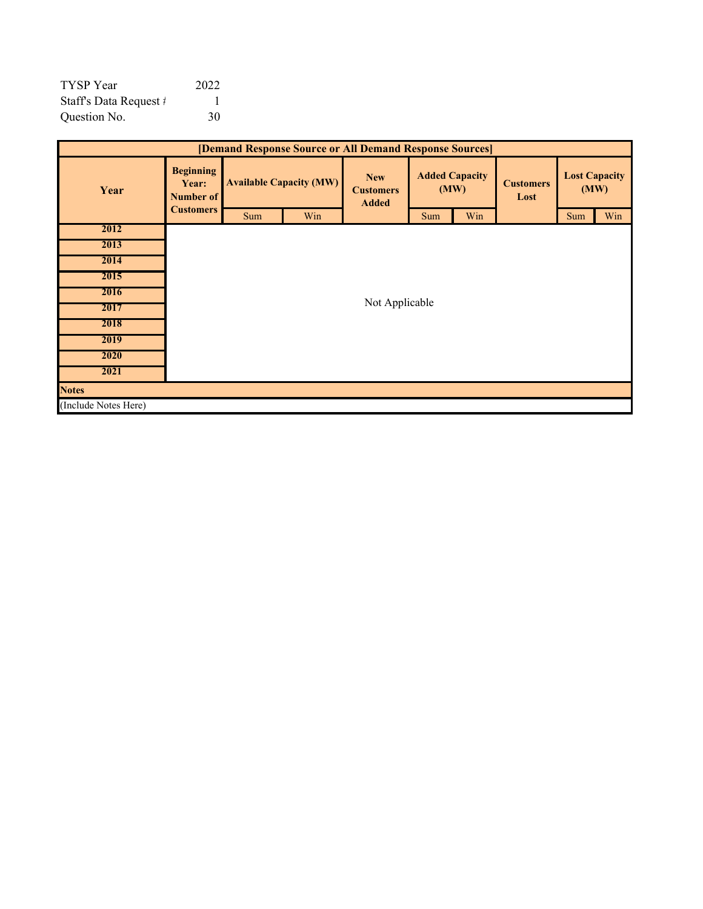| <b>TYSP</b> Year       | 2022 |
|------------------------|------|
| Staff's Data Request # |      |
| Question No.           | 30   |

| [Demand Response Source or All Demand Response Sources] |                                        |     |                                                                                                                                               |                |     |     |                              |     |     |
|---------------------------------------------------------|----------------------------------------|-----|-----------------------------------------------------------------------------------------------------------------------------------------------|----------------|-----|-----|------------------------------|-----|-----|
| Year                                                    | <b>Beginning</b><br>Year:<br>Number of |     | <b>Added Capacity</b><br><b>New</b><br><b>Available Capacity (MW)</b><br><b>Customers</b><br>(MW)<br><b>Customers</b><br>Lost<br><b>Added</b> |                |     |     | <b>Lost Capacity</b><br>(MW) |     |     |
|                                                         | <b>Customers</b>                       | Sum | Win                                                                                                                                           |                | Sum | Win |                              | Sum | Win |
| 2012                                                    |                                        |     |                                                                                                                                               |                |     |     |                              |     |     |
| 2013                                                    |                                        |     |                                                                                                                                               |                |     |     |                              |     |     |
| 2014                                                    |                                        |     |                                                                                                                                               |                |     |     |                              |     |     |
| 2015                                                    |                                        |     |                                                                                                                                               |                |     |     |                              |     |     |
| 2016                                                    |                                        |     |                                                                                                                                               |                |     |     |                              |     |     |
| 2017                                                    |                                        |     |                                                                                                                                               | Not Applicable |     |     |                              |     |     |
| 2018                                                    |                                        |     |                                                                                                                                               |                |     |     |                              |     |     |
| 2019                                                    |                                        |     |                                                                                                                                               |                |     |     |                              |     |     |
| 2020                                                    |                                        |     |                                                                                                                                               |                |     |     |                              |     |     |
| 2021                                                    |                                        |     |                                                                                                                                               |                |     |     |                              |     |     |
| <b>Notes</b>                                            |                                        |     |                                                                                                                                               |                |     |     |                              |     |     |
| (Include Notes Here)                                    |                                        |     |                                                                                                                                               |                |     |     |                              |     |     |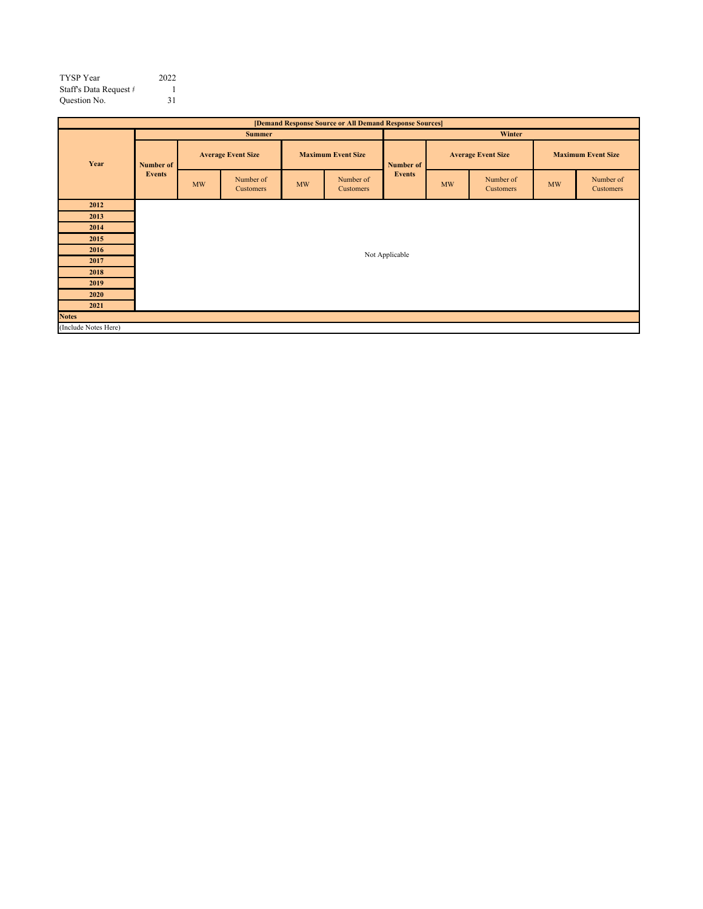| <b>TYSP</b> Year       | 2022 |
|------------------------|------|
| Staff's Data Request # |      |
| Question No.           | 31   |
|                        |      |

| [Demand Response Source or All Demand Response Sources] |                  |    |                               |    |                           |                |    |                               |                        |                           |  |
|---------------------------------------------------------|------------------|----|-------------------------------|----|---------------------------|----------------|----|-------------------------------|------------------------|---------------------------|--|
|                                                         |                  |    | <b>Summer</b>                 |    |                           | Winter         |    |                               |                        |                           |  |
| Year                                                    | <b>Number of</b> |    | <b>Average Event Size</b>     |    | <b>Maximum Event Size</b> | Number of      |    | <b>Average Event Size</b>     |                        | <b>Maximum Event Size</b> |  |
|                                                         | <b>Events</b>    | MW | Number of<br><b>Customers</b> | MW | Number of<br>Customers    | <b>Events</b>  | MW | Number of<br><b>Customers</b> | $\mathbf{M}\mathbf{W}$ | Number of<br>Customers    |  |
| 2012                                                    |                  |    |                               |    |                           |                |    |                               |                        |                           |  |
| 2013                                                    |                  |    |                               |    |                           |                |    |                               |                        |                           |  |
| 2014                                                    |                  |    |                               |    |                           |                |    |                               |                        |                           |  |
| 2015                                                    |                  |    |                               |    |                           |                |    |                               |                        |                           |  |
| 2016                                                    |                  |    |                               |    |                           | Not Applicable |    |                               |                        |                           |  |
| 2017                                                    |                  |    |                               |    |                           |                |    |                               |                        |                           |  |
| 2018                                                    |                  |    |                               |    |                           |                |    |                               |                        |                           |  |
| 2019                                                    |                  |    |                               |    |                           |                |    |                               |                        |                           |  |
| 2020                                                    |                  |    |                               |    |                           |                |    |                               |                        |                           |  |
| 2021                                                    |                  |    |                               |    |                           |                |    |                               |                        |                           |  |
| <b>Notes</b>                                            |                  |    |                               |    |                           |                |    |                               |                        |                           |  |
| (Include Notes Here)                                    |                  |    |                               |    |                           |                |    |                               |                        |                           |  |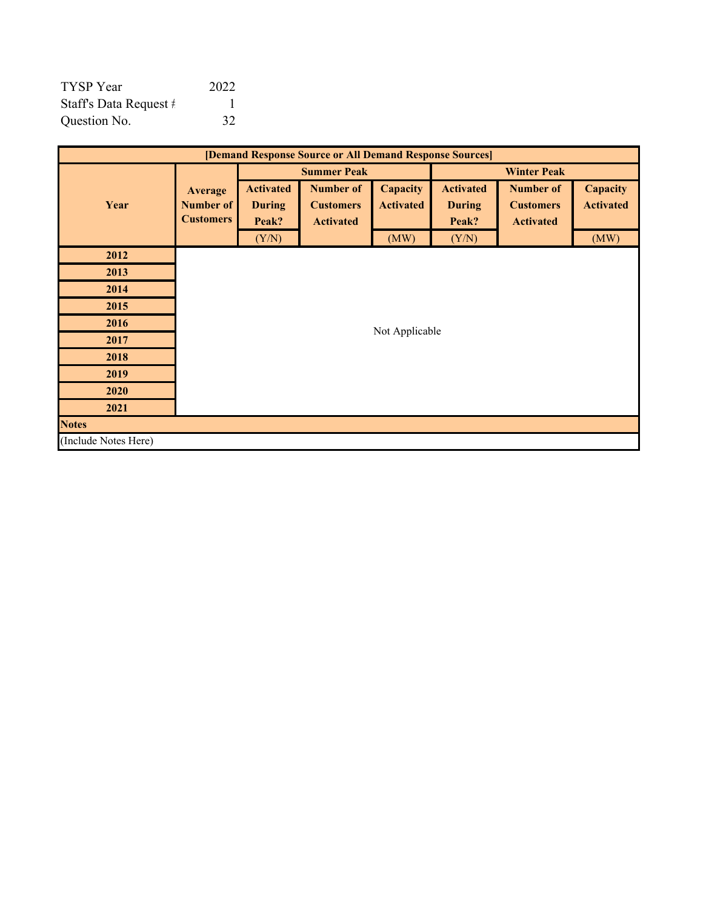| <b>TYSP</b> Year       | 2022 |
|------------------------|------|
| Staff's Data Request # |      |
| Question No.           | 32   |

| [Demand Response Source or All Demand Response Sources] |                                                 |                                            |                                                          |                              |                                            |                                                          |                              |  |  |
|---------------------------------------------------------|-------------------------------------------------|--------------------------------------------|----------------------------------------------------------|------------------------------|--------------------------------------------|----------------------------------------------------------|------------------------------|--|--|
|                                                         |                                                 |                                            | <b>Summer Peak</b>                                       | <b>Winter Peak</b>           |                                            |                                                          |                              |  |  |
| Year                                                    | <b>Average</b><br>Number of<br><b>Customers</b> | <b>Activated</b><br><b>During</b><br>Peak? | <b>Number of</b><br><b>Customers</b><br><b>Activated</b> | Capacity<br><b>Activated</b> | <b>Activated</b><br><b>During</b><br>Peak? | <b>Number of</b><br><b>Customers</b><br><b>Activated</b> | Capacity<br><b>Activated</b> |  |  |
|                                                         |                                                 | (Y/N)                                      |                                                          | (MW)                         | (Y/N)                                      |                                                          | (MW)                         |  |  |
| 2012                                                    |                                                 |                                            |                                                          |                              |                                            |                                                          |                              |  |  |
| 2013                                                    |                                                 |                                            |                                                          |                              |                                            |                                                          |                              |  |  |
| 2014                                                    |                                                 |                                            |                                                          |                              |                                            |                                                          |                              |  |  |
| 2015                                                    |                                                 |                                            |                                                          |                              |                                            |                                                          |                              |  |  |
| 2016                                                    |                                                 |                                            |                                                          | Not Applicable               |                                            |                                                          |                              |  |  |
| 2017                                                    |                                                 |                                            |                                                          |                              |                                            |                                                          |                              |  |  |
| 2018                                                    |                                                 |                                            |                                                          |                              |                                            |                                                          |                              |  |  |
| 2019                                                    |                                                 |                                            |                                                          |                              |                                            |                                                          |                              |  |  |
| 2020                                                    |                                                 |                                            |                                                          |                              |                                            |                                                          |                              |  |  |
| 2021                                                    |                                                 |                                            |                                                          |                              |                                            |                                                          |                              |  |  |
| <b>Notes</b>                                            |                                                 |                                            |                                                          |                              |                                            |                                                          |                              |  |  |
| (Include Notes Here)                                    |                                                 |                                            |                                                          |                              |                                            |                                                          |                              |  |  |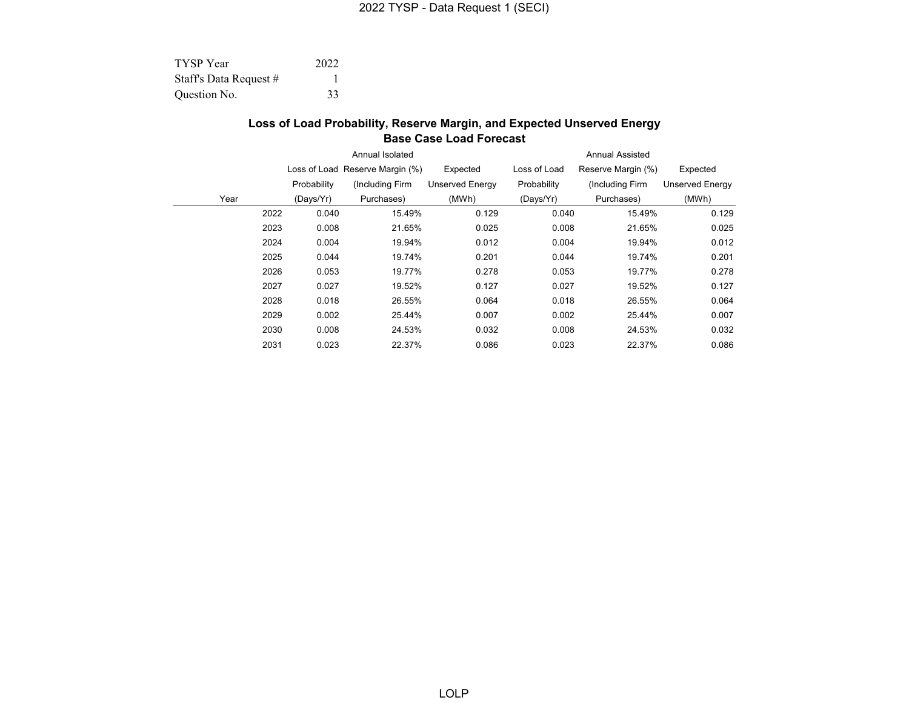| <b>TYSP</b> Year       | 2022 |
|------------------------|------|
| Staff's Data Request # |      |
| Question No.           | 33   |

#### **Loss of Load Probability, Reserve Margin, and Expected Unserved Energy Base Case Load Forecast**

|      |      |             | Annual Isolated                 |                        | <b>Annual Assisted</b> |                    |                        |  |  |  |
|------|------|-------------|---------------------------------|------------------------|------------------------|--------------------|------------------------|--|--|--|
|      |      |             | Loss of Load Reserve Margin (%) | Expected               | Loss of Load           | Reserve Margin (%) | Expected               |  |  |  |
|      |      | Probability | (Including Firm                 | <b>Unserved Energy</b> | Probability            | (Including Firm    | <b>Unserved Energy</b> |  |  |  |
| Year |      | (Days/Yr)   | Purchases)                      | (MWh)                  | (Days/Yr)              | Purchases)         | (MWh)                  |  |  |  |
|      | 2022 | 0.040       | 15.49%                          | 0.129                  | 0.040                  | 15.49%             | 0.129                  |  |  |  |
|      | 2023 | 0.008       | 21.65%                          | 0.025                  | 0.008                  | 21.65%             | 0.025                  |  |  |  |
|      | 2024 | 0.004       | 19.94%                          | 0.012                  | 0.004                  | 19.94%             | 0.012                  |  |  |  |
|      | 2025 | 0.044       | 19.74%                          | 0.201                  | 0.044                  | 19.74%             | 0.201                  |  |  |  |
|      | 2026 | 0.053       | 19.77%                          | 0.278                  | 0.053                  | 19.77%             | 0.278                  |  |  |  |
|      | 2027 | 0.027       | 19.52%                          | 0.127                  | 0.027                  | 19.52%             | 0.127                  |  |  |  |
|      | 2028 | 0.018       | 26.55%                          | 0.064                  | 0.018                  | 26.55%             | 0.064                  |  |  |  |
|      | 2029 | 0.002       | 25.44%                          | 0.007                  | 0.002                  | 25.44%             | 0.007                  |  |  |  |
|      | 2030 | 0.008       | 24.53%                          | 0.032                  | 0.008                  | 24.53%             | 0.032                  |  |  |  |
|      | 2031 | 0.023       | 22.37%                          | 0.086                  | 0.023                  | 22.37%             | 0.086                  |  |  |  |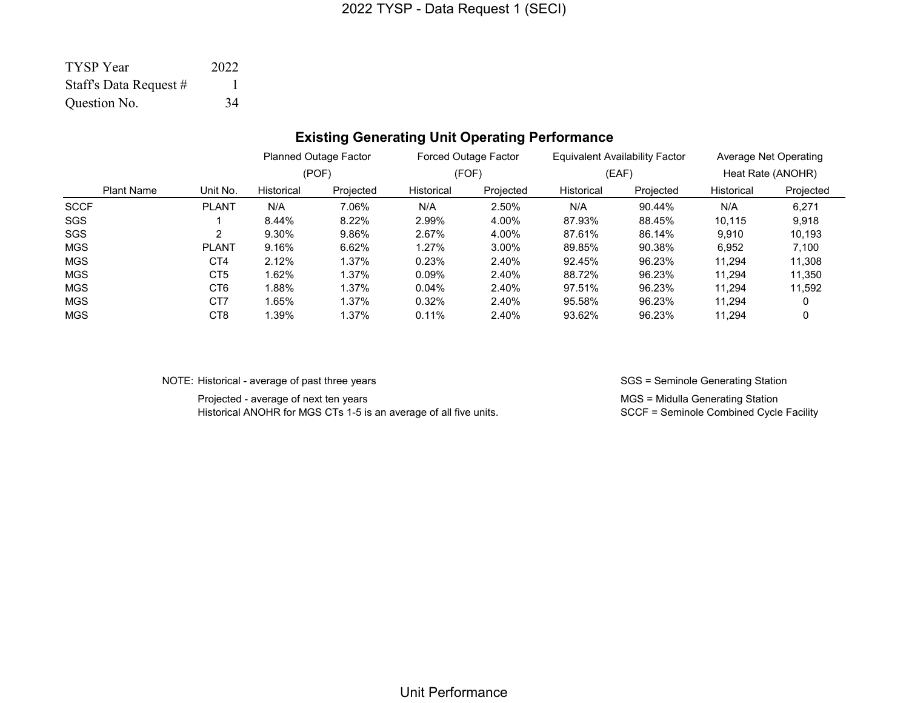| <b>TYSP</b> Year       | 2022 |
|------------------------|------|
| Staff's Data Request # |      |
| Question No.           | -34  |

# **Existing Generating Unit Operating Performance**

|                   |                 |            | <b>Planned Outage Factor</b> |            | <b>Forced Outage Factor</b> |            | <b>Equivalent Availability Factor</b> | Average Net Operating |                   |
|-------------------|-----------------|------------|------------------------------|------------|-----------------------------|------------|---------------------------------------|-----------------------|-------------------|
|                   |                 |            | (POF)                        |            | (FOF)                       |            | (EAF)                                 |                       | Heat Rate (ANOHR) |
| <b>Plant Name</b> | Unit No.        | Historical | Projected                    | Historical | Projected                   | Historical | Projected                             | Historical            | Projected         |
| <b>SCCF</b>       | <b>PLANT</b>    | N/A        | 7.06%                        | N/A        | 2.50%                       | N/A        | 90.44%                                | N/A                   | 6.271             |
| SGS               |                 | 8.44%      | 8.22%                        | 2.99%      | 4.00%                       | 87.93%     | 88.45%                                | 10.115                | 9,918             |
| <b>SGS</b>        | 2               | 9.30%      | 9.86%                        | 2.67%      | 4.00%                       | 87.61%     | 86.14%                                | 9.910                 | 10,193            |
| <b>MGS</b>        | PLANT           | 9.16%      | 6.62%                        | 1.27%      | $3.00\%$                    | 89.85%     | 90.38%                                | 6,952                 | 7,100             |
| <b>MGS</b>        | CT4             | 2.12%      | 1.37%                        | 0.23%      | 2.40%                       | 92.45%     | 96.23%                                | 11.294                | 11,308            |
| <b>MGS</b>        | CT <sub>5</sub> | 1.62%      | 1.37%                        | 0.09%      | 2.40%                       | 88.72%     | 96.23%                                | 11.294                | 11,350            |
| <b>MGS</b>        | CT <sub>6</sub> | 1.88%      | 1.37%                        | $0.04\%$   | 2.40%                       | 97.51%     | 96.23%                                | 11.294                | 11,592            |
| <b>MGS</b>        | CT7             | 1.65%      | 1.37%                        | 0.32%      | 2.40%                       | 95.58%     | 96.23%                                | 11.294                |                   |
| <b>MGS</b>        | CT8             | 1.39%      | 1.37%                        | 0.11%      | 2.40%                       | 93.62%     | 96.23%                                | 11.294                |                   |

NOTE: Historical - average of past three years SGS = Seminole Generating Station

Projected - average of next ten years<br>
Historical ANOHR for MGS CTs 1-5 is an average of all five units.<br>
MGS = Midulla Generating Station<br>
SCCF = Seminole Combined Cycle Facility Historical ANOHR for MGS CTs 1-5 is an average of all five units.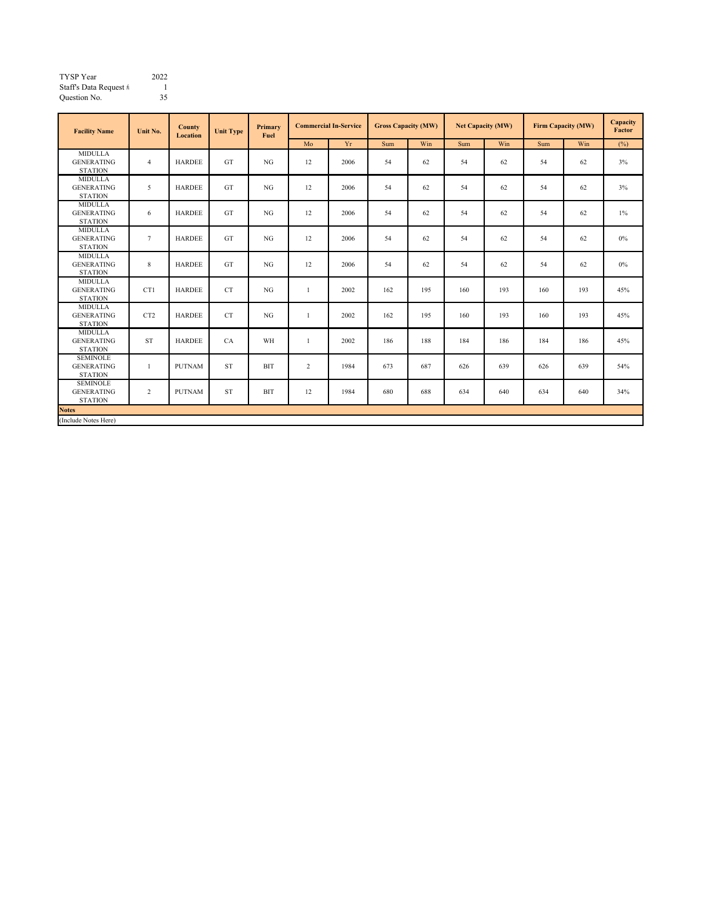| 2022 |  |
|------|--|
|      |  |
| 35   |  |
|      |  |

| <b>Facility Name</b>                                   | Unit No.        | County<br><b>Location</b> | <b>Unit Type</b> | Primary<br>Fuel | <b>Commercial In-Service</b> |      | <b>Gross Capacity (MW)</b> |     | <b>Net Capacity (MW)</b> |     | Firm Capacity (MW) |     | Capacity<br>Factor |
|--------------------------------------------------------|-----------------|---------------------------|------------------|-----------------|------------------------------|------|----------------------------|-----|--------------------------|-----|--------------------|-----|--------------------|
|                                                        |                 |                           |                  |                 | Mo                           | Yr   | Sum                        | Win | Sum                      | Win | Sum                | Win | (%)                |
| <b>MIDULLA</b><br><b>GENERATING</b><br><b>STATION</b>  | $\overline{4}$  | <b>HARDEE</b>             | GT               | NG              | 12                           | 2006 | 54                         | 62  | 54                       | 62  | 54                 | 62  | 3%                 |
| <b>MIDULLA</b><br><b>GENERATING</b><br><b>STATION</b>  | 5               | <b>HARDEE</b>             | GT               | NG              | 12                           | 2006 | 54                         | 62  | 54                       | 62  | 54                 | 62  | 3%                 |
| <b>MIDULLA</b><br><b>GENERATING</b><br><b>STATION</b>  | 6               | <b>HARDEE</b>             | GT               | NG              | 12                           | 2006 | 54                         | 62  | 54                       | 62  | 54                 | 62  | $1\%$              |
| <b>MIDULLA</b><br><b>GENERATING</b><br><b>STATION</b>  | $7\phantom{.0}$ | <b>HARDEE</b>             | GT               | NG              | 12                           | 2006 | 54                         | 62  | 54                       | 62  | 54                 | 62  | $0\%$              |
| <b>MIDULLA</b><br><b>GENERATING</b><br><b>STATION</b>  | $\,$ 8 $\,$     | <b>HARDEE</b>             | GT               | NG              | 12                           | 2006 | 54                         | 62  | 54                       | 62  | 54                 | 62  | $0\%$              |
| <b>MIDULLA</b><br><b>GENERATING</b><br><b>STATION</b>  | CT1             | <b>HARDEE</b>             | <b>CT</b>        | NG              |                              | 2002 | 162                        | 195 | 160                      | 193 | 160                | 193 | 45%                |
| <b>MIDULLA</b><br><b>GENERATING</b><br><b>STATION</b>  | CT <sub>2</sub> | <b>HARDEE</b>             | <b>CT</b>        | NG              |                              | 2002 | 162                        | 195 | 160                      | 193 | 160                | 193 | 45%                |
| <b>MIDULLA</b><br><b>GENERATING</b><br><b>STATION</b>  | <b>ST</b>       | <b>HARDEE</b>             | CA               | WH              | $\mathbf{1}$                 | 2002 | 186                        | 188 | 184                      | 186 | 184                | 186 | 45%                |
| <b>SEMINOLE</b><br><b>GENERATING</b><br><b>STATION</b> | 1               | <b>PUTNAM</b>             | <b>ST</b>        | <b>BIT</b>      | $\overline{c}$               | 1984 | 673                        | 687 | 626                      | 639 | 626                | 639 | 54%                |
| <b>SEMINOLE</b><br><b>GENERATING</b><br><b>STATION</b> | $\overline{c}$  | <b>PUTNAM</b>             | <b>ST</b>        | <b>BIT</b>      | 12                           | 1984 | 680                        | 688 | 634                      | 640 | 634                | 640 | 34%                |
| <b>Notes</b>                                           |                 |                           |                  |                 |                              |      |                            |     |                          |     |                    |     |                    |
| (Include Notes Here)                                   |                 |                           |                  |                 |                              |      |                            |     |                          |     |                    |     |                    |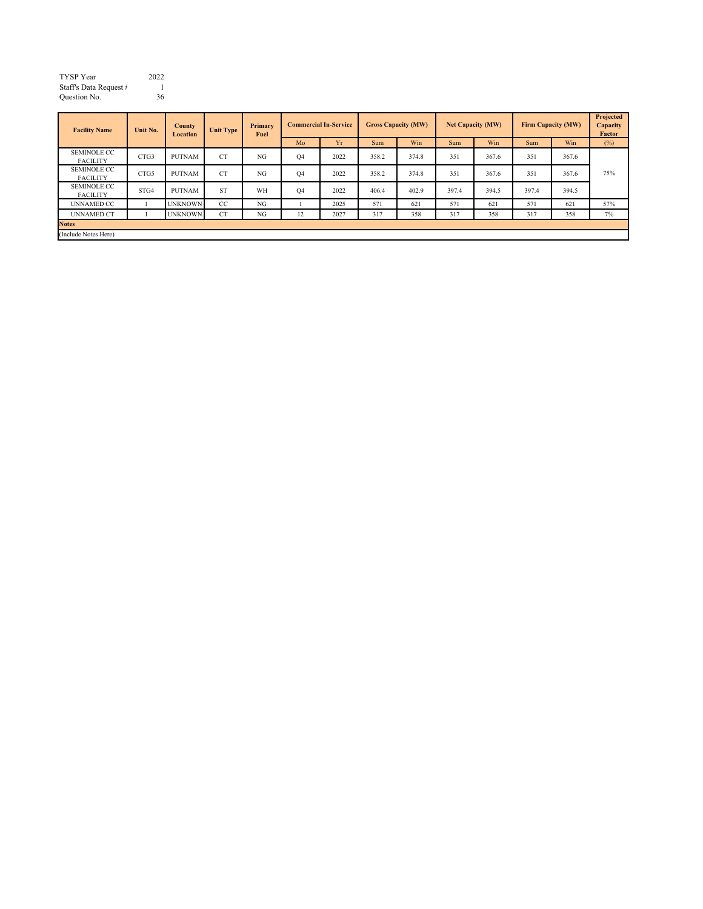| TYSP Year              | 2022 |
|------------------------|------|
| Staff's Data Request # |      |
| Ouestion No.           | 36   |

| <b>Facility Name</b>                  | <b>County</b><br>Unit No.<br>Location |                | <b>Unit Type</b> | Primary<br>Fuel | <b>Commercial In-Service</b> |      | <b>Gross Capacity (MW)</b> |       | <b>Net Capacity (MW)</b> |       | <b>Firm Capacity (MW)</b> |       | Projected<br>Capacity<br>Factor |
|---------------------------------------|---------------------------------------|----------------|------------------|-----------------|------------------------------|------|----------------------------|-------|--------------------------|-------|---------------------------|-------|---------------------------------|
|                                       |                                       |                |                  |                 | Mo                           | Yr   | <b>Sum</b>                 | Win   | Sum                      | Win   | Sum                       | Win   | $(\%)$                          |
| <b>SEMINOLE CC</b><br><b>FACILITY</b> | CTG3                                  | PUTNAM         | <b>CT</b>        | NG              | Q4                           | 2022 | 358.2                      | 374.8 | 351                      | 367.6 | 351                       | 367.6 |                                 |
| <b>SEMINOLE CC</b><br><b>FACILITY</b> | CTG5                                  | <b>PUTNAM</b>  | <b>CT</b>        | NG              | Q4                           | 2022 | 358.2                      | 374.8 | 351                      | 367.6 | 351                       | 367.6 | 75%                             |
| <b>SEMINOLE CC</b><br><b>FACILITY</b> | STG4                                  | <b>PUTNAM</b>  | <b>ST</b>        | WH              | O <sub>4</sub>               | 2022 | 406.4                      | 402.9 | 397.4                    | 394.5 | 397.4                     | 394.5 |                                 |
| <b>UNNAMED CC</b>                     |                                       | <b>UNKNOWN</b> | CC               | NG              |                              | 2025 | 571                        | 621   | 571                      | 621   | 571                       | 621   | 57%                             |
| <b>UNNAMED CT</b>                     |                                       | <b>UNKNOWN</b> | <b>CT</b>        | NG              | 12                           | 2027 | 317                        | 358   | 317                      | 358   | 317                       | 358   | 7%                              |
| <b>Notes</b>                          |                                       |                |                  |                 |                              |      |                            |       |                          |       |                           |       |                                 |
| (Include Notes Here)                  |                                       |                |                  |                 |                              |      |                            |       |                          |       |                           |       |                                 |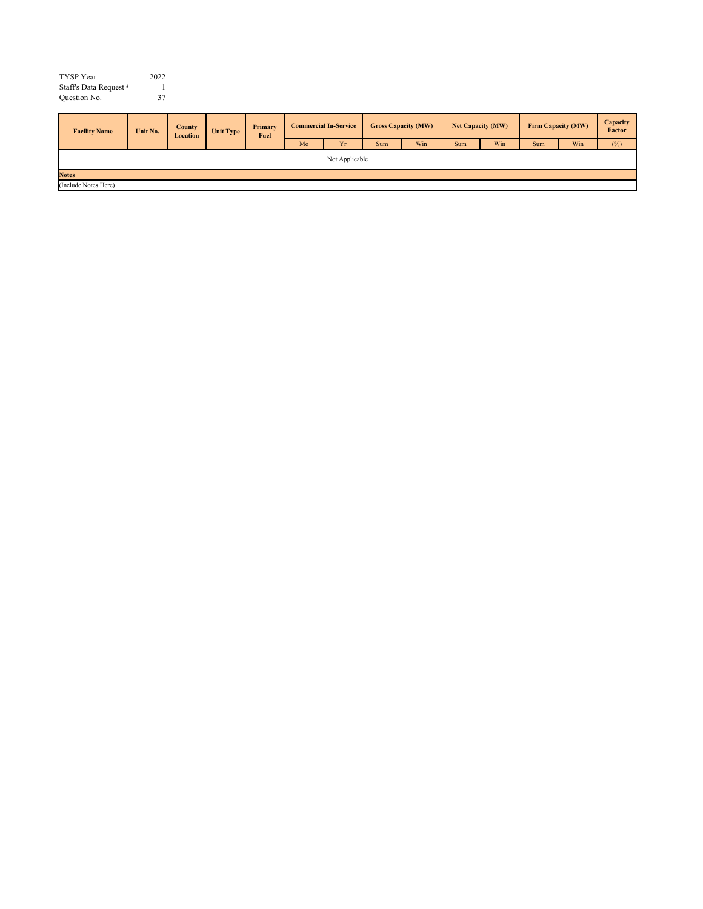| <b>TYSP</b> Year       | 2022 |
|------------------------|------|
| Staff's Data Request # |      |
| Question No.           | 37   |
|                        |      |

| <b>Facility Name</b> | Unit No.       | <b>County</b><br>Location | Unit Type | Primary<br>Fuel | <b>Commercial In-Service</b> |    | <b>Gross Capacity (MW)</b> |     | Net Capacity (MW) |     | Firm Capacity (MW) |     | Capacity<br>Factor |
|----------------------|----------------|---------------------------|-----------|-----------------|------------------------------|----|----------------------------|-----|-------------------|-----|--------------------|-----|--------------------|
|                      |                |                           |           |                 | Mo                           | Yr | Sum                        | Win | Sum               | Win | Sum                | Win | (%)                |
|                      | Not Applicable |                           |           |                 |                              |    |                            |     |                   |     |                    |     |                    |
| <b>Notes</b>         |                |                           |           |                 |                              |    |                            |     |                   |     |                    |     |                    |
| (Include Notes Here) |                |                           |           |                 |                              |    |                            |     |                   |     |                    |     |                    |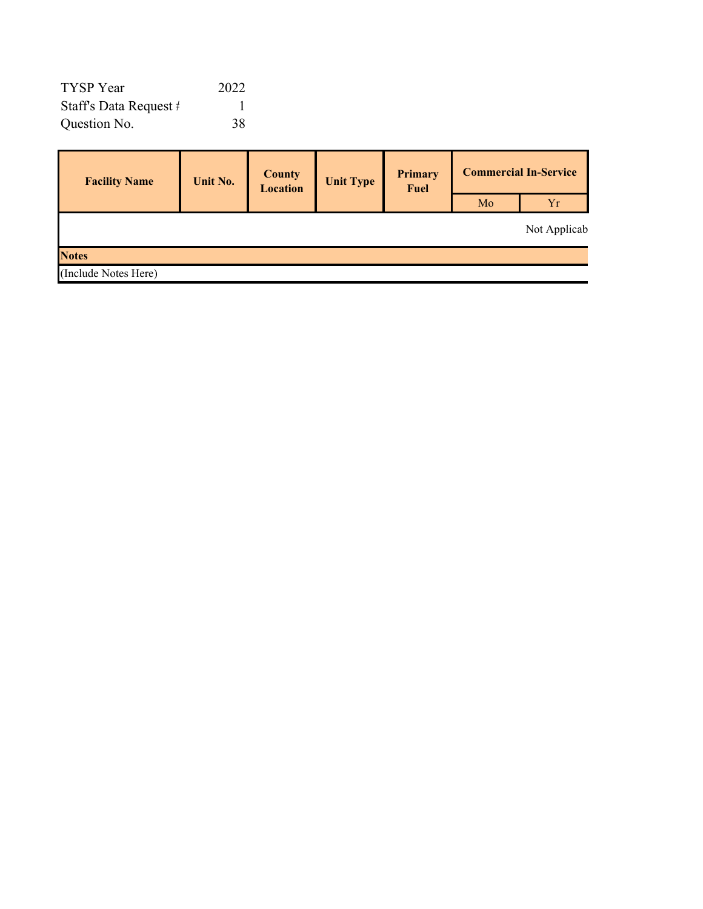| TYSP Year              | 2022 |
|------------------------|------|
| Staff's Data Request # |      |
| Question No.           | 38   |

| <b>Facility Name</b> | <b>Unit No.</b> | <b>County</b><br><b>Location</b> | <b>Unit Type</b> | Primary<br>Fuel | <b>Commercial In-Service</b> |              |  |  |
|----------------------|-----------------|----------------------------------|------------------|-----------------|------------------------------|--------------|--|--|
|                      |                 |                                  |                  |                 | Mo                           | Yr           |  |  |
|                      |                 |                                  |                  |                 |                              | Not Applicab |  |  |
| <b>Notes</b>         |                 |                                  |                  |                 |                              |              |  |  |
| (Include Notes Here) |                 |                                  |                  |                 |                              |              |  |  |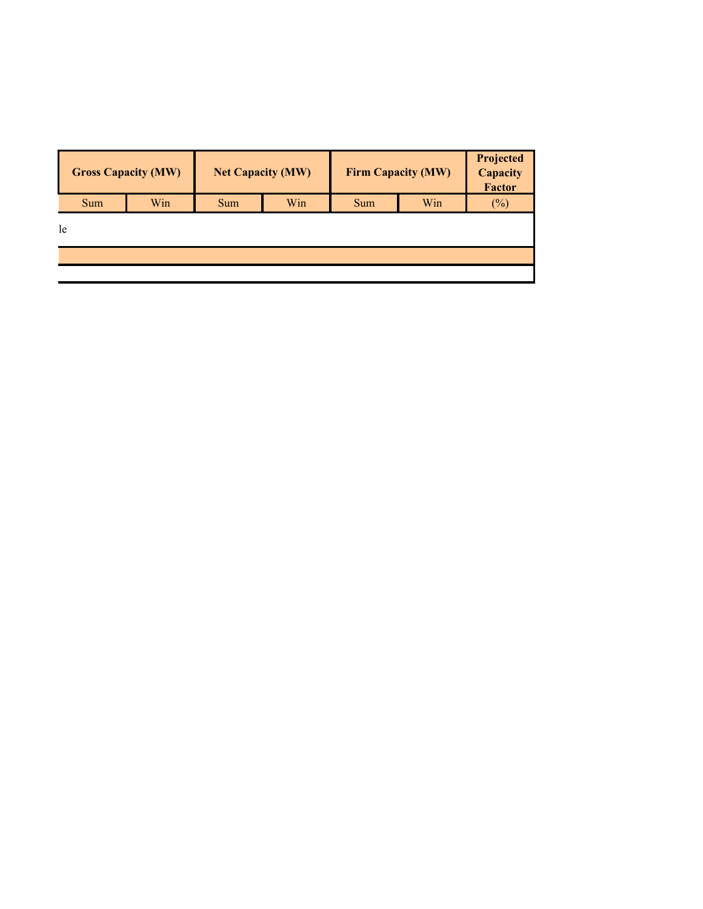|     | <b>Gross Capacity (MW)</b> |     | <b>Net Capacity (MW)</b> | Firm Capacity (MW) | Projected<br>Capacity<br><b>Factor</b> |     |  |
|-----|----------------------------|-----|--------------------------|--------------------|----------------------------------------|-----|--|
| Sum | Win                        | Sum | Win                      | Sum                | Win                                    | (%) |  |
| le  |                            |     |                          |                    |                                        |     |  |
|     |                            |     |                          |                    |                                        |     |  |
|     |                            |     |                          |                    |                                        |     |  |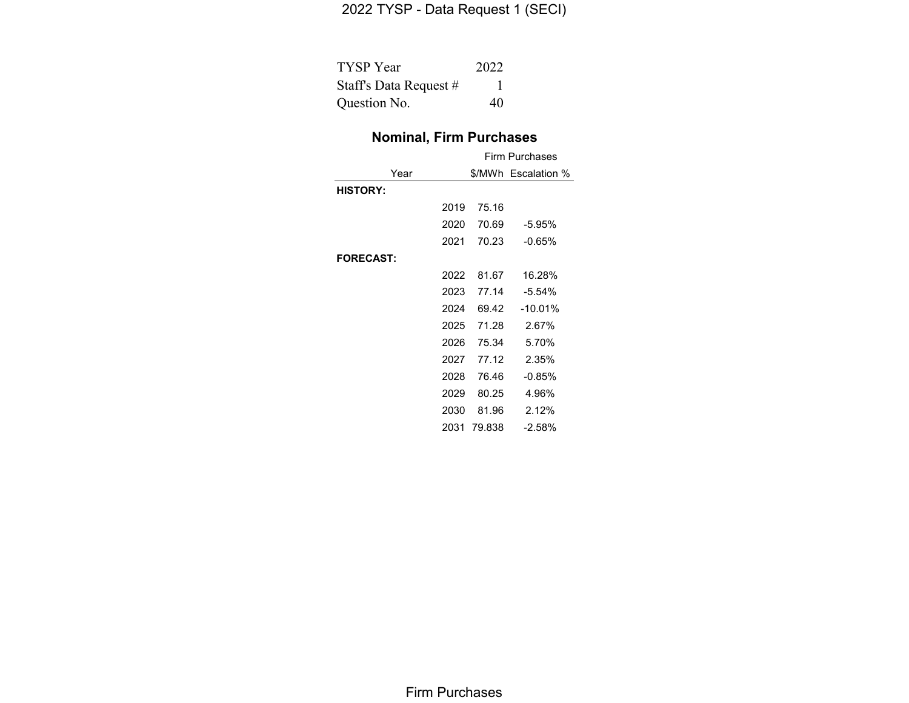# 2022 TYSP - Data Request 1 (SECI)

| TYSP Year              | 2022 |
|------------------------|------|
| Staff's Data Request # |      |
| Question No.           | 40   |

# **Nominal, Firm Purchases**

|                  |      | Firm Purchases |                     |  |  |  |  |
|------------------|------|----------------|---------------------|--|--|--|--|
| Year             |      |                | \$/MWh Escalation % |  |  |  |  |
| <b>HISTORY:</b>  |      |                |                     |  |  |  |  |
|                  | 2019 | 75.16          |                     |  |  |  |  |
|                  | 2020 | 70.69          | $-5.95%$            |  |  |  |  |
|                  | 2021 | 70.23          | $-0.65%$            |  |  |  |  |
| <b>FORECAST:</b> |      |                |                     |  |  |  |  |
|                  | 2022 | 81.67          | 16.28%              |  |  |  |  |
|                  | 2023 | 77.14          | $-5.54%$            |  |  |  |  |
|                  | 2024 | 69.42          | $-10.01%$           |  |  |  |  |
|                  | 2025 | 71.28          | 2.67%               |  |  |  |  |
|                  | 2026 | 75.34          | 5.70%               |  |  |  |  |
|                  | 2027 | 77.12          | 2.35%               |  |  |  |  |
|                  | 2028 | 76.46          | $-0.85%$            |  |  |  |  |
|                  | 2029 | 80.25          | 4.96%               |  |  |  |  |
|                  | 2030 | 81.96          | 2.12%               |  |  |  |  |
|                  | 2031 | 79.838         | $-2.58\%$           |  |  |  |  |

Firm Purchases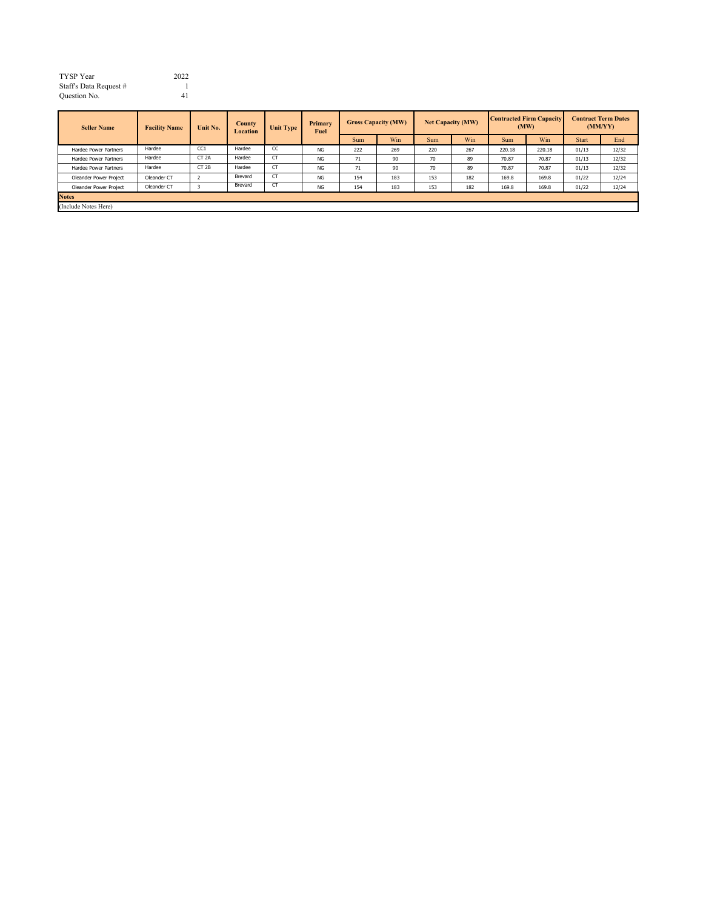| TYSP Year              | 2022 |
|------------------------|------|
| Staff's Data Request # |      |
| Ouestion No.           | 41   |

| <b>Seller Name</b>     | <b>Facility Name</b> |                  | Unit No. | <b>County</b><br>Location | <b>Unit Type</b> | Primary<br>Fuel |     | <b>Gross Capacity (MW)</b> |     | <b>Net Capacity (MW)</b> |        | <b>Contracted Firm Capacity</b><br>(MW) |       | <b>Contract Term Dates</b><br>(MM/YY) |
|------------------------|----------------------|------------------|----------|---------------------------|------------------|-----------------|-----|----------------------------|-----|--------------------------|--------|-----------------------------------------|-------|---------------------------------------|
|                        |                      |                  |          |                           |                  | Sum             | Win | <b>Sum</b>                 | Win | Sum                      | Win    | <b>Start</b>                            | End   |                                       |
| Hardee Power Partners  | Hardee               | CC <sub>1</sub>  | Hardee   | CC                        | <b>NG</b>        | 222             | 269 | 220                        | 267 | 220.18                   | 220.18 | 01/13                                   | 12/32 |                                       |
| Hardee Power Partners  | Hardee               | CT <sub>2A</sub> | Hardee   | <b>CT</b>                 | <b>NG</b>        | 71              | 90  | 70                         | 89  | 70.87                    | 70.87  | 01/13                                   | 12/32 |                                       |
| Hardee Power Partners  | Hardee               | CT <sub>2B</sub> | Hardee   | <b>CT</b>                 | <b>NG</b>        | 71              | 90  | 70                         | 89  | 70.87                    | 70.87  | 01/13                                   | 12/32 |                                       |
| Oleander Power Project | Oleander CT          |                  | Brevard  | <b>CT</b>                 | <b>NG</b>        | 154             | 183 | 153                        | 182 | 169.8                    | 169.8  | 01/22                                   | 12/24 |                                       |
| Oleander Power Project | Oleander CT          |                  | Brevard  | C.                        | <b>NG</b>        | 154             | 183 | 153                        | 182 | 169.8                    | 169.8  | 01/22                                   | 12/24 |                                       |
| <b>Notes</b>           |                      |                  |          |                           |                  |                 |     |                            |     |                          |        |                                         |       |                                       |
| (Include Notes Here)   |                      |                  |          |                           |                  |                 |     |                            |     |                          |        |                                         |       |                                       |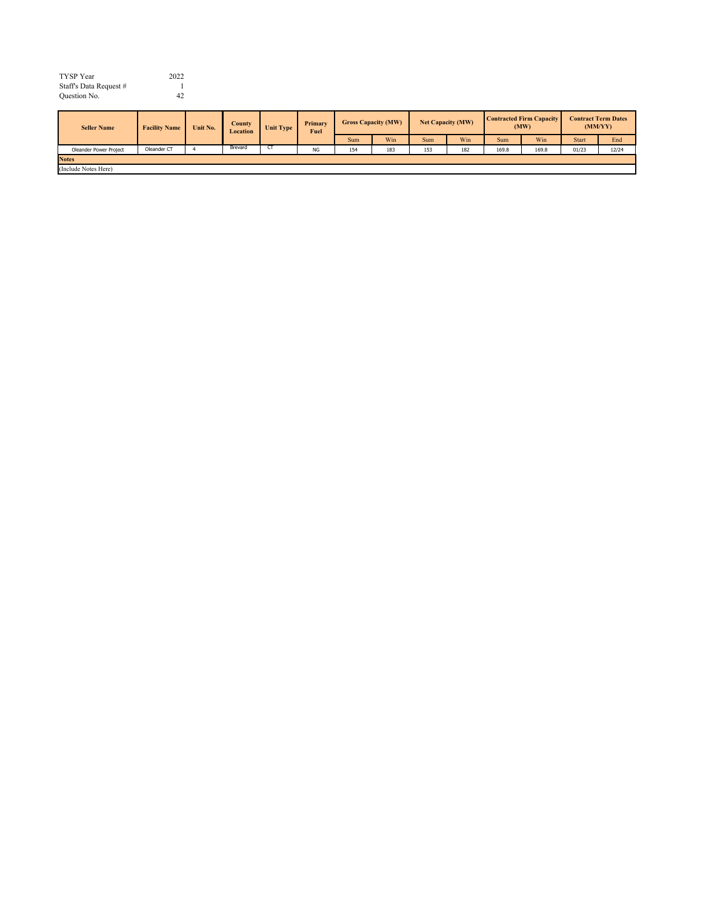| TYSP Year              | 2022 |
|------------------------|------|
| Staff's Data Request # |      |
| Ouestion No.           | 42   |

| <b>Seller Name</b>     | <b>Facility Name</b> | Unit No. | <b>County</b><br><b>Location</b> | Unit Type    | Primary<br>Fuel | <b>Gross Capacity (MW)</b> |     | <b>Net Capacity (MW)</b> |     | <b>Contracted Firm Capacity</b><br>(MW) |       | <b>Contract Term Dates</b><br>(MM/YY) |       |
|------------------------|----------------------|----------|----------------------------------|--------------|-----------------|----------------------------|-----|--------------------------|-----|-----------------------------------------|-------|---------------------------------------|-------|
|                        |                      |          |                                  |              |                 | Sum                        | Win | <b>Sum</b>               | Win | Sum                                     | Win   | <b>Start</b>                          | End   |
| Oleander Power Project | Oleander CT          |          | Brevard                          | $\mathbf{L}$ | <b>NG</b>       | 154                        | 183 | 153                      | 182 | 169.8                                   | 169.8 | 01/23                                 | 12/24 |
| <b>Notes</b>           |                      |          |                                  |              |                 |                            |     |                          |     |                                         |       |                                       |       |
| (Include Notes Here)   |                      |          |                                  |              |                 |                            |     |                          |     |                                         |       |                                       |       |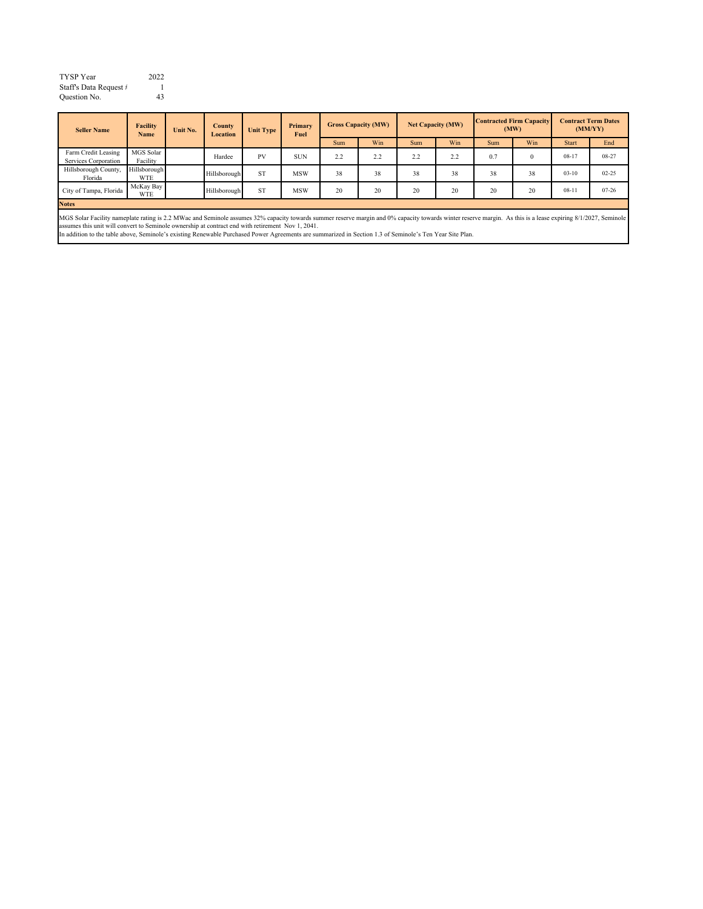| TYSP Year              | 2022 |
|------------------------|------|
| Staff's Data Request # |      |
| Ouestion No.           | 43   |

| <b>Seller Name</b>                          | <b>Facility</b><br><b>Name</b> | Unit No. | County<br>Location | Unit Type | Primary<br>Fuel |     | <b>Gross Capacity (MW)</b> |     | <b>Net Capacity (MW)</b> | <b>Contracted Firm Capacity</b> | (MW)     |              | <b>Contract Term Dates</b><br>(MM/YY) |
|---------------------------------------------|--------------------------------|----------|--------------------|-----------|-----------------|-----|----------------------------|-----|--------------------------|---------------------------------|----------|--------------|---------------------------------------|
|                                             |                                |          |                    |           |                 | Sum | Win                        | Sum | Win                      | <b>Sum</b>                      | Win      | <b>Start</b> | End                                   |
| Farm Credit Leasing<br>Services Corporation | MGS Solar<br>Facility          |          | Hardee             | PV        | <b>SUN</b>      | 2.2 | 2.2                        | 2.2 | 2.2                      | 0.7                             | $\theta$ | $08-17$      | 08-27                                 |
| Hillsborough County,<br>Florida             | Hillsborough<br><b>WTE</b>     |          | Hillsborough       | <b>ST</b> | <b>MSW</b>      | 38  | 38                         | 38  | 38                       | 38                              | 38       | $03-10$      | $02 - 25$                             |
| City of Tampa, Florida                      | McKay Bay<br><b>WTE</b>        |          | Hillsborough       | <b>ST</b> | <b>MSW</b>      | 20  | 20                         | 20  | 20                       | 20                              | 20       | $08-11$      | $07 - 26$                             |
| <b>Notes</b>                                |                                |          |                    |           |                 |     |                            |     |                          |                                 |          |              |                                       |

**Notes**

MGS Solar Facility nameplate rating is 2.2 MWac and Seminole assumes 32% capacity towards summer reserve margin and 0% capacity towards winter reserve margin. As this is a lease expiring 8/1/2027, Seminole and the match of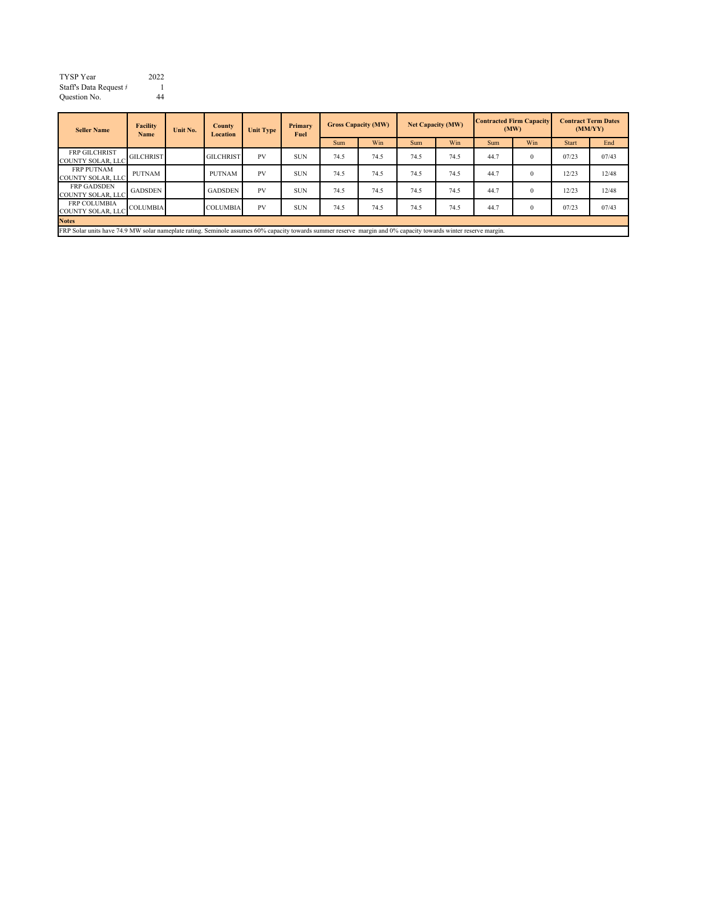| TYSP Year              | 2022 |
|------------------------|------|
| Staff's Data Request # |      |
| Ouestion No.           | 44   |

| <b>Seller Name</b>                                                                                                                                               | <b>Facility</b><br>Name | Unit No. | <b>County</b><br>Location | <b>Unit Type</b> | Primary<br><b>Fuel</b> |            | <b>Gross Capacity (MW)</b> |      | <b>Net Capacity (MW)</b> |      | <b>Contracted Firm Capacity</b><br>(MW) | <b>Contract Term Dates</b><br>(MM/YY) |       |
|------------------------------------------------------------------------------------------------------------------------------------------------------------------|-------------------------|----------|---------------------------|------------------|------------------------|------------|----------------------------|------|--------------------------|------|-----------------------------------------|---------------------------------------|-------|
|                                                                                                                                                                  |                         |          |                           |                  |                        | <b>Sum</b> | Win                        | Sum  | Win                      | Sum  | Win                                     | <b>Start</b>                          | End   |
| <b>FRP GILCHRIST</b><br><b>COUNTY SOLAR, LLC</b>                                                                                                                 | <b>GILCHRIST</b>        |          | <b>GILCHRIST</b>          | <b>PV</b>        | <b>SUN</b>             | 74.5       | 74.5                       | 74.5 | 74.5                     | 44.7 | $\theta$                                | 07/23                                 | 07/43 |
| <b>FRP PUTNAM</b><br><b>COUNTY SOLAR, LLC</b>                                                                                                                    | <b>PUTNAM</b>           |          | <b>PUTNAM</b>             | <b>PV</b>        | <b>SUN</b>             | 74.5       | 74.5                       | 74.5 | 74.5                     | 44.7 | $\theta$                                | 12/23                                 | 12/48 |
| <b>FRP GADSDEN</b><br><b>COUNTY SOLAR, LLC</b>                                                                                                                   | <b>GADSDEN</b>          |          | <b>GADSDEN</b>            | <b>PV</b>        | <b>SUN</b>             | 74.5       | 74.5                       | 74.5 | 74.5                     | 44.7 | $\theta$                                | 12/23                                 | 12/48 |
| <b>FRP COLUMBIA</b><br><b>COUNTY SOLAR, LLC</b>                                                                                                                  | <b>COLUMBIA</b>         |          | <b>COLUMBIA</b>           | <b>PV</b>        | <b>SUN</b>             | 74.5       | 74.5                       | 74.5 | 74.5                     | 44.7 | $\theta$                                | 07/23                                 | 07/43 |
| <b>Notes</b>                                                                                                                                                     |                         |          |                           |                  |                        |            |                            |      |                          |      |                                         |                                       |       |
| EDD Solar units house 74.0 MW solar nameplate rating. Seminals accurace 60% canonity towards summar recepts margin and 0% canonity towards winter recepts margin |                         |          |                           |                  |                        |            |                            |      |                          |      |                                         |                                       |       |

FRP Solar units have 74.9 MW solar nameplate rating. Seminole assumes 60% capacity towards summer reserve margin and 0% capacity towards winter reserve margin.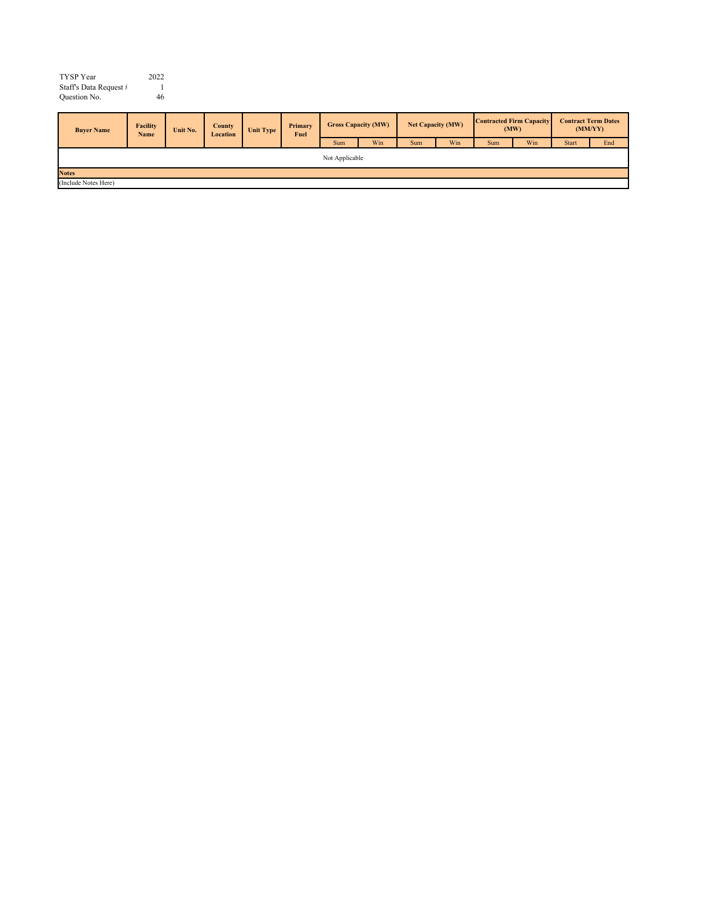| TYSP Year              | 2022 |
|------------------------|------|
| Staff's Data Request # |      |
| Ouestion No.           | 46   |

| <b>Buver Name</b>    | <b>Facility</b><br><b>Name</b> | Unit No. | <b>County</b><br>Location | Unit Type | Primary<br>Fuel |     | <b>Net Capacity (MW)</b><br><b>Gross Capacity (MW)</b> |     | <b>Contracted Firm Capacity</b><br>(MW) |     | <b>Contract Term Dates</b><br>(MM/YY) |              |     |
|----------------------|--------------------------------|----------|---------------------------|-----------|-----------------|-----|--------------------------------------------------------|-----|-----------------------------------------|-----|---------------------------------------|--------------|-----|
|                      |                                |          |                           |           |                 | Sum | Win                                                    | Sum | Win                                     | Sum | Win                                   | <b>Start</b> | End |
| Not Applicable       |                                |          |                           |           |                 |     |                                                        |     |                                         |     |                                       |              |     |
| <b>Notes</b>         |                                |          |                           |           |                 |     |                                                        |     |                                         |     |                                       |              |     |
| (Include Notes Here) |                                |          |                           |           |                 |     |                                                        |     |                                         |     |                                       |              |     |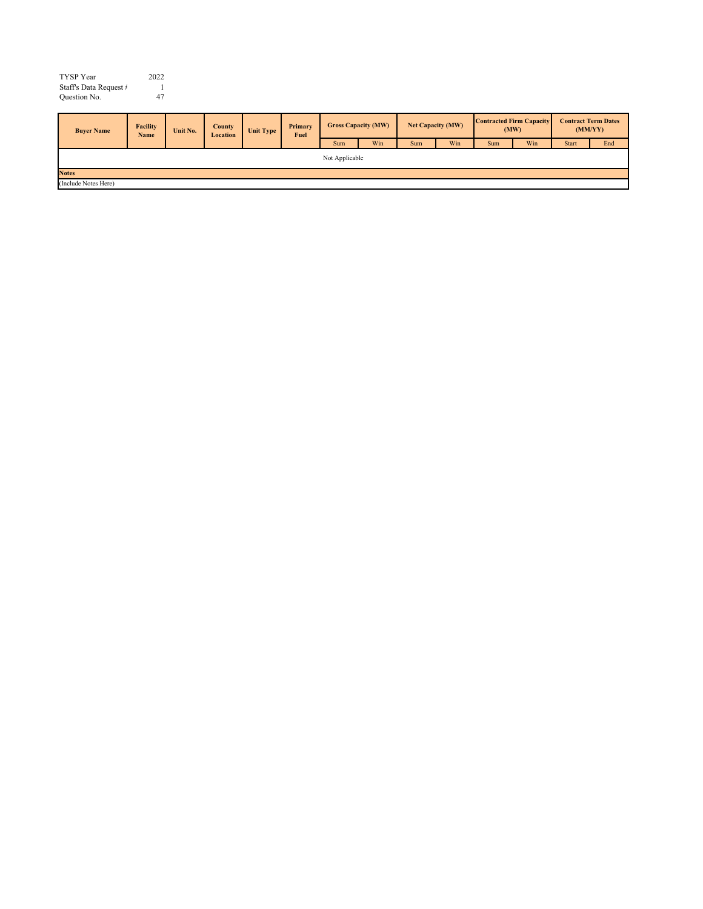| TYSP Year              | 2022 |
|------------------------|------|
| Staff's Data Request # |      |
| Ouestion No.           | 47   |

| <b>Buver Name</b>    | <b>Facility</b><br>Name | Unit No. | <b>County</b><br>Location | Unit Type | Primary<br>Fuel | <b>Gross Capacity (MW)</b> |     |     | Net Capacity (MW) |            | <b>Contracted Firm Capacity</b><br>(MW) |              | <b>Contract Term Dates</b><br>(MM/YY) |
|----------------------|-------------------------|----------|---------------------------|-----------|-----------------|----------------------------|-----|-----|-------------------|------------|-----------------------------------------|--------------|---------------------------------------|
|                      |                         |          |                           |           |                 | Sum                        | Win | Sum | Win               | <b>Sum</b> | Win                                     | <b>Start</b> | End                                   |
| Not Applicable       |                         |          |                           |           |                 |                            |     |     |                   |            |                                         |              |                                       |
| <b>Notes</b>         |                         |          |                           |           |                 |                            |     |     |                   |            |                                         |              |                                       |
| (Include Notes Here) |                         |          |                           |           |                 |                            |     |     |                   |            |                                         |              |                                       |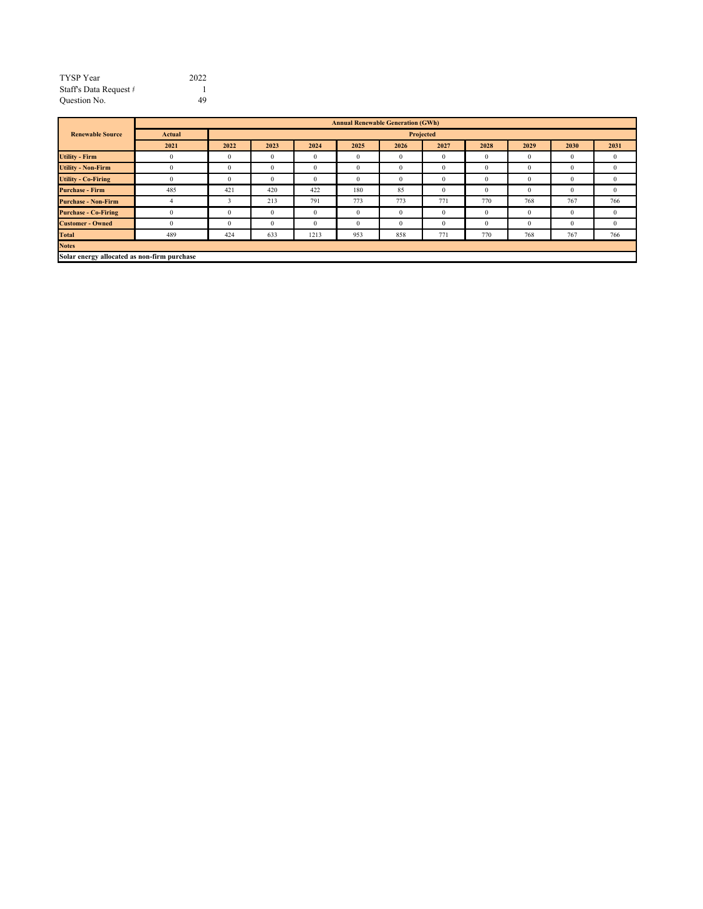| <b>TYSP</b> Year       | 2022 |
|------------------------|------|
| Staff's Data Request # |      |
| Question No.           | 49   |
|                        |      |

|                                             | <b>Annual Renewable Generation (GWh)</b> |              |          |          |      |              |              |              |      |              |              |  |  |
|---------------------------------------------|------------------------------------------|--------------|----------|----------|------|--------------|--------------|--------------|------|--------------|--------------|--|--|
| <b>Renewable Source</b>                     | Actual                                   | Projected    |          |          |      |              |              |              |      |              |              |  |  |
|                                             | 2021                                     | 2022         | 2023     | 2024     | 2025 | 2026         | 2027         | 2028         | 2029 | 2030         | 2031         |  |  |
| <b>Utility - Firm</b>                       | $\Omega$                                 | $\mathbf{0}$ | $\theta$ | 0        |      | $\mathbf{0}$ | $\Omega$     | $\mathbf{0}$ |      | 0            | 0            |  |  |
| <b>Utility - Non-Firm</b>                   | $\theta$                                 | $\mathbf{0}$ | $\theta$ | $\Omega$ |      | $\mathbf{0}$ | $\mathbf{0}$ | $\theta$     |      | $\bf{0}$     | 0            |  |  |
| <b>Utility - Co-Firing</b>                  | $\Omega$                                 | $\mathbf{0}$ | $\theta$ | $\Omega$ |      | $\mathbf{0}$ | $\mathbf{0}$ | $\theta$     |      | $\mathbf{0}$ | $\mathbf{0}$ |  |  |
| <b>Purchase - Firm</b>                      | 485                                      | 421          | 420      | 422      | 180  | 85           | $\theta$     | $\mathbf{0}$ |      | $\cup$       | 0            |  |  |
| <b>Purchase - Non-Firm</b>                  |                                          | 3            | 213      | 791      | 773  | 773          | 771          | 770          | 768  | 767          | 766          |  |  |
| <b>Purchase - Co-Firing</b>                 | $\theta$                                 | $\mathbf{0}$ | $\theta$ | $\Omega$ |      | $\mathbf{0}$ | $\Omega$     | $\theta$     | 0    | $\Omega$     | $^{0}$       |  |  |
| <b>Customer - Owned</b>                     | $\Omega$                                 | $\theta$     | $\theta$ | $\Omega$ |      | $\theta$     | $\theta$     | $\mathbf{0}$ |      | $\theta$     | 0            |  |  |
| <b>Total</b>                                | 489                                      | 424          | 633      | 1213     | 953  | 858          | 771          | 770          | 768  | 767          | 766          |  |  |
| <b>Notes</b>                                |                                          |              |          |          |      |              |              |              |      |              |              |  |  |
| Solar energy allocated as non-firm purchase |                                          |              |          |          |      |              |              |              |      |              |              |  |  |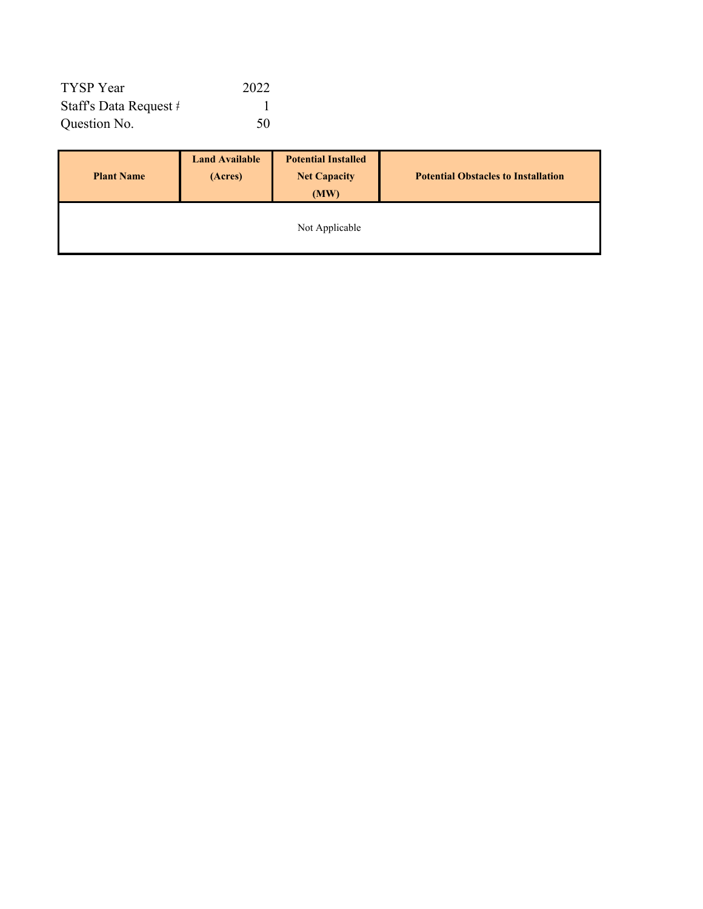| TYSP Year              | 2022 |
|------------------------|------|
| Staff's Data Request # |      |
| Question No.           | 50   |

| <b>Plant Name</b> | <b>Land Available</b><br>(Acres) | <b>Potential Installed</b><br><b>Net Capacity</b><br>(MW) | <b>Potential Obstacles to Installation</b> |
|-------------------|----------------------------------|-----------------------------------------------------------|--------------------------------------------|
|                   |                                  | Not Applicable                                            |                                            |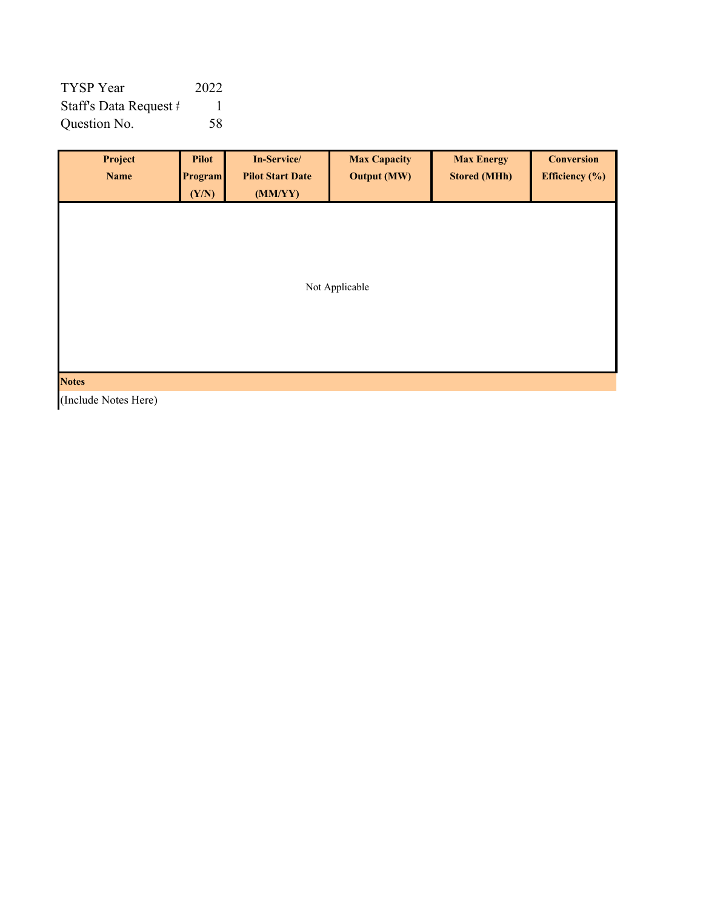| TYSP Year              | 2022 |
|------------------------|------|
| Staff's Data Request # |      |
| Question No.           | .58  |

| Project<br><b>Name</b> | <b>Pilot</b><br><b>Program</b><br>(Y/N) | In-Service/<br><b>Pilot Start Date</b><br>(MM/YY) | <b>Max Capacity</b><br><b>Output (MW)</b> | <b>Max Energy</b><br><b>Stored (MHh)</b> | <b>Conversion</b><br>Efficiency $(\%)$ |  |  |  |  |
|------------------------|-----------------------------------------|---------------------------------------------------|-------------------------------------------|------------------------------------------|----------------------------------------|--|--|--|--|
|                        |                                         |                                                   |                                           |                                          |                                        |  |  |  |  |
|                        | Not Applicable                          |                                                   |                                           |                                          |                                        |  |  |  |  |
|                        |                                         |                                                   |                                           |                                          |                                        |  |  |  |  |
| <b>Notes</b>           |                                         |                                                   |                                           |                                          |                                        |  |  |  |  |

(Include Notes Here)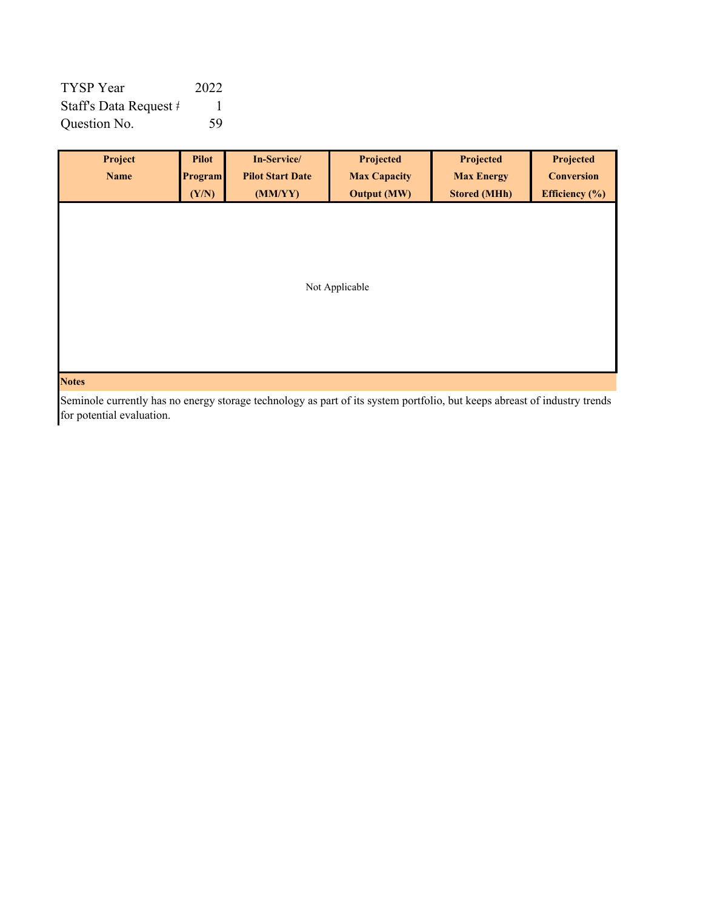| TYSP Year              | 2022 |
|------------------------|------|
| Staff's Data Request # |      |
| Question No.           | .59  |

| Project        | <b>Pilot</b> | In-Service/             | Projected           | Projected           | Projected         |  |  |  |  |  |
|----------------|--------------|-------------------------|---------------------|---------------------|-------------------|--|--|--|--|--|
| Name           | Program      | <b>Pilot Start Date</b> | <b>Max Capacity</b> | <b>Max Energy</b>   | <b>Conversion</b> |  |  |  |  |  |
|                | (Y/N)        | (MM/YY)                 | <b>Output (MW)</b>  | <b>Stored (MHh)</b> | Efficiency $(\%)$ |  |  |  |  |  |
|                |              |                         |                     |                     |                   |  |  |  |  |  |
|                |              |                         |                     |                     |                   |  |  |  |  |  |
|                |              |                         |                     |                     |                   |  |  |  |  |  |
|                |              |                         |                     |                     |                   |  |  |  |  |  |
| Not Applicable |              |                         |                     |                     |                   |  |  |  |  |  |
|                |              |                         |                     |                     |                   |  |  |  |  |  |
|                |              |                         |                     |                     |                   |  |  |  |  |  |
|                |              |                         |                     |                     |                   |  |  |  |  |  |
|                |              |                         |                     |                     |                   |  |  |  |  |  |
| <b>Notes</b>   |              |                         |                     |                     |                   |  |  |  |  |  |

Seminole currently has no energy storage technology as part of its system portfolio, but keeps abreast of industry trends for potential evaluation.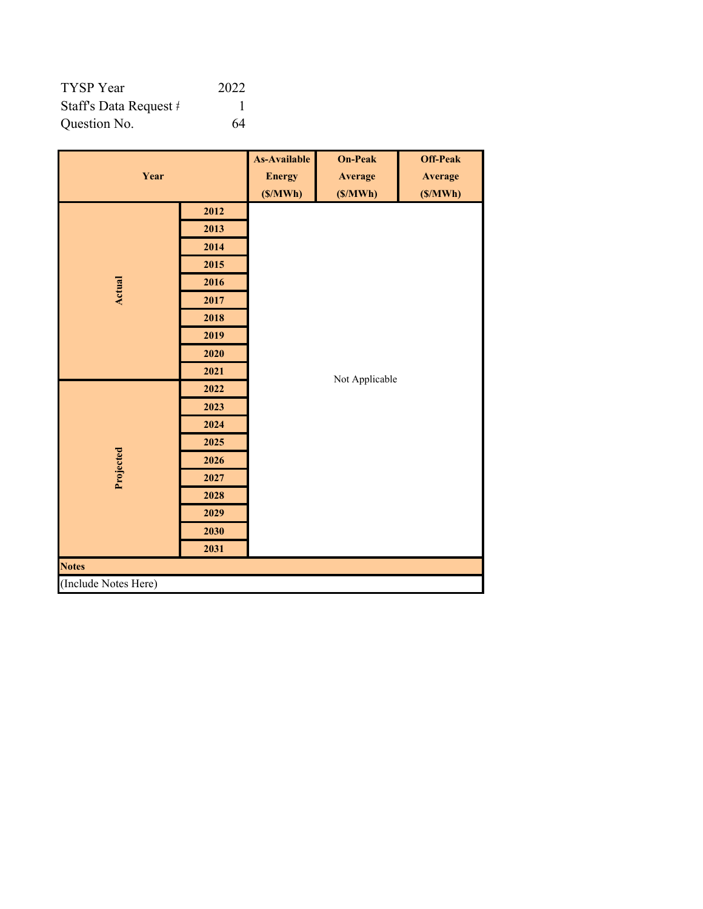| TYSP Year              | 2022 |
|------------------------|------|
| Staff's Data Request # |      |
| Question No.           | 64   |

|                      | <b>As-Available</b> | <b>On-Peak</b> | <b>Off-Peak</b> |         |  |  |  |  |  |
|----------------------|---------------------|----------------|-----------------|---------|--|--|--|--|--|
| Year                 |                     | <b>Energy</b>  | <b>Average</b>  | Average |  |  |  |  |  |
|                      | (S/MWh)             | (S/MWh)        | (S/MWh)         |         |  |  |  |  |  |
|                      | 2012                |                |                 |         |  |  |  |  |  |
|                      | 2013                |                |                 |         |  |  |  |  |  |
|                      | 2014                |                |                 |         |  |  |  |  |  |
|                      | 2015                |                |                 |         |  |  |  |  |  |
| <b>Actual</b>        | 2016                |                |                 |         |  |  |  |  |  |
|                      | 2017                |                |                 |         |  |  |  |  |  |
|                      | 2018                |                |                 |         |  |  |  |  |  |
|                      | 2019                |                |                 |         |  |  |  |  |  |
|                      | 2020                |                |                 |         |  |  |  |  |  |
|                      | 2021                |                | Not Applicable  |         |  |  |  |  |  |
|                      | 2022                |                |                 |         |  |  |  |  |  |
|                      | 2023                |                |                 |         |  |  |  |  |  |
|                      | 2024                |                |                 |         |  |  |  |  |  |
|                      | 2025                |                |                 |         |  |  |  |  |  |
|                      | 2026                |                |                 |         |  |  |  |  |  |
| Projected            | 2027                |                |                 |         |  |  |  |  |  |
|                      | 2028                |                |                 |         |  |  |  |  |  |
|                      | 2029                |                |                 |         |  |  |  |  |  |
|                      | 2030                |                |                 |         |  |  |  |  |  |
|                      | 2031                |                |                 |         |  |  |  |  |  |
| <b>Notes</b>         |                     |                |                 |         |  |  |  |  |  |
| (Include Notes Here) |                     |                |                 |         |  |  |  |  |  |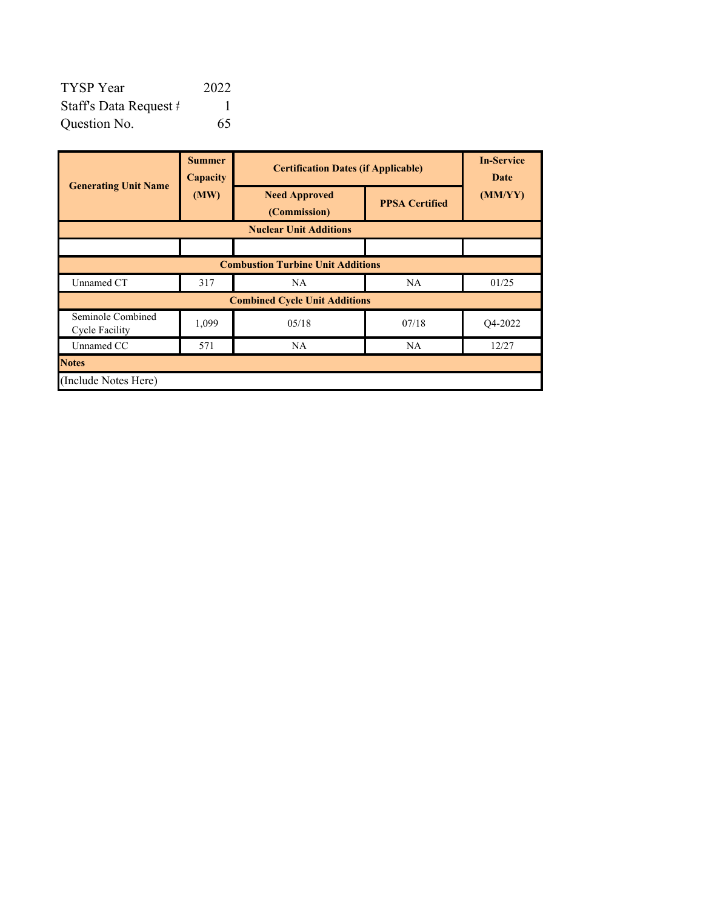| TYSP Year              | 2022 |
|------------------------|------|
| Staff's Data Request # |      |
| Question No.           | 65   |

|                                            | <b>Summer</b><br>Capacity                | <b>Certification Dates (if Applicable)</b> |                       | <b>In-Service</b><br>Date |  |  |  |
|--------------------------------------------|------------------------------------------|--------------------------------------------|-----------------------|---------------------------|--|--|--|
| <b>Generating Unit Name</b>                | (MW)                                     | <b>Need Approved</b><br>(Commission)       | <b>PPSA Certified</b> | (MM/YY)                   |  |  |  |
| <b>Nuclear Unit Additions</b>              |                                          |                                            |                       |                           |  |  |  |
|                                            |                                          |                                            |                       |                           |  |  |  |
|                                            | <b>Combustion Turbine Unit Additions</b> |                                            |                       |                           |  |  |  |
| Unnamed CT                                 | 317                                      | NA.                                        | NA.                   |                           |  |  |  |
|                                            |                                          | <b>Combined Cycle Unit Additions</b>       |                       |                           |  |  |  |
| Seminole Combined<br><b>Cycle Facility</b> | 1,099                                    | 05/18                                      | 07/18                 | Q4-2022                   |  |  |  |
| Unnamed CC                                 | 571                                      | NA.                                        | <b>NA</b>             | 12/27                     |  |  |  |
| <b>Notes</b>                               |                                          |                                            |                       |                           |  |  |  |
| (Include Notes Here)                       |                                          |                                            |                       |                           |  |  |  |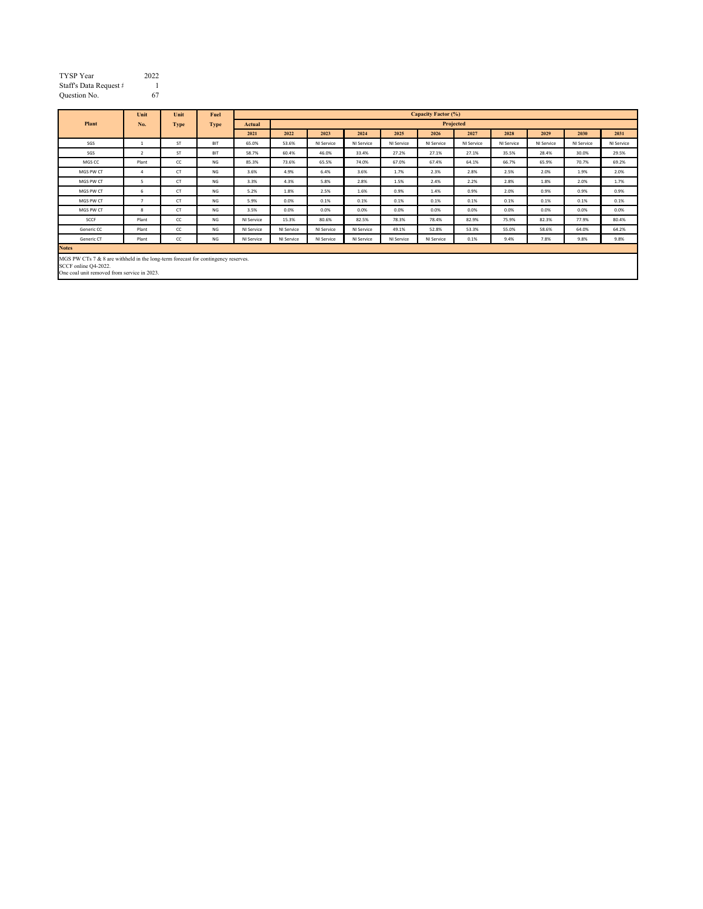| <b>TYSP</b> Year       | 2022 |
|------------------------|------|
| Staff's Data Request # |      |
| Question No.           | 67   |

|                                                                                                                                                            | Unit           | Unit        | Fuel        |            | <b>Capacity Factor (%)</b> |            |            |            |            |            |            |            |            |            |
|------------------------------------------------------------------------------------------------------------------------------------------------------------|----------------|-------------|-------------|------------|----------------------------|------------|------------|------------|------------|------------|------------|------------|------------|------------|
| Plant                                                                                                                                                      | No.            | <b>Type</b> | <b>Type</b> | Actual     | Projected                  |            |            |            |            |            |            |            |            |            |
|                                                                                                                                                            |                |             |             | 2021       | 2022                       | 2023       | 2024       | 2025       | 2026       | 2027       | 2028       | 2029       | 2030       | 2031       |
| SGS                                                                                                                                                        | 1              | <b>ST</b>   | <b>BIT</b>  | 65.0%      | 53.6%                      | NI Service | NI Service | NI Service | NI Service | NI Service | NI Service | NI Service | NI Service | NI Service |
| SGS                                                                                                                                                        | $\overline{2}$ | <b>ST</b>   | <b>BIT</b>  | 58.7%      | 60.4%                      | 46.0%      | 33.4%      | 27.2%      | 27.1%      | 27.1%      | 35.5%      | 28.4%      | 30.0%      | 29.5%      |
| MGS CC                                                                                                                                                     | Plant          | cc          | NG          | 85.3%      | 73.6%                      | 65.5%      | 74.0%      | 67.0%      | 67.4%      | 64.1%      | 66.7%      | 65.9%      | 70.7%      | 69.2%      |
| MGS PW CT                                                                                                                                                  | $\overline{a}$ | <b>CT</b>   | NG          | 3.6%       | 4.9%                       | 6.4%       | 3.6%       | 1.7%       | 2.3%       | 2.8%       | 2.5%       | 2.0%       | 1.9%       | 2.0%       |
| MGS PW CT                                                                                                                                                  | 5              | <b>CT</b>   | NG          | 3.3%       | 4.3%                       | 5.8%       | 2.8%       | 1.5%       | 2.4%       | 2.2%       | 2.8%       | 1.8%       | 2.0%       | 1.7%       |
| MGS PW CT                                                                                                                                                  | 6              | <b>CT</b>   | NG          | 5.2%       | 1.8%                       | 2.5%       | 1.6%       | 0.9%       | 1.4%       | 0.9%       | 2.0%       | 0.9%       | 0.9%       | 0.9%       |
| MGS PW CT                                                                                                                                                  | п,             | <b>CT</b>   | NG          | 5.9%       | 0.0%                       | 0.1%       | 0.1%       | 0.1%       | 0.1%       | 0.1%       | 0.1%       | 0.1%       | 0.1%       | 0.1%       |
| MGS PW CT                                                                                                                                                  | 8              | <b>CT</b>   | NG          | 3.5%       | 0.0%                       | 0.0%       | 0.0%       | 0.0%       | 0.0%       | 0.0%       | 0.0%       | 0.0%       | 0.0%       | 0.0%       |
| SCCF                                                                                                                                                       | Plant          | cc          | NG          | NI Service | 15.3%                      | 80.6%      | 82.5%      | 78.3%      | 78.4%      | 82.9%      | 75.9%      | 82.3%      | 77.9%      | 80.4%      |
| Generic CC                                                                                                                                                 | Plant          | cc          | NG          | NI Service | NI Service                 | NI Service | NI Service | 49.1%      | 52.8%      | 53.3%      | 55.0%      | 58.6%      | 64.0%      | 64.2%      |
| Generic CT                                                                                                                                                 | Plant          | cc          | NG          | NI Service | NI Service                 | NI Service | NI Service | NI Service | NI Service | 0.1%       | 9.4%       | 7.8%       | 9.8%       | 9.8%       |
| <b>Notes</b>                                                                                                                                               |                |             |             |            |                            |            |            |            |            |            |            |            |            |            |
| MGS PW CTs $7 & 8$ are withheld in the long-term forecast for contingency reserves.<br>SCCF online Q4-2022.<br>One coal unit removed from service in 2023. |                |             |             |            |                            |            |            |            |            |            |            |            |            |            |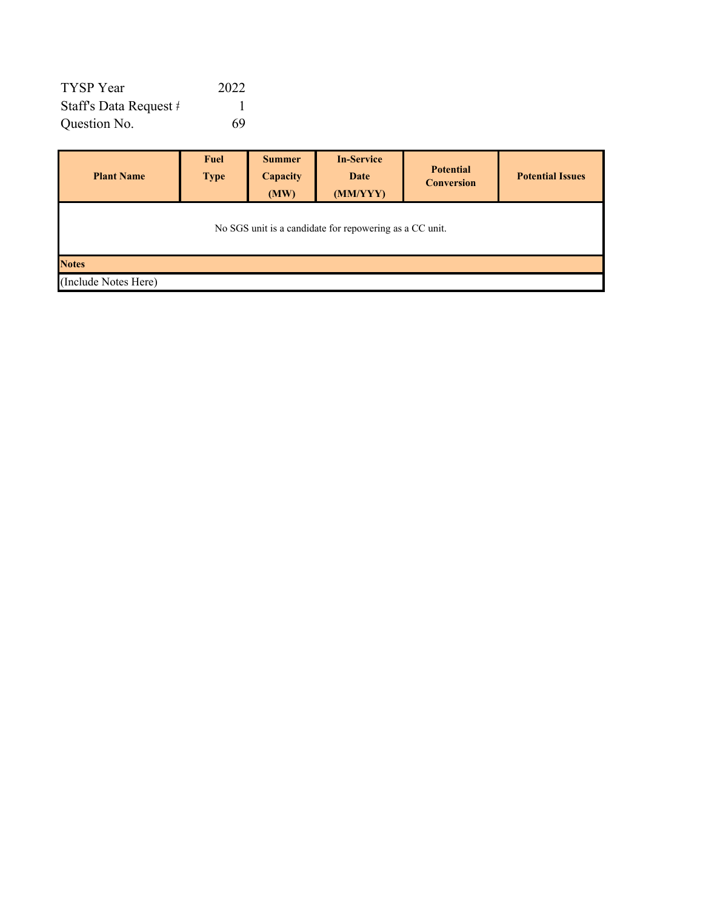| TYSP Year              | 2022 |
|------------------------|------|
| Staff's Data Request # |      |
| Question No.           | 69   |

| <b>Plant Name</b>                                       | <b>Fuel</b><br><b>Type</b> | <b>Summer</b><br>Capacity<br>(MW) | <b>In-Service</b><br>Date<br>(MM/YYY) | <b>Potential</b><br><b>Conversion</b> | <b>Potential Issues</b> |  |  |  |
|---------------------------------------------------------|----------------------------|-----------------------------------|---------------------------------------|---------------------------------------|-------------------------|--|--|--|
| No SGS unit is a candidate for repowering as a CC unit. |                            |                                   |                                       |                                       |                         |  |  |  |
| <b>Notes</b>                                            |                            |                                   |                                       |                                       |                         |  |  |  |
| (Include Notes Here)                                    |                            |                                   |                                       |                                       |                         |  |  |  |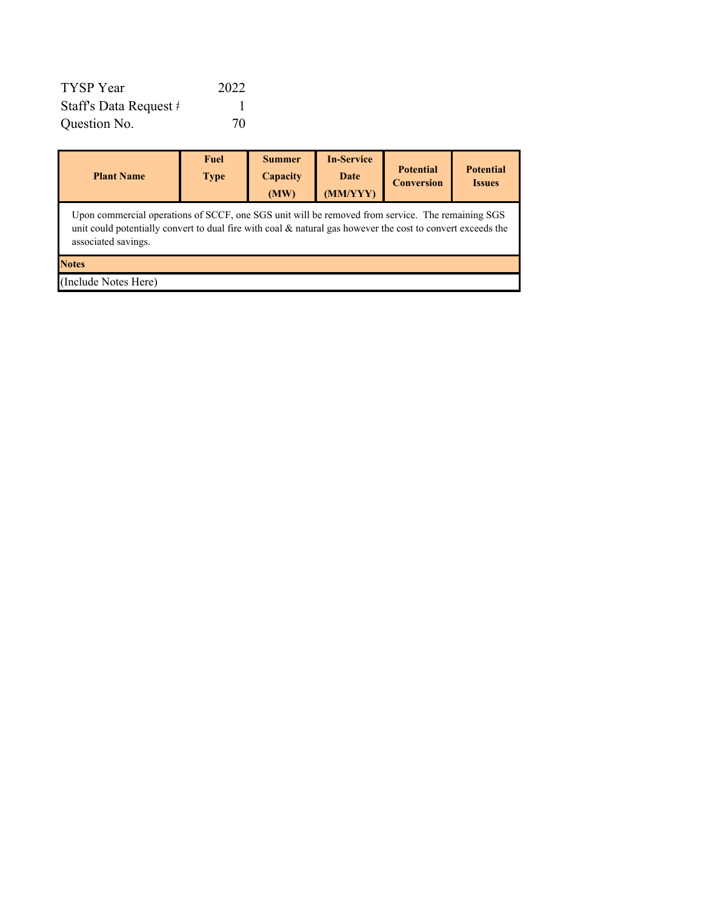| TYSP Year              | 2022 |
|------------------------|------|
| Staff's Data Request # |      |
| Question No.           | 70   |

| <b>Plant Name</b>                                                                                                                                                                                                                      | <b>Fuel</b><br><b>Type</b> | <b>Summer</b><br>Capacity<br>(MW) | <b>In-Service</b><br>Date<br>(MM/YYY) | <b>Potential</b><br><b>Conversion</b> | <b>Potential</b><br><b>Issues</b> |  |  |  |  |
|----------------------------------------------------------------------------------------------------------------------------------------------------------------------------------------------------------------------------------------|----------------------------|-----------------------------------|---------------------------------------|---------------------------------------|-----------------------------------|--|--|--|--|
| Upon commercial operations of SCCF, one SGS unit will be removed from service. The remaining SGS<br>unit could potentially convert to dual fire with coal & natural gas however the cost to convert exceeds the<br>associated savings. |                            |                                   |                                       |                                       |                                   |  |  |  |  |
| <b>Notes</b>                                                                                                                                                                                                                           |                            |                                   |                                       |                                       |                                   |  |  |  |  |
| (Include Notes Here)                                                                                                                                                                                                                   |                            |                                   |                                       |                                       |                                   |  |  |  |  |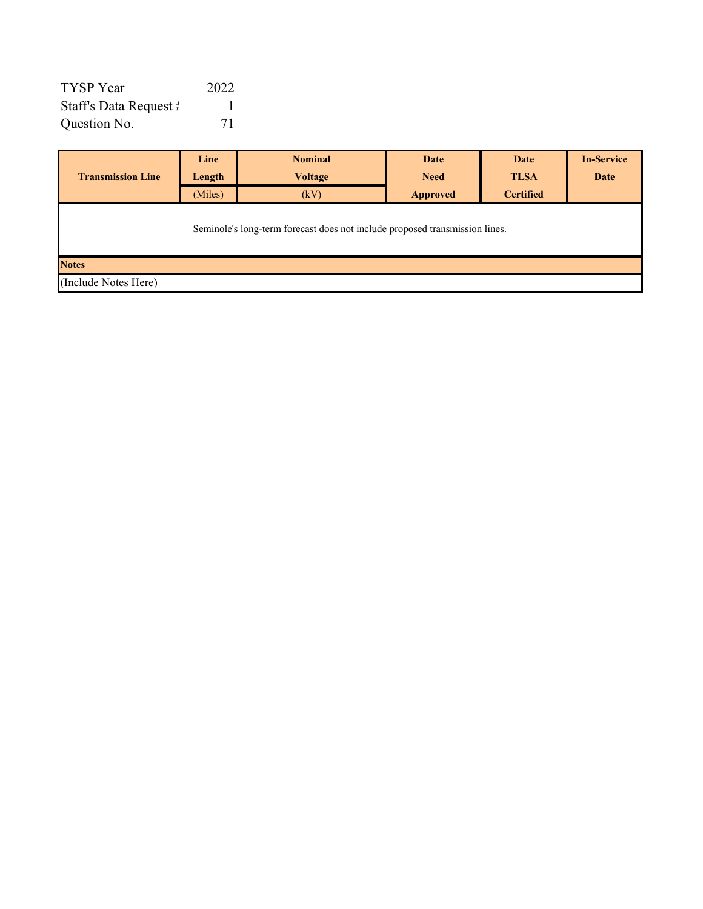| TYSP Year                       | 2022 |
|---------------------------------|------|
| Staff's Data Request $\ddagger$ |      |
| Question No.                    | 71   |

|                                                                             | Line    | <b>Nominal</b> | Date            | Date             | <b>In-Service</b> |  |  |  |  |  |
|-----------------------------------------------------------------------------|---------|----------------|-----------------|------------------|-------------------|--|--|--|--|--|
| <b>Transmission Line</b>                                                    | Length  | <b>Voltage</b> | <b>Need</b>     | <b>TLSA</b>      | Date              |  |  |  |  |  |
|                                                                             | (Miles) | (kV)           | <b>Approved</b> | <b>Certified</b> |                   |  |  |  |  |  |
| Seminole's long-term forecast does not include proposed transmission lines. |         |                |                 |                  |                   |  |  |  |  |  |
| <b>Notes</b>                                                                |         |                |                 |                  |                   |  |  |  |  |  |
| (Include Notes Here)                                                        |         |                |                 |                  |                   |  |  |  |  |  |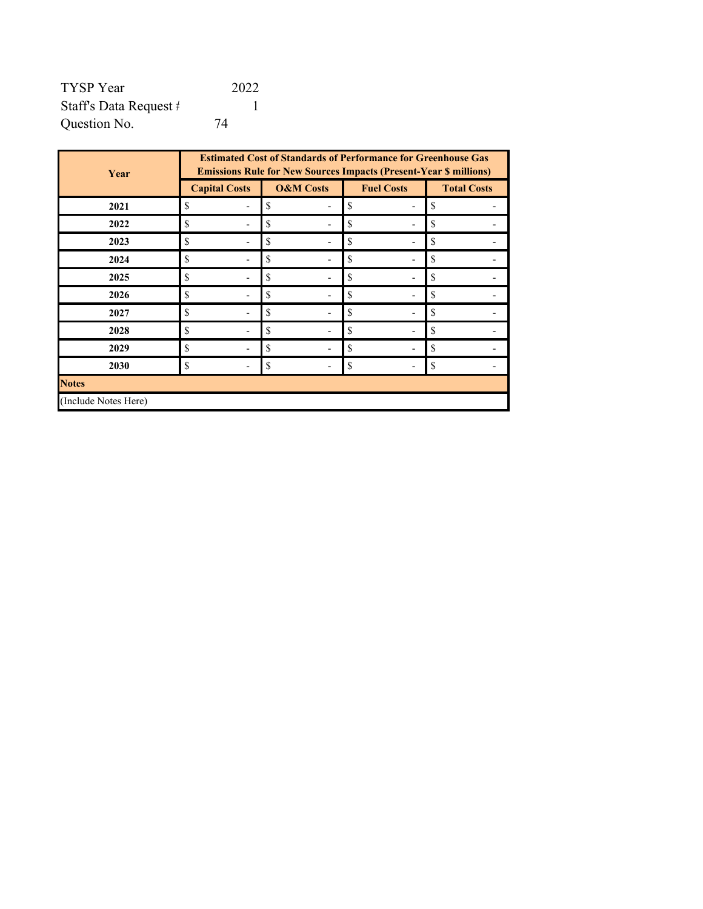| TYSP Year              | 2022 |
|------------------------|------|
| Staff's Data Request # |      |
| Question No.           | 74   |

| Year                 | <b>Estimated Cost of Standards of Performance for Greenhouse Gas</b><br><b>Emissions Rule for New Sources Impacts (Present-Year \$ millions)</b> |                      |                   |                    |  |  |  |  |  |
|----------------------|--------------------------------------------------------------------------------------------------------------------------------------------------|----------------------|-------------------|--------------------|--|--|--|--|--|
|                      | <b>Capital Costs</b>                                                                                                                             | <b>O&amp;M</b> Costs | <b>Fuel Costs</b> | <b>Total Costs</b> |  |  |  |  |  |
| 2021                 | \$                                                                                                                                               | \$                   | \$                | \$                 |  |  |  |  |  |
| 2022                 | \$                                                                                                                                               | \$                   | \$                | \$                 |  |  |  |  |  |
| 2023                 | \$                                                                                                                                               | \$                   | \$                | \$                 |  |  |  |  |  |
| 2024                 | \$                                                                                                                                               | \$                   | \$                | \$                 |  |  |  |  |  |
| 2025                 | \$                                                                                                                                               | \$                   | \$                | \$                 |  |  |  |  |  |
| 2026                 | \$                                                                                                                                               | \$                   | \$                | \$                 |  |  |  |  |  |
| 2027                 | \$                                                                                                                                               | \$                   | \$                | \$                 |  |  |  |  |  |
| 2028                 | \$                                                                                                                                               | \$                   | \$                | \$                 |  |  |  |  |  |
| 2029                 | \$                                                                                                                                               | \$                   | \$                | \$                 |  |  |  |  |  |
| 2030                 | \$                                                                                                                                               | \$                   | \$                | \$                 |  |  |  |  |  |
| <b>Notes</b>         |                                                                                                                                                  |                      |                   |                    |  |  |  |  |  |
| (Include Notes Here) |                                                                                                                                                  |                      |                   |                    |  |  |  |  |  |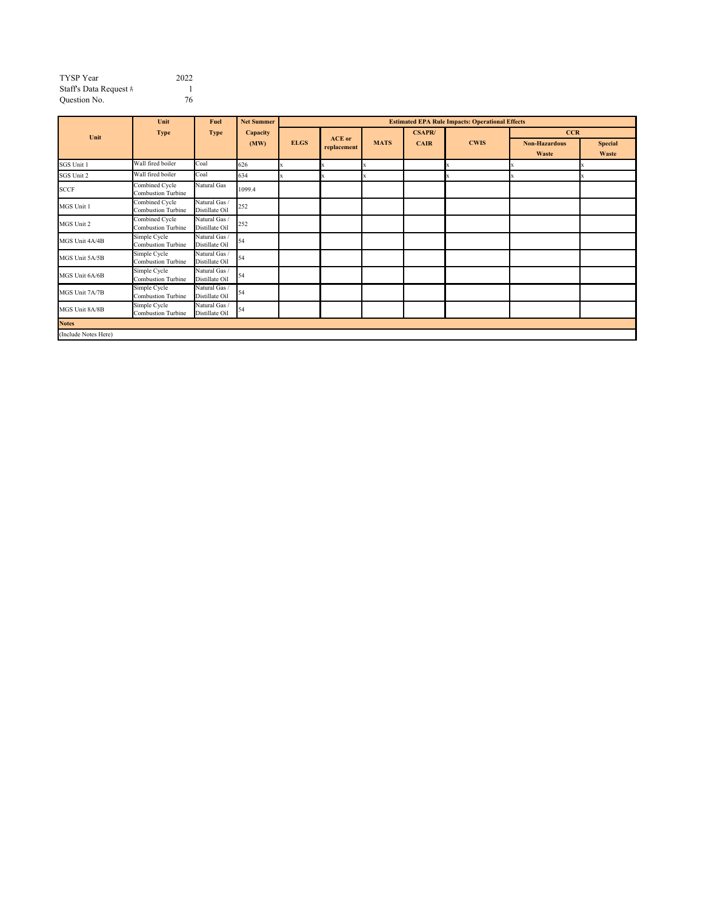| <b>TYSP</b> Year       | 2022 |
|------------------------|------|
| Staff's Data Request # |      |
| Question No.           | 76   |

|                     | Unit                                      | Fuel                            | <b>Net Summer</b> | <b>Estimated EPA Rule Impacts: Operational Effects</b> |               |             |               |             |                      |                |  |  |
|---------------------|-------------------------------------------|---------------------------------|-------------------|--------------------------------------------------------|---------------|-------------|---------------|-------------|----------------------|----------------|--|--|
| Unit                | <b>Type</b>                               | <b>Type</b>                     | Capacity          |                                                        | <b>ACE</b> or |             | <b>CSAPR/</b> |             |                      | <b>CCR</b>     |  |  |
|                     |                                           |                                 | (MW)              | <b>ELGS</b>                                            | replacement   | <b>MATS</b> | <b>CAIR</b>   | <b>CWIS</b> | <b>Non-Hazardous</b> | <b>Special</b> |  |  |
|                     | Wall fired boiler                         | Coal                            |                   |                                                        |               |             |               |             | Waste                | Waste          |  |  |
| SGS Unit 1          |                                           |                                 | 626               |                                                        |               |             |               |             |                      |                |  |  |
| SGS Unit 2          | Wall fired boiler                         | Coal                            | 634               |                                                        |               |             |               |             |                      |                |  |  |
| <b>SCCF</b>         | Combined Cycle<br>Combustion Turbine      | Natural Gas                     | 1099.4            |                                                        |               |             |               |             |                      |                |  |  |
| MGS Unit 1          | Combined Cycle<br>Combustion Turbine      | Natural Gas /<br>Distillate Oil | 252               |                                                        |               |             |               |             |                      |                |  |  |
| MGS Unit 2          | Combined Cycle<br>Combustion Turbine      | Natural Gas /<br>Distillate Oil | 252               |                                                        |               |             |               |             |                      |                |  |  |
| MGS Unit 4A/4B      | Simple Cycle<br>Combustion Turbine        | Natural Gas /<br>Distillate Oil | 54                |                                                        |               |             |               |             |                      |                |  |  |
| MGS Unit 5A/5B      | Simple Cycle<br>Combustion Turbine        | Natural Gas /<br>Distillate Oil | 54                |                                                        |               |             |               |             |                      |                |  |  |
| MGS Unit 6A/6B      | Simple Cycle<br>Combustion Turbine        | Natural Gas /<br>Distillate Oil | 54                |                                                        |               |             |               |             |                      |                |  |  |
| MGS Unit 7A/7B      | Simple Cycle<br>Combustion Turbine        | Natural Gas /<br>Distillate Oil | 54                |                                                        |               |             |               |             |                      |                |  |  |
| MGS Unit 8A/8B      | Simple Cycle<br><b>Combustion Turbine</b> | Natural Gas /<br>Distillate Oil | 54                |                                                        |               |             |               |             |                      |                |  |  |
| <b>Notes</b>        |                                           |                                 |                   |                                                        |               |             |               |             |                      |                |  |  |
| Include Notes Here) |                                           |                                 |                   |                                                        |               |             |               |             |                      |                |  |  |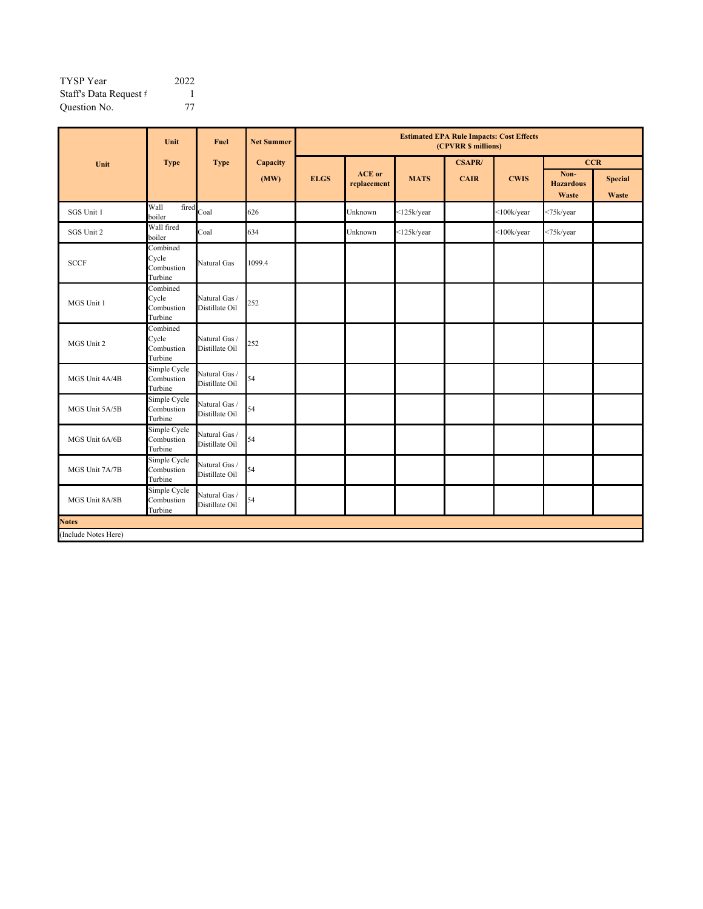| TYSP Year              | 2022 |
|------------------------|------|
| Staff's Data Request # |      |
| Question No.           | 77   |

|                      | Unit                                       | Fuel                            | <b>Net Summer</b> | <b>Estimated EPA Rule Impacts: Cost Effects</b><br>(CPVRR \$ millions) |                              |                   |               |                   |                                   |                                |
|----------------------|--------------------------------------------|---------------------------------|-------------------|------------------------------------------------------------------------|------------------------------|-------------------|---------------|-------------------|-----------------------------------|--------------------------------|
| Unit                 | <b>Type</b>                                | <b>Type</b>                     | Capacity          |                                                                        |                              |                   | <b>CSAPR/</b> |                   | <b>CCR</b>                        |                                |
|                      |                                            |                                 | (MW)              | <b>ELGS</b>                                                            | <b>ACE</b> or<br>replacement | <b>MATS</b>       | <b>CAIR</b>   | <b>CWIS</b>       | Non-<br><b>Hazardous</b><br>Waste | <b>Special</b><br><b>Waste</b> |
| SGS Unit 1           | Wall<br>fired<br>boiler                    | Coal                            | 626               |                                                                        | Unknown                      | $<$ 125 $k$ /year |               | $<$ 100k/year     | <75k/year                         |                                |
| SGS Unit 2           | Wall fired<br>boiler                       | Coal                            | 634               |                                                                        | Unknown                      | $<$ 125 $k$ /year |               | $<$ 100 $k$ /year | <75k/year                         |                                |
| <b>SCCF</b>          | Combined<br>Cycle<br>Combustion<br>Turbine | Natural Gas                     | 1099.4            |                                                                        |                              |                   |               |                   |                                   |                                |
| MGS Unit 1           | Combined<br>Cycle<br>Combustion<br>Turbine | Natural Gas/<br>Distillate Oil  | 252               |                                                                        |                              |                   |               |                   |                                   |                                |
| MGS Unit 2           | Combined<br>Cycle<br>Combustion<br>Turbine | Natural Gas /<br>Distillate Oil | 252               |                                                                        |                              |                   |               |                   |                                   |                                |
| MGS Unit 4A/4B       | Simple Cycle<br>Combustion<br>Turbine      | Natural Gas /<br>Distillate Oil | 54                |                                                                        |                              |                   |               |                   |                                   |                                |
| MGS Unit 5A/5B       | Simple Cycle<br>Combustion<br>Turbine      | Natural Gas /<br>Distillate Oil | 54                |                                                                        |                              |                   |               |                   |                                   |                                |
| MGS Unit 6A/6B       | Simple Cycle<br>Combustion<br>Turbine      | Natural Gas /<br>Distillate Oil | 54                |                                                                        |                              |                   |               |                   |                                   |                                |
| MGS Unit 7A/7B       | Simple Cycle<br>Combustion<br>Turbine      | Natural Gas /<br>Distillate Oil | 54                |                                                                        |                              |                   |               |                   |                                   |                                |
| MGS Unit 8A/8B       | Simple Cycle<br>Combustion<br>Turbine      | Natural Gas /<br>Distillate Oil | 54                |                                                                        |                              |                   |               |                   |                                   |                                |
| <b>Notes</b>         |                                            |                                 |                   |                                                                        |                              |                   |               |                   |                                   |                                |
| (Include Notes Here) |                                            |                                 |                   |                                                                        |                              |                   |               |                   |                                   |                                |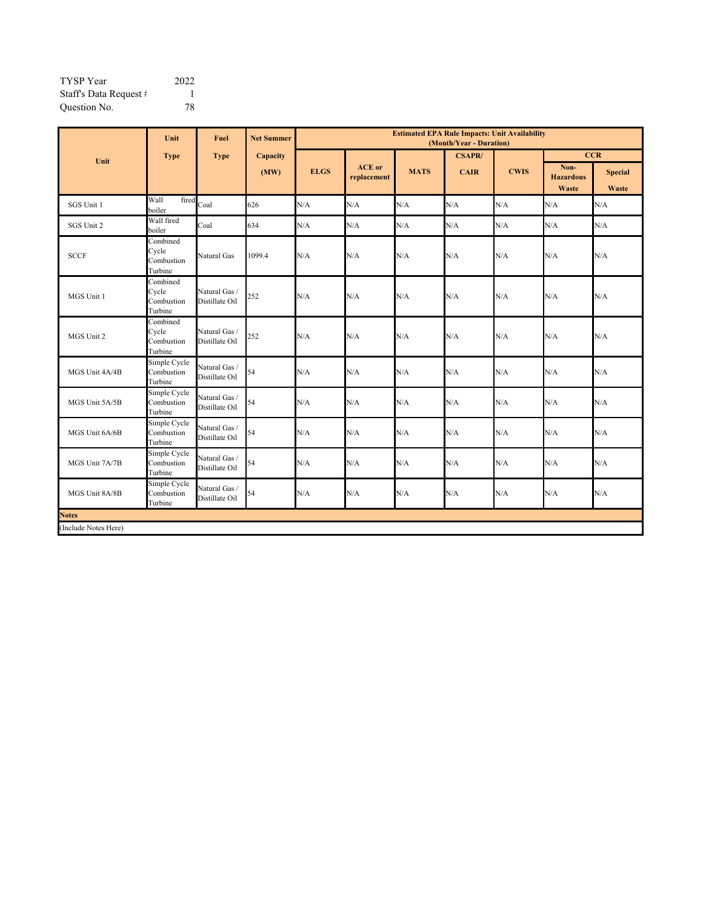| <b>TYSP</b> Year       | 2022 |
|------------------------|------|
| Staff's Data Request # |      |
| Question No.           | 78   |

|                      | Unit                                       | <b>Fuel</b>                     | <b>Net Summer</b> | <b>Estimated EPA Rule Impacts: Unit Availability</b><br>(Month/Year - Duration) |                              |             |               |             |                                   |                         |
|----------------------|--------------------------------------------|---------------------------------|-------------------|---------------------------------------------------------------------------------|------------------------------|-------------|---------------|-------------|-----------------------------------|-------------------------|
| Unit                 | <b>Type</b>                                | <b>Type</b>                     | Capacity          |                                                                                 |                              |             | <b>CSAPR/</b> |             |                                   | <b>CCR</b>              |
|                      |                                            |                                 | (MW)              | <b>ELGS</b>                                                                     | <b>ACE</b> or<br>replacement | <b>MATS</b> | <b>CAIR</b>   | <b>CWIS</b> | Non-<br><b>Hazardous</b><br>Waste | <b>Special</b><br>Waste |
| SGS Unit 1           | fired<br>Wall<br>boiler                    | Coal                            | 626               | N/A                                                                             | N/A                          | N/A         | N/A           | N/A         | N/A                               | N/A                     |
| SGS Unit 2           | Wall fired<br>boiler                       | Coal                            | 634               | N/A                                                                             | N/A                          | N/A         | N/A           | N/A         | N/A                               | N/A                     |
| <b>SCCF</b>          | Combined<br>Cycle<br>Combustion<br>Turbine | Natural Gas                     | 1099.4            | N/A                                                                             | N/A                          | N/A         | N/A           | N/A         | N/A                               | N/A                     |
| MGS Unit 1           | Combined<br>Cycle<br>Combustion<br>Turbine | Natural Gas/<br>Distillate Oil  | 252               | N/A                                                                             | N/A                          | N/A         | N/A           | N/A         | N/A                               | N/A                     |
| MGS Unit 2           | Combined<br>Cycle<br>Combustion<br>Turbine | Natural Gas /<br>Distillate Oil | 252               | N/A                                                                             | N/A                          | N/A         | N/A           | N/A         | N/A                               | N/A                     |
| MGS Unit 4A/4B       | Simple Cycle<br>Combustion<br>Turbine      | Natural Gas /<br>Distillate Oil | 54                | N/A                                                                             | N/A                          | N/A         | N/A           | N/A         | N/A                               | N/A                     |
| MGS Unit 5A/5B       | Simple Cycle<br>Combustion<br>Turbine      | Natural Gas /<br>Distillate Oil | 54                | N/A                                                                             | N/A                          | N/A         | N/A           | N/A         | N/A                               | N/A                     |
| MGS Unit 6A/6B       | Simple Cycle<br>Combustion<br>Turbine      | Natural Gas /<br>Distillate Oil | 54                | N/A                                                                             | N/A                          | N/A         | N/A           | N/A         | N/A                               | N/A                     |
| MGS Unit 7A/7B       | Simple Cycle<br>Combustion<br>Turbine      | Natural Gas<br>Distillate Oil   | 54                | N/A                                                                             | N/A                          | N/A         | N/A           | N/A         | N/A                               | N/A                     |
| MGS Unit 8A/8B       | Simple Cycle<br>Combustion<br>Turbine      | Natural Gas /<br>Distillate Oil | 54                | N/A                                                                             | N/A                          | N/A         | N/A           | N/A         | N/A                               | N/A                     |
| <b>Notes</b>         |                                            |                                 |                   |                                                                                 |                              |             |               |             |                                   |                         |
| (Include Notes Here) |                                            |                                 |                   |                                                                                 |                              |             |               |             |                                   |                         |